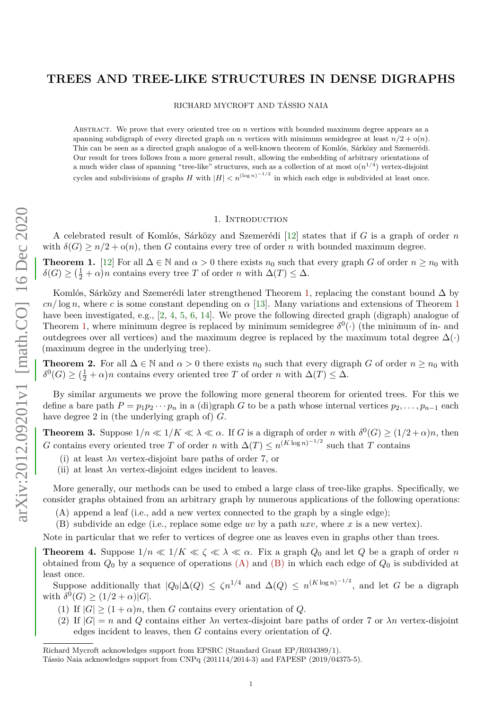# **TREES AND TREE-LIKE STRUCTURES IN DENSE DIGRAPHS**

RICHARD MYCROFT AND TÁSSIO NAIA

Abstract. We prove that every oriented tree on *n* vertices with bounded maximum degree appears as a spanning subdigraph of every directed graph on *n* vertices with minimum semidegree at least  $n/2 + o(n)$ . This can be seen as a directed graph analogue of a well-known theorem of Komlós, Sárközy and Szemerédi. Our result for trees follows from a more general result, allowing the embedding of arbitrary orientations of a much wider class of spanning "tree-like" structures, such as a collection of at most  $o(n^{1/4})$  vertex-disjoint cycles and subdivisions of graphs *H* with  $|H| < n^{(\log n)^{-1/2}}$  in which each edge is subdivided at least once.

#### 1. Introduction

A celebrated result of Komlós, Sárközy and Szemerédi [\[12\]](#page-32-0) states that if *G* is a graph of order *n* with  $\delta(G) \geq n/2 + o(n)$ , then *G* contains every tree of order *n* with bounded maximum degree.

<span id="page-0-0"></span>**Theorem 1.** [\[12\]](#page-32-0) For all  $\Delta \in \mathbb{N}$  and  $\alpha > 0$  there exists  $n_0$  such that every graph *G* of order  $n \geq n_0$  with  $\delta(G) \geq (\frac{1}{2} + \alpha)n$  contains every tree *T* of order *n* with  $\Delta(T) \leq \Delta$ .

Komlós, Sárközy and Szemerédi later strengthened Theorem [1,](#page-0-0) replacing the constant bound ∆ by  $cn/\log n$ , where *c* is some constant depending on  $\alpha$  [\[13\]](#page-32-1). Many variations and extensions of Theorem [1](#page-0-0) have been investigated, e.g., [\[2,](#page-32-2) [4,](#page-32-3) [5,](#page-32-4) [6,](#page-32-5) [14\]](#page-32-6). We prove the following directed graph (digraph) analogue of Theorem [1,](#page-0-0) where minimum degree is replaced by minimum semidegree  $\delta^0(\cdot)$  (the minimum of in- and outdegrees over all vertices) and the maximum degree is replaced by the maximum total degree  $\Delta(\cdot)$ (maximum degree in the underlying tree).

<span id="page-0-7"></span>**Theorem 2.** For all  $\Delta \in \mathbb{N}$  and  $\alpha > 0$  there exists  $n_0$  such that every digraph *G* of order  $n \geq n_0$  with  $\delta^{0}(G) \geq (\frac{1}{2} + \alpha)n$  contains every oriented tree *T* of order *n* with  $\Delta(T) \leq \Delta$ .

By similar arguments we prove the following more general theorem for oriented trees. For this we define a bare path  $P = p_1 p_2 \cdots p_n$  in a (di)graph *G* to be a path whose internal vertices  $p_2, \ldots, p_{n-1}$  each have degree 2 in (the underlying graph of) *G*.

<span id="page-0-5"></span>**Theorem 3.** Suppose  $1/n \ll 1/K \ll \lambda \ll \alpha$ . If *G* is a digraph of order *n* with  $\delta^0(G) \ge (1/2 + \alpha)n$ , then *G* contains every oriented tree *T* of order *n* with  $\Delta(T) \le n^{(K \log n)^{-1/2}}$  such that *T* contains

- (i) at least *λn* vertex-disjoint bare paths of order 7, or
- <span id="page-0-6"></span>(ii) at least  $\lambda n$  vertex-disjoint edges incident to leaves.

More generally, our methods can be used to embed a large class of tree-like graphs. Specifically, we consider graphs obtained from an arbitrary graph by numerous applications of the following operations:

- <span id="page-0-1"></span>(A) append a leaf (i.e., add a new vertex connected to the graph by a single edge);
- <span id="page-0-2"></span>(B) subdivide an edge (i.e., replace some edge *uv* by a path *uxv*, where *x* is a new vertex).

Note in particular that we refer to vertices of degree one as leaves even in graphs other than trees.

<span id="page-0-3"></span>**Theorem 4.** Suppose  $1/n \ll 1/K \ll \zeta \ll \lambda \ll \alpha$ . Fix a graph  $Q_0$  and let  $Q$  be a graph of order *n* obtained from *Q*<sup>0</sup> by a sequence of operations [\(A\)](#page-0-1) and [\(B\)](#page-0-2) in which each edge of *Q*<sup>0</sup> is subdivided at least once.

Suppose additionally that  $|Q_0|\Delta(Q) \le \zeta n^{1/4}$  and  $\Delta(Q) \le n^{(K \log n)^{-1/2}}$ , and let *G* be a digraph with  $\delta^0(G) \ge (1/2 + \alpha)|G|$ .

- <span id="page-0-8"></span>(1) If  $|G| \geq (1 + \alpha)n$ , then *G* contains every orientation of *Q*.
- <span id="page-0-4"></span>(2) If  $|G| = n$  and Q contains either  $\lambda n$  vertex-disjoint bare paths of order 7 or  $\lambda n$  vertex-disjoint edges incident to leaves, then *G* contains every orientation of *Q*.

Richard Mycroft acknowledges support from EPSRC (Standard Grant EP/R034389/1).

Tássio Naia acknowledges support from CNPq (201114/2014-3) and FAPESP (2019/04375-5).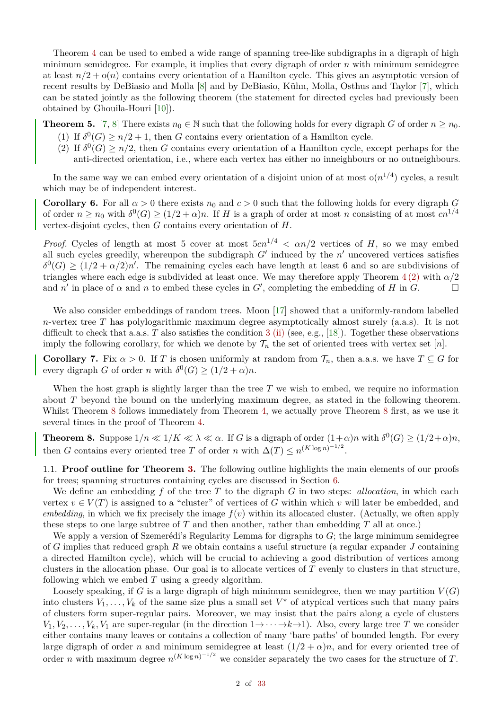Theorem [4](#page-0-3) can be used to embed a wide range of spanning tree-like subdigraphs in a digraph of high minimum semidegree. For example, it implies that every digraph of order *n* with minimum semidegree at least  $n/2 + o(n)$  contains every orientation of a Hamilton cycle. This gives an asymptotic version of recent results by DeBiasio and Molla [\[8\]](#page-32-7) and by DeBiasio, Kühn, Molla, Osthus and Taylor [\[7\]](#page-32-8), which can be stated jointly as the following theorem (the statement for directed cycles had previously been obtained by Ghouila-Houri [\[10\]](#page-32-9)).

**Theorem 5.** [\[7,](#page-32-8) [8\]](#page-32-7) There exists  $n_0 \in \mathbb{N}$  such that the following holds for every digraph *G* of order  $n \geq n_0$ .

- (1) If  $\delta^{0}(G) \geq n/2 + 1$ , then *G* contains every orientation of a Hamilton cycle.
- (2) If  $\delta^0(G) \geq n/2$ , then *G* contains every orientation of a Hamilton cycle, except perhaps for the anti-directed orientation, i.e., where each vertex has either no inneighbours or no outneighbours.

In the same way we can embed every orientation of a disjoint union of at most  $o(n^{1/4})$  cycles, a result which may be of independent interest.

**Corollary 6.** For all  $\alpha > 0$  there exists  $n_0$  and  $c > 0$  such that the following holds for every digraph *G* of order  $n \ge n_0$  with  $\delta^0(G) \ge (1/2 + \alpha)n$ . If *H* is a graph of order at most *n* consisting of at most  $cn^{1/4}$ vertex-disjoint cycles, then *G* contains every orientation of *H*.

*Proof.* Cycles of length at most 5 cover at most  $5cn^{1/4} < \alpha n/2$  vertices of *H*, so we may embed all such cycles greedily, whereupon the subdigraph  $G'$  induced by the  $n'$  uncovered vertices satisfies  $\delta^0(G) \geq (1/2 + \alpha/2)n'$ . The remaining cycles each have length at least 6 and so are subdivisions of triangles where each edge is subdivided at least once. We may therefore apply Theorem  $4(2)$  $4(2)$  with  $\alpha/2$ and *n'* in place of  $\alpha$  and *n* to embed these cycles in *G'*, completing the embedding of *H* in *G*.

We also consider embeddings of random trees. Moon [\[17\]](#page-32-10) showed that a uniformly-random labelled *n*-vertex tree *T* has polylogarithmic maximum degree asymptotically almost surely (a.a.s). It is not difficult to check that a.a.s. *T* also satisfies the condition [3](#page-0-5) [\(ii\)](#page-0-6) (see, e.g., [\[18\]](#page-32-11)). Together these observations imply the following corollary, for which we denote by  $\mathcal{T}_n$  the set of oriented trees with vertex set [*n*].

**Corollary 7.** Fix  $\alpha > 0$ . If *T* is chosen uniformly at random from  $\mathcal{T}_n$ , then a.a.s. we have  $T \subseteq G$  for every digraph *G* of order *n* with  $\delta^0(G) \ge (1/2 + \alpha)n$ .

When the host graph is slightly larger than the tree T we wish to embed, we require no information about *T* beyond the bound on the underlying maximum degree, as stated in the following theorem. Whilst Theorem [8](#page-1-0) follows immediately from Theorem [4,](#page-0-3) we actually prove Theorem 8 first, as we use it several times in the proof of Theorem [4.](#page-0-3)

<span id="page-1-0"></span>**Theorem 8.** Suppose  $1/n \ll 1/K \ll \lambda \ll \alpha$ . If *G* is a digraph of order  $(1+\alpha)n$  with  $\delta^0(G) \ge (1/2+\alpha)n$ , then *G* contains every oriented tree *T* of order *n* with  $\Delta(T) \le n^{(K \log n)^{-1/2}}$ .

1.1. **Proof outline for Theorem [3.](#page-0-5)** The following outline highlights the main elements of our proofs for trees; spanning structures containing cycles are discussed in Section [6.](#page-26-0)

We define an embedding *f* of the tree *T* to the digraph *G* in two steps: *allocation*, in which each vertex  $v \in V(T)$  is assigned to a "cluster" of vertices of G within which v will later be embedded, and *embedding*, in which we fix precisely the image  $f(v)$  within its allocated cluster. (Actually, we often apply these steps to one large subtree of *T* and then another, rather than embedding *T* all at once.)

We apply a version of Szemerédi's Regularity Lemma for digraphs to *G*; the large minimum semidegree of *G* implies that reduced graph *R* we obtain contains a useful structure (a regular expander *J* containing a directed Hamilton cycle), which will be crucial to achieving a good distribution of vertices among clusters in the allocation phase. Our goal is to allocate vertices of *T* evenly to clusters in that structure, following which we embed *T* using a greedy algorithm.

Loosely speaking, if  $G$  is a large digraph of high minimum semidegree, then we may partition  $V(G)$ into clusters  $V_1, \ldots, V_k$  of the same size plus a small set  $V^*$  of atypical vertices such that many pairs of clusters form super-regular pairs. Moreover, we may insist that the pairs along a cycle of clusters  $V_1, V_2, \ldots, V_k, V_1$  are super-regular (in the direction  $1 \rightarrow \cdots \rightarrow k \rightarrow 1$ ). Also, every large tree *T* we consider either contains many leaves or contains a collection of many 'bare paths' of bounded length. For every large digraph of order *n* and minimum semidegree at least  $(1/2 + \alpha)n$ , and for every oriented tree of order *n* with maximum degree  $n^{(K \log n)^{-1/2}}$  we consider separately the two cases for the structure of *T*.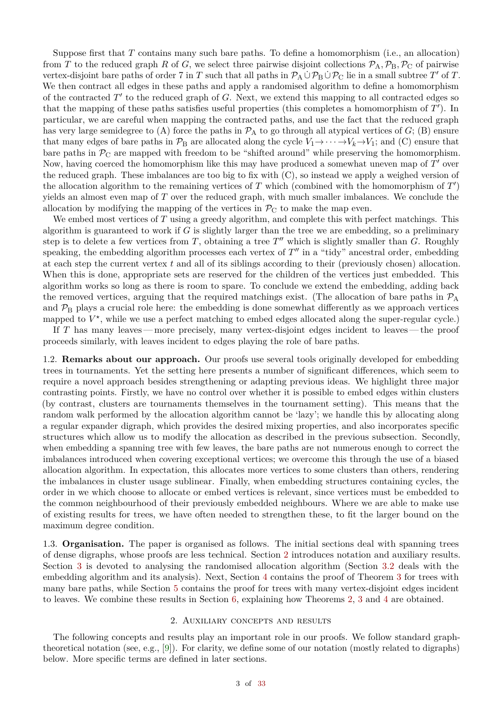Suppose first that *T* contains many such bare paths. To define a homomorphism (i.e., an allocation) from *T* to the reduced graph *R* of *G*, we select three pairwise disjoint collections  $P_A$ ,  $P_B$ ,  $P_C$  of pairwise vertex-disjoint bare paths of order 7 in *T* such that all paths in  $\mathcal{P}_A \cup \mathcal{P}_B \cup \mathcal{P}_C$  lie in a small subtree *T'* of *T*. We then contract all edges in these paths and apply a randomised algorithm to define a homomorphism of the contracted  $T'$  to the reduced graph of  $G$ . Next, we extend this mapping to all contracted edges so that the mapping of these paths satisfies useful properties (this completes a homomorphism of  $T'$ ). In particular, we are careful when mapping the contracted paths, and use the fact that the reduced graph has very large semidegree to (A) force the paths in  $\mathcal{P}_A$  to go through all atypical vertices of  $G$ ; (B) ensure that many edges of bare paths in  $\mathcal{P}_B$  are allocated along the cycle  $V_1 \rightarrow \cdots \rightarrow V_k \rightarrow V_1$ ; and (C) ensure that bare paths in  $\mathcal{P}_C$  are mapped with freedom to be "shifted around" while preserving the homomorphism. Now, having coerced the homomorphism like this may have produced a somewhat uneven map of T' over the reduced graph. These imbalances are too big to fix with (C), so instead we apply a weighed version of the allocation algorithm to the remaining vertices of  $T$  which (combined with the homomorphism of  $T'$ ) yields an almost even map of *T* over the reduced graph, with much smaller imbalances. We conclude the allocation by modifying the mapping of the vertices in  $\mathcal{P}_{C}$  to make the map even.

We embed most vertices of *T* using a greedy algorithm, and complete this with perfect matchings. This algorithm is guaranteed to work if *G* is slightly larger than the tree we are embedding, so a preliminary step is to delete a few vertices from  $T$ , obtaining a tree  $T''$  which is slightly smaller than  $G$ . Roughly speaking, the embedding algorithm processes each vertex of  $T''$  in a "tidy" ancestral order, embedding at each step the current vertex *t* and all of its siblings according to their (previously chosen) allocation. When this is done, appropriate sets are reserved for the children of the vertices just embedded. This algorithm works so long as there is room to spare. To conclude we extend the embedding, adding back the removed vertices, arguing that the required matchings exist. (The allocation of bare paths in  $\mathcal{P}_{A}$ and  $P_B$  plays a crucial role here: the embedding is done somewhat differently as we approach vertices mapped to  $V^*$ , while we use a perfect matching to embed edges allocated along the super-regular cycle.)

If *T* has many leaves— more precisely, many vertex-disjoint edges incident to leaves— the proof proceeds similarly, with leaves incident to edges playing the role of bare paths.

1.2. **Remarks about our approach.** Our proofs use several tools originally developed for embedding trees in tournaments. Yet the setting here presents a number of significant differences, which seem to require a novel approach besides strengthening or adapting previous ideas. We highlight three major contrasting points. Firstly, we have no control over whether it is possible to embed edges within clusters (by contrast, clusters are tournaments themselves in the tournament setting). This means that the random walk performed by the allocation algorithm cannot be 'lazy'; we handle this by allocating along a regular expander digraph, which provides the desired mixing properties, and also incorporates specific structures which allow us to modify the allocation as described in the previous subsection. Secondly, when embedding a spanning tree with few leaves, the bare paths are not numerous enough to correct the imbalances introduced when covering exceptional vertices; we overcome this through the use of a biased allocation algorithm. In expectation, this allocates more vertices to some clusters than others, rendering the imbalances in cluster usage sublinear. Finally, when embedding structures containing cycles, the order in we which choose to allocate or embed vertices is relevant, since vertices must be embedded to the common neighbourhood of their previously embedded neighbours. Where we are able to make use of existing results for trees, we have often needed to strengthen these, to fit the larger bound on the maximum degree condition.

1.3. **Organisation.** The paper is organised as follows. The initial sections deal with spanning trees of dense digraphs, whose proofs are less technical. Section [2](#page-2-0) introduces notation and auxiliary results. Section [3](#page-13-0) is devoted to analysing the randomised allocation algorithm (Section [3.2](#page-15-0) deals with the embedding algorithm and its analysis). Next, Section [4](#page-17-0) contains the proof of Theorem [3](#page-0-5) for trees with many bare paths, while Section [5](#page-23-0) contains the proof for trees with many vertex-disjoint edges incident to leaves. We combine these results in Section  $6$ , explaining how Theorems [2,](#page-0-7) [3](#page-0-5) and [4](#page-0-3) are obtained.

#### 2. Auxiliary concepts and results

<span id="page-2-0"></span>The following concepts and results play an important role in our proofs. We follow standard graphtheoretical notation (see, e.g., [\[9\]](#page-32-13)). For clarity, we define some of our notation (mostly related to digraphs) below. More specific terms are defined in later sections.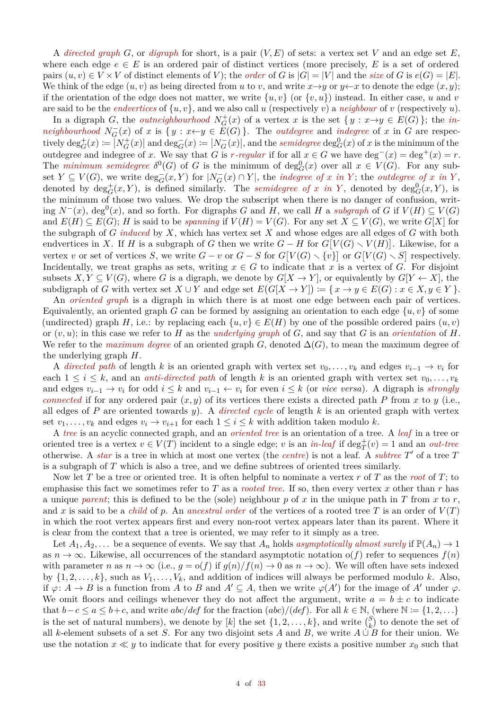A *directed graph G*, or *digraph* for short, is a pair  $(V, E)$  of sets: a vertex set *V* and an edge set *E*, where each edge  $e \in E$  is an ordered pair of distinct vertices (more precisely, E is a set of ordered pairs  $(u, v) \in V \times V$  of distinct elements of *V*); the *order* of *G* is  $|G| = |V|$  and the *size* of *G* is  $e(G) = |E|$ . We think of the edge  $(u, v)$  as being directed from *u* to *v*, and write  $x \rightarrow y$  or  $y \leftarrow x$  to denote the edge  $(x, y)$ ; if the orientation of the edge does not matter, we write  $\{u, v\}$  (or  $\{v, u\}$ ) instead. In either case, *u* and *v* are said to be the *endvertices* of {*u, v*}, and we also call *u* (respectively *v*) a *neighbour* of *v* (respectively *u*).

In a digraph *G*, the *outneighbourhood*  $N_G^+(x)$  of a vertex *x* is the set  $\{y : x \rightarrow y \in E(G)\}\;$ ; the *inneighbourhood*  $N_G^-(x)$  of *x* is  $\{y : x \leftarrow y \in E(G)\}$ . The *outdegree* and *indegree* of *x* in *G* are respectively  $\deg_G^+(x) := |N_G^+(x)|$  and  $\deg_G^-(x) := |N_G^-(x)|$ , and the *semidegree*  $\deg_G^0(x)$  of x is the minimum of the outdegree and indegree of *x*. We say that *G* is *r*-regular if for all  $x \in G$  we have deg<sup>-</sup>(*x*) = deg<sup>+</sup>(*x*) = *r*. The *minimum semidegree*  $\delta^0(G)$  of *G* is the minimum of  $deg_G^0(x)$  over all  $x \in V(G)$ . For any subset  $Y \subseteq V(G)$ , we write  $\deg_G^{-}(x, Y)$  for  $|N_G^{-}(x) \cap Y|$ , the *indegree of* x in Y; the *outdegree of* x in Y, denoted by  $\deg_G^+(x, Y)$ , is defined similarly. The *semidegree of x in Y*, denoted by  $\deg_G^0(x, Y)$ , is the minimum of those two values. We drop the subscript when there is no danger of confusion, writing  $N^-(x)$ , deg<sup>0</sup>(x), and so forth. For digraphs *G* and *H*, we call *H* a *subgraph* of *G* if  $V(H) \subseteq V(G)$ and  $E(H) \subseteq E(G)$ ; *H* is said to be *spanning* if  $V(H) = V(G)$ . For any set  $X \subseteq V(G)$ , we write  $G[X]$  for the subgraph of *G induced* by *X*, which has vertex set *X* and whose edges are all edges of *G* with both endvertices in *X*. If *H* is a subgraph of *G* then we write  $G - H$  for  $G[V(G) \setminus V(H)]$ . Likewise, for a vertex *v* or set of vertices *S*, we write  $G - v$  or  $G - S$  for  $G[V(G) \setminus \{v\}]$  or  $G[V(G) \setminus S]$  respectively. Incidentally, we treat graphs as sets, writing  $x \in G$  to indicate that x is a vertex of G. For disjoint subsets  $X, Y \subseteq V(G)$ , where *G* is a digraph, we denote by  $G[X \to Y]$ , or equivalently by  $G[Y \leftarrow X]$ , the subdigraph of *G* with vertex set  $X \cup Y$  and edge set  $E(G[X \to Y]) := \{x \to y \in E(G) : x \in X, y \in Y\}$ .

An *oriented graph* is a digraph in which there is at most one edge between each pair of vertices. Equivalently, an oriented graph *G* can be formed by assigning an orientation to each edge  $\{u, v\}$  of some (undirected) graph *H*, i.e.: by replacing each  $\{u, v\} \in E(H)$  by one of the possible ordered pairs  $(u, v)$ or (*v, u*); in this case we refer to *H* as the *underlying graph* of *G*, and say that *G* is an *orientation* of *H*. We refer to the *maximum degree* of an oriented graph *G*, denoted  $\Delta(G)$ , to mean the maximum degree of the underlying graph *H*.

A *directed path* of length *k* is an oriented graph with vertex set  $v_0, \ldots, v_k$  and edges  $v_{i-1} \to v_i$  for each  $1 \leq i \leq k$ , and an *anti-directed path* of length *k* is an oriented graph with vertex set  $v_0, \ldots, v_k$ and edges  $v_{i-1} \to v_i$  for odd  $i \leq k$  and  $v_{i-1} \leftarrow v_i$  for even  $i \leq k$  (or *vice versa*). A digraph is *strongly connected* if for any ordered pair  $(x, y)$  of its vertices there exists a directed path *P* from *x* to *y* (i.e., all edges of *P* are oriented towards *y*). A *directed cycle* of length *k* is an oriented graph with vertex set  $v_1, \ldots, v_k$  and edges  $v_i \to v_{i+1}$  for each  $1 \leq i \leq k$  with addition taken modulo *k*.

A *tree* is an acyclic connected graph, and an *oriented tree* is an orientation of a tree. A *leaf* in a tree or oriented tree is a vertex  $v \in V(T)$  incident to a single edge; *v* is an *in-leaf* if deg $^+_T(v) = 1$  and an *out-tree* otherwise. A *star* is a tree in which at most one vertex (the *centre*) is not a leaf. A *subtree* T' of a tree T is a subgraph of *T* which is also a tree, and we define subtrees of oriented trees similarly.

Now let *T* be a tree or oriented tree. It is often helpful to nominate a vertex *r* of *T* as the *root* of *T*; to emphasise this fact we sometimes refer to *T* as a *rooted tree*. If so, then every vertex *x* other than *r* has a unique *parent*; this is defined to be the (sole) neighbour  $p$  of  $x$  in the unique path in  $T$  from  $x$  to  $r$ , and x is said to be a *child* of p. An *ancestral order* of the vertices of a rooted tree T is an order of  $V(T)$ in which the root vertex appears first and every non-root vertex appears later than its parent. Where it is clear from the context that a tree is oriented, we may refer to it simply as a tree.

Let  $A_1, A_2, \ldots$  be a sequence of events. We say that  $A_n$  holds *asymptotically almost surely* if  $\mathbb{P}(A_n) \to 1$ as  $n \to \infty$ . Likewise, all occurrences of the standard asymptotic notation o(*f*) refer to sequences  $f(n)$ with parameter *n* as  $n \to \infty$  (i.e.,  $g = o(f)$  if  $g(n)/f(n) \to 0$  as  $n \to \infty$ ). We will often have sets indexed by  $\{1, 2, \ldots, k\}$ , such as  $V_1, \ldots, V_k$ , and addition of indices will always be performed modulo *k*. Also, if  $\varphi: A \to B$  is a function from *A* to *B* and  $A' \subseteq A$ , then we write  $\varphi(A')$  for the image of  $A'$  under  $\varphi$ . We omit floors and ceilings whenever they do not affect the argument, write  $a = b \pm c$  to indicate that  $b-c \le a \le b+c$ , and write  $abc/def$  for the fraction  $(abc)/(def)$ . For all  $k \in \mathbb{N}$ , (where  $\mathbb{N} := \{1, 2, \ldots\}$ is the set of natural numbers), we denote by [k] the set  $\{1, 2, \ldots, k\}$ , and write  $\binom{S}{k}$  to denote the set of all *k*-element subsets of a set *S*. For any two disjoint sets *A* and *B*, we write  $A \cup B$  for their union. We use the notation  $x \ll y$  to indicate that for every positive *y* there exists a positive number  $x_0$  such that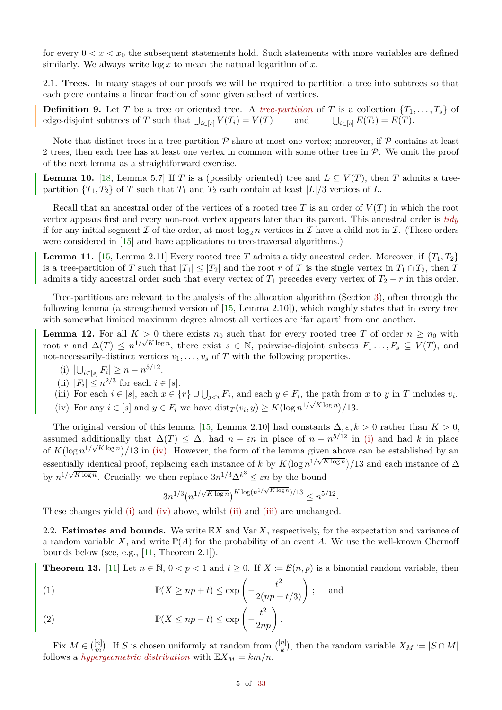for every  $0 \lt x \lt x_0$  the subsequent statements hold. Such statements with more variables are defined similarly. We always write log *x* to mean the natural logarithm of *x*.

2.1. **Trees.** In many stages of our proofs we will be required to partition a tree into subtrees so that each piece contains a linear fraction of some given subset of vertices.

**Definition 9.** Let *T* be a tree or oriented tree. A *tree-partition* of *T* is a collection  $\{T_1, \ldots, T_s\}$  of edge-disjoint subtrees of *T* such that  $\bigcup_{i \in [s]} V(T_i) = V(T)$  and U  $\bigcup_{i \in [s]} E(T_i) = E(T)$ .

Note that distinct trees in a tree-partition  $P$  share at most one vertex; moreover, if  $P$  contains at least 2 trees, then each tree has at least one vertex in common with some other tree in  $P$ . We omit the proof of the next lemma as a straightforward exercise.

<span id="page-4-7"></span>**Lemma 10.** [\[18,](#page-32-11) Lemma 5.7] If *T* is a (possibly oriented) tree and  $L \subseteq V(T)$ , then *T* admits a treepartition  ${T_1, T_2}$  of *T* such that  $T_1$  and  $T_2$  each contain at least  $|L|/3$  vertices of *L*.

Recall that an ancestral order of the vertices of a rooted tree  $T$  is an order of  $V(T)$  in which the root vertex appears first and every non-root vertex appears later than its parent. This ancestral order is *tidy* if for any initial segment  $\mathcal I$  of the order, at most  $\log_2 n$  vertices in  $\mathcal I$  have a child not in  $\mathcal I$ . (These orders were considered in [\[15\]](#page-32-14) and have applications to tree-traversal algorithms.)

<span id="page-4-8"></span>**Lemma 11.** [\[15,](#page-32-14) Lemma 2.11] Every rooted tree *T* admits a tidy ancestral order. Moreover, if  ${T_1, T_2}$ is a tree-partition of *T* such that  $|T_1| \leq |T_2|$  and the root *r* of *T* is the single vertex in  $T_1 \cap T_2$ , then *T* admits a tidy ancestral order such that every vertex of  $T_1$  precedes every vertex of  $T_2 - r$  in this order.

Tree-partitions are relevant to the analysis of the allocation algorithm (Section [3\)](#page-13-0), often through the following lemma (a strengthened version of [\[15,](#page-32-14) Lemma 2.10]), which roughly states that in every tree with somewhat limited maximum degree almost all vertices are 'far apart' from one another.

<span id="page-4-4"></span>**Lemma 12.** For all  $K > 0$  there exists  $n_0$  such that for every rooted tree *T* of order  $n \geq n_0$  with root *r* and  $\Delta(T) \leq n^{1/\sqrt{K \log n}}$ , there exist  $s \in \mathbb{N}$ , pairwise-disjoint subsets  $F_1 \ldots, F_s \subseteq V(T)$ , and not-necessarily-distinct vertices  $v_1, \ldots, v_s$  of  $T$  with the following properties.

- <span id="page-4-0"></span>(i)  $|\bigcup_{i \in [s]} F_i| \geq n - n^{5/12}$ .
- <span id="page-4-2"></span>(ii)  $|F_i| \leq n^{2/3}$  for each  $i \in [s]$ .
- <span id="page-4-3"></span><span id="page-4-1"></span>(iii) For each  $i \in [s]$ , each  $x \in \{r\} \cup \bigcup_{j \leq i} F_j$ , and each  $y \in F_i$ , the path from  $x$  to  $y$  in  $T$  includes  $v_i$ . (iv) For any  $i \in [s]$  and  $y \in F_i$  we have  $\text{dist}_T(v_i, y) \ge K(\log n^{1/\sqrt{K \log n}})/13$ .

The original version of this lemma [\[15,](#page-32-14) Lemma 2.10] had constants  $\Delta, \varepsilon, k > 0$  rather than  $K > 0$ , assumed additionally that  $\Delta(T) \leq \Delta$ , had  $n - \varepsilon n$  in place of  $n - n^{5/12}$  in [\(i\)](#page-4-0) and had k in place of  $K(\log n^{1/\sqrt{K \log n}})/13$  in [\(iv\).](#page-4-1) However, the form of the lemma given above can be established by an essentially identical proof, replacing each instance of *k* by  $K(\log n^{1/\sqrt{K \log n}})/13$  and each instance of  $\Delta$ by  $n^{1/\sqrt{K \log n}}$ . Crucially, we then replace  $3n^{1/3}\Delta^{k^3} \leq \varepsilon n$  by the bound

$$
3n^{1/3} (n^{1/\sqrt{K \log n}})^{K \log(n^{1/\sqrt{K \log n}})/13} \leq n^{5/12}.
$$

These changes yield [\(i\)](#page-4-0) and [\(iv\)](#page-4-1) above, whilst [\(ii\)](#page-4-2) and [\(iii\)](#page-4-3) are unchanged.

2.2. **Estimates and bounds.** We write E*X* and Var *X*, respectively, for the expectation and variance of a random variable X, and write  $\mathbb{P}(A)$  for the probability of an event A. We use the well-known Chernoff bounds below (see, e.g.,  $[11,$  Theorem 2.1]).

**Theorem 13.** [\[11\]](#page-32-15) Let  $n \in \mathbb{N}$ ,  $0 < p < 1$  and  $t \ge 0$ . If  $X := \mathcal{B}(n, p)$  is a binomial random variable, then

<span id="page-4-6"></span>(1) 
$$
\mathbb{P}(X \ge np + t) \le \exp\left(-\frac{t^2}{2(np + t/3)}\right); \text{ and}
$$

<span id="page-4-5"></span>(2) 
$$
\mathbb{P}(X \le np - t) \le \exp\left(-\frac{t^2}{2np}\right).
$$

Fix  $M \in \binom{[n]}{m}$  $\binom{[n]}{m}$ . If *S* is chosen uniformly at random from  $\binom{[n]}{k}$ , then the random variable  $X_M := |S \cap M|$ follows a *hypergeometric distribution* with  $\mathbb{E}X_M = km/n$ .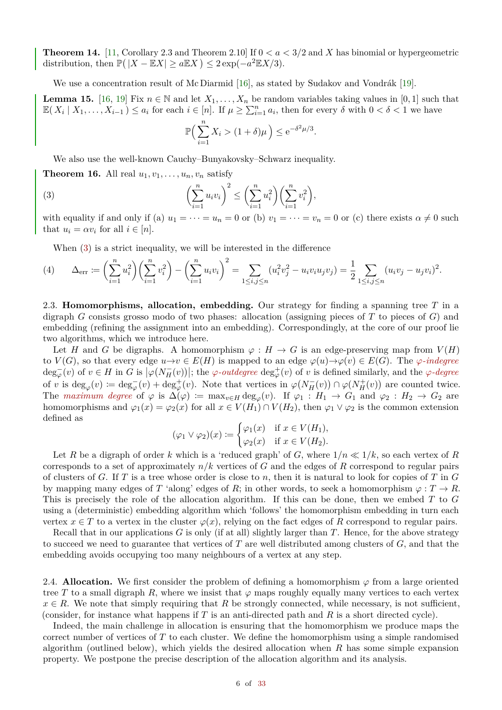<span id="page-5-4"></span>**Theorem 14.** [\[11,](#page-32-15) Corollary 2.3 and Theorem 2.10] If  $0 < a < 3/2$  and X has binomial or hypergeometric distribution, then  $\mathbb{P}(|X - \mathbb{E}X| \ge a \mathbb{E}X) \le 2 \exp(-a^2 \mathbb{E}X/3)$ .

We use a concentration result of Mc Diarmid [\[16\]](#page-32-16), as stated by Sudakov and Vondrák [\[19\]](#page-32-17).

<span id="page-5-3"></span>**Lemma 15.** [\[16,](#page-32-16) [19\]](#page-32-17) Fix  $n \in \mathbb{N}$  and let  $X_1, \ldots, X_n$  be random variables taking values in [0, 1] such that  $\mathbb{E}(X_i \mid X_1, \ldots, X_{i-1}) \leq a_i$  for each  $i \in [n]$ . If  $\mu \geq \sum_{i=1}^n a_i$ , then for every  $\delta$  with  $0 < \delta < 1$  we have

<span id="page-5-0"></span>
$$
\mathbb{P}\Big(\sum_{i=1}^n X_i > (1+\delta)\mu\Big) \le e^{-\delta^2 \mu/3}.
$$

We also use the well-known Cauchy–Bunyakovsky–Schwarz inequality.

<span id="page-5-1"></span>**Theorem 16.** All real  $u_1, v_1, \ldots, u_n, v_n$  satisfy

(3) 
$$
\left(\sum_{i=1}^{n} u_i v_i\right)^2 \le \left(\sum_{i=1}^{n} u_i^2\right) \left(\sum_{i=1}^{n} v_i^2\right),
$$

with equality if and only if (a)  $u_1 = \cdots = u_n = 0$  or (b)  $v_1 = \cdots = v_n = 0$  or (c) there exists  $\alpha \neq 0$  such that  $u_i = \alpha v_i$  for all  $i \in [n]$ .

When [\(3\)](#page-5-0) is a strict inequality, we will be interested in the difference

<span id="page-5-2"></span>
$$
(4) \qquad \Delta_{\text{err}} := \left(\sum_{i=1}^{n} u_i^2\right) \left(\sum_{i=1}^{n} v_i^2\right) - \left(\sum_{i=1}^{n} u_i v_i\right)^2 = \sum_{1 \le i, j \le n} (u_i^2 v_j^2 - u_i v_i u_j v_j) = \frac{1}{2} \sum_{1 \le i, j \le n} (u_i v_j - u_j v_i)^2.
$$

2.3. **Homomorphisms, allocation, embedding.** Our strategy for finding a spanning tree *T* in a digraph *G* consists grosso modo of two phases: allocation (assigning pieces of *T* to pieces of *G*) and embedding (refining the assignment into an embedding). Correspondingly, at the core of our proof lie two algorithms, which we introduce here.

Let *H* and *G* be digraphs. A homomorphism  $\varphi : H \to G$  is an edge-preserving map from  $V(H)$ to  $V(G)$ , so that every edge  $u \to v \in E(H)$  is mapped to an edge  $\varphi(u) \to \varphi(v) \in E(G)$ . The  $\varphi$ -indegree  $\deg_{\varphi}(v)$  of  $v \in H$  in G is  $|\varphi(N_H^-(v))|$ ; the  $\varphi$ -*outdegree*  $\deg_{\varphi}^+(v)$  of v is defined similarly, and the  $\varphi$ -degree of *v* is  $\deg_{\varphi}(v) := \deg_{\varphi}^{-}(v) + \deg_{\varphi}^{+}(v)$ . Note that vertices in  $\varphi(N_{H}^{-}(v)) \cap \varphi(N_{H}^{+}(v))$  are counted twice. The *maximum degree* of  $\varphi$  is  $\Delta(\varphi) := \max_{v \in H} \deg_{\varphi}(v)$ . If  $\varphi_1 : H_1 \to G_1$  and  $\varphi_2 : H_2 \to G_2$  are homomorphisms and  $\varphi_1(x) = \varphi_2(x)$  for all  $x \in V(H_1) \cap V(H_2)$ , then  $\varphi_1 \vee \varphi_2$  is the common extension defined as

$$
(\varphi_1 \vee \varphi_2)(x) \coloneqq \begin{cases} \varphi_1(x) & \text{if } x \in V(H_1), \\ \varphi_2(x) & \text{if } x \in V(H_2). \end{cases}
$$

Let *R* be a digraph of order *k* which is a 'reduced graph' of *G*, where  $1/n \ll 1/k$ , so each vertex of *R* corresponds to a set of approximately *n/k* vertices of *G* and the edges of *R* correspond to regular pairs of clusters of *G*. If *T* is a tree whose order is close to *n*, then it is natural to look for copies of *T* in *G* by mapping many edges of *T* 'along' edges of *R*; in other words, to seek a homomorphism  $\varphi : T \to R$ . This is precisely the role of the allocation algorithm. If this can be done, then we embed *T* to *G* using a (deterministic) embedding algorithm which 'follows' the homomorphism embedding in turn each vertex  $x \in T$  to a vertex in the cluster  $\varphi(x)$ , relying on the fact edges of R correspond to regular pairs.

Recall that in our applications *G* is only (if at all) slightly larger than *T*. Hence, for the above strategy to succeed we need to guarantee that vertices of *T* are well distributed among clusters of *G*, and that the embedding avoids occupying too many neighbours of a vertex at any step.

2.4. **Allocation.** We first consider the problem of defining a homomorphism  $\varphi$  from a large oriented tree T to a small digraph R, where we insist that  $\varphi$  maps roughly equally many vertices to each vertex  $x \in R$ . We note that simply requiring that *R* be strongly connected, while necessary, is not sufficient, (consider, for instance what happens if *T* is an anti-directed path and *R* is a short directed cycle).

Indeed, the main challenge in allocation is ensuring that the homomorphism we produce maps the correct number of vertices of *T* to each cluster. We define the homomorphism using a simple randomised algorithm (outlined below), which yields the desired allocation when *R* has some simple expansion property. We postpone the precise description of the allocation algorithm and its analysis.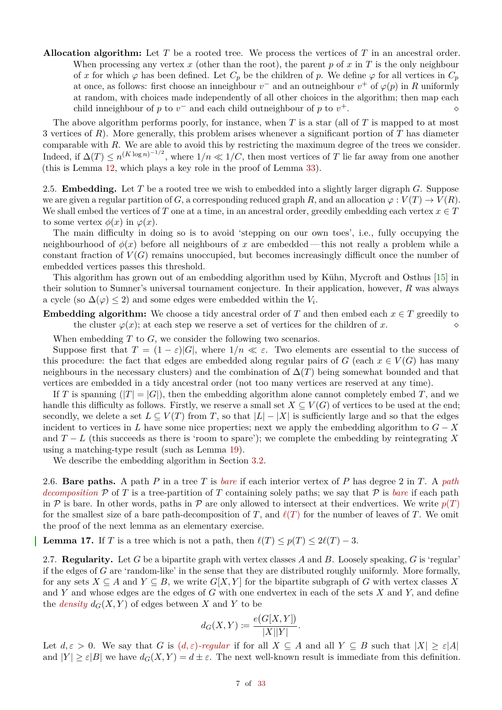**Allocation algorithm:** Let *T* be a rooted tree. We process the vertices of *T* in an ancestral order. When processing any vertex  $x$  (other than the root), the parent  $p$  of  $x$  in  $T$  is the only neighbour of *x* for which  $\varphi$  has been defined. Let  $C_p$  be the children of *p*. We define  $\varphi$  for all vertices in  $C_p$ at once, as follows: first choose an inneighbour  $v^{-}$  and an outneighbour  $v^{+}$  of  $\varphi(p)$  in R uniformly at random, with choices made independently of all other choices in the algorithm; then map each child inneighbour of  $p$  to  $v^-$  and each child outneighbour of  $p$  to  $v$  $^+$ .  $\circ$ 

The above algorithm performs poorly, for instance, when *T* is a star (all of *T* is mapped to at most 3 vertices of *R*). More generally, this problem arises whenever a significant portion of *T* has diameter comparable with *R*. We are able to avoid this by restricting the maximum degree of the trees we consider. Indeed, if  $\Delta(T) \leq n^{(K \log n)^{-1/2}}$ , where  $1/n \ll 1/C$ , then most vertices of *T* lie far away from one another (this is Lemma [12,](#page-4-4) which plays a key role in the proof of Lemma [33\)](#page-14-0).

2.5. **Embedding.** Let *T* be a rooted tree we wish to embedded into a slightly larger digraph *G*. Suppose we are given a regular partition of *G*, a corresponding reduced graph *R*, and an allocation  $\varphi: V(T) \to V(R)$ . We shall embed the vertices of *T* one at a time, in an ancestral order, greedily embedding each vertex  $x \in T$ to some vertex  $\phi(x)$  in  $\varphi(x)$ .

The main difficulty in doing so is to avoid 'stepping on our own toes', i.e., fully occupying the neighbourhood of  $\phi(x)$  before all neighbours of x are embedded—this not really a problem while a constant fraction of  $V(G)$  remains unoccupied, but becomes increasingly difficult once the number of embedded vertices passes this threshold.

This algorithm has grown out of an embedding algorithm used by Kühn, Mycroft and Osthus [\[15\]](#page-32-14) in their solution to Sumner's universal tournament conjecture. In their application, however, *R* was always a cycle (so  $\Delta(\varphi) \leq 2$ ) and some edges were embedded within the  $V_i$ .

**Embedding algorithm:** We choose a tidy ancestral order of *T* and then embed each  $x \in T$  greedily to the cluster  $\varphi(x)$ ; at each step we reserve a set of vertices for the children of *x* the cluster  $\varphi(x)$ ; at each step we reserve a set of vertices for the children of x.

When embedding *T* to *G*, we consider the following two scenarios.

Suppose first that  $T = (1 - \varepsilon)|G|$ , where  $1/n \ll \varepsilon$ . Two elements are essential to the success of this procedure: the fact that edges are embedded along regular pairs of *G* (each  $x \in V(G)$  has many neighbours in the necessary clusters) and the combination of  $\Delta(T)$  being somewhat bounded and that vertices are embedded in a tidy ancestral order (not too many vertices are reserved at any time).

If *T* is spanning  $(|T| = |G|)$ , then the embedding algorithm alone cannot completely embed *T*, and we handle this difficulty as follows. Firstly, we reserve a small set  $X \subseteq V(G)$  of vertices to be used at the end; secondly, we delete a set  $L \subseteq V(T)$  from *T*, so that  $|L| - |X|$  is sufficiently large and so that the edges incident to vertices in *L* have some nice properties; next we apply the embedding algorithm to  $G - X$ and  $T - L$  (this succeeds as there is 'room to spare'); we complete the embedding by reintegrating X using a matching-type result (such as Lemma [19\)](#page-7-0).

We describe the embedding algorithm in Section [3.2.](#page-15-0)

2.6. **Bare paths.** A path *P* in a tree *T* is *bare* if each interior vertex of *P* has degree 2 in *T*. A *path decomposition*  $P$  of  $T$  is a tree-partition of  $T$  containing solely paths; we say that  $P$  is *bare* if each path in P is bare. In other words, paths in P are only allowed to intersect at their endvertices. We write  $p(T)$ for the smallest size of a bare path-decomposition of *T*, and  $\ell(T)$  for the number of leaves of *T*. We omit the proof of the next lemma as an elementary exercise.

<span id="page-6-0"></span>**Lemma 17.** If *T* is a tree which is not a path, then  $\ell(T) \leq p(T) \leq 2\ell(T) - 3$ .

2.7. **Regularity.** Let *G* be a bipartite graph with vertex classes *A* and *B*. Loosely speaking, *G* is 'regular' if the edges of *G* are 'random-like' in the sense that they are distributed roughly uniformly. More formally, for any sets  $X \subseteq A$  and  $Y \subseteq B$ , we write  $G[X, Y]$  for the bipartite subgraph of *G* with vertex classes X and *Y* and whose edges are the edges of *G* with one endvertex in each of the sets *X* and *Y,* and define the *density*  $d_G(X, Y)$  of edges between X and Y to be

$$
d_G(X,Y) \coloneqq \frac{e\big(G[X,Y]\big)}{|X||Y|}.
$$

Let  $d, \varepsilon > 0$ . We say that *G* is  $(d, \varepsilon)$ -regular if for all  $X \subseteq A$  and all  $Y \subseteq B$  such that  $|X| \geq \varepsilon |A|$ and  $|Y| \geq \varepsilon |B|$  we have  $d_G(X, Y) = d \pm \varepsilon$ . The next well-known result is immediate from this definition.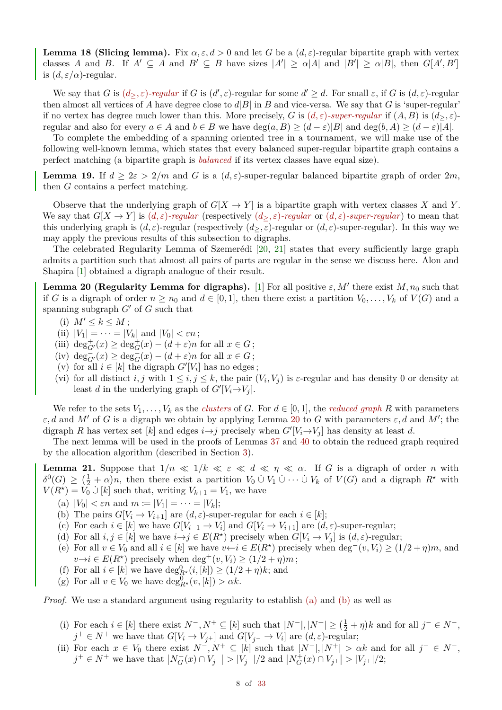<span id="page-7-10"></span>**Lemma 18 (Slicing lemma).** Fix  $\alpha, \epsilon, d > 0$  and let *G* be a  $(d, \epsilon)$ -regular bipartite graph with vertex classes *A* and *B*. If  $A' \subseteq A$  and  $B' \subseteq B$  have sizes  $|A'| \ge \alpha |A|$  and  $|B'| \ge \alpha |B|$ , then  $G[A', B']$ is  $(d, \varepsilon/\alpha)$ -regular.

We say that *G* is  $(d_{\geq}, \varepsilon)$ -regular if *G* is  $(d', \varepsilon)$ -regular for some  $d' \geq d$ . For small  $\varepsilon$ , if *G* is  $(d, \varepsilon)$ -regular then almost all vertices of *A* have degree close to  $d|B|$  in *B* and vice-versa. We say that *G* is 'super-regular' if no vertex has degree much lower than this. More precisely, *G* is  $(d, \varepsilon)$ *-super-regular* if  $(A, B)$  is  $(d_{>}, \varepsilon)$ regular and also for every  $a \in A$  and  $b \in B$  we have  $\deg(a, B) \geq (d - \varepsilon)|B|$  and  $\deg(b, A) \geq (d - \varepsilon)|A|$ .

To complete the embedding of a spanning oriented tree in a tournament, we will make use of the following well-known lemma, which states that every balanced super-regular bipartite graph contains a perfect matching (a bipartite graph is *balanced* if its vertex classes have equal size).

<span id="page-7-0"></span>**Lemma 19.** If  $d \geq 2\varepsilon > 2/m$  and *G* is a  $(d, \varepsilon)$ -super-regular balanced bipartite graph of order  $2m$ , then *G* contains a perfect matching.

Observe that the underlying graph of  $G[X \to Y]$  is a bipartite graph with vertex classes X and Y. We say that  $G[X \to Y]$  is  $(d, \varepsilon)$ *-regular* (respectively  $(d_{>}, \varepsilon)$ *-regular* or  $(d, \varepsilon)$ *-super-regular*) to mean that this underlying graph is  $(d, \varepsilon)$ -regular (respectively  $(d_{>}, \varepsilon)$ -regular or  $(d, \varepsilon)$ -super-regular). In this way we may apply the previous results of this subsection to digraphs.

The celebrated Regularity Lemma of Szemerédi [\[20,](#page-32-18) [21\]](#page-32-19) states that every sufficiently large graph admits a partition such that almost all pairs of parts are regular in the sense we discuss here. Alon and Shapira [\[1\]](#page-32-20) obtained a digraph analogue of their result.

<span id="page-7-1"></span>**Lemma 20 (Regularity Lemma for digraphs).** [\[1\]](#page-32-20) For all positive  $\varepsilon, M'$  there exist  $M, n_0$  such that if *G* is a digraph of order  $n \ge n_0$  and  $d \in [0,1]$ , then there exist a partition  $V_0, \ldots, V_k$  of  $V(G)$  and a spanning subgraph  $G'$  of  $G$  such that

$$
(i) M' \le k \le M;
$$

- (ii)  $|V_1| = \cdots = |V_k|$  and  $|V_0| < \varepsilon n$ ;
- (iii)  $\deg_{G'}^+(x) \geq \deg_G^+(x) (d + \varepsilon)n$  for all  $x \in G$ ;
- (iv)  $\deg_{G'}^-(x) \geq \deg_G^-(x) (d + \varepsilon)n$  for all  $x \in G$ ;
- (v) for all  $i \in [k]$  the digraph  $G'[V_i]$  has no edges;
- (vi) for all distinct *i, j* with  $1 \leq i, j \leq k$ , the pair  $(V_i, V_j)$  is  $\varepsilon$ -regular and has density 0 or density at least *d* in the underlying graph of  $G'[V_i \rightarrow V_j]$ .

We refer to the sets  $V_1, \ldots, V_k$  as the *clusters* of *G*. For  $d \in [0,1]$ , the *reduced graph R* with parameters  $\varepsilon$ , *d* and *M'* of *G* is a digraph we obtain by applying Lemma [20](#page-7-1) to *G* with parameters  $\varepsilon$ , *d* and *M'*; the digraph *R* has vertex set [*k*] and edges  $i \rightarrow j$  precisely when  $G'[V_i \rightarrow V_j]$  has density at least *d*.

The next lemma will be used in the proofs of Lemmas [37](#page-20-0) and [40](#page-25-0) to obtain the reduced graph required by the allocation algorithm (described in Section [3\)](#page-13-0).

<span id="page-7-11"></span>**Lemma 21.** Suppose that  $1/n \ll 1/k \ll \varepsilon \ll d \ll \eta \ll \alpha$ . If *G* is a digraph of order *n* with  $\delta^0(G) \geq (\frac{1}{2} + \alpha)n$ , then there exist a partition  $V_0 \cup V_1 \cup \cdots \cup V_k$  of  $V(G)$  and a digraph  $R^*$  with  $V(R^*) = V_0 \cup [k]$  such that, writing  $V_{k+1} = V_1$ , we have

- <span id="page-7-2"></span>(a)  $|V_0| < \varepsilon n$  and  $m := |V_1| = \cdots = |V_k|$ ;
- <span id="page-7-3"></span>(b) The pairs  $G[V_i \to V_{i+1}]$  are  $(d, \varepsilon)$ -super-regular for each  $i \in [k]$ ;
- (c) For each  $i \in [k]$  we have  $G[V_{i-1} \to V_i]$  and  $G[V_i \to V_{i+1}]$  are  $(d, \varepsilon)$ -super-regular;
- <span id="page-7-6"></span>(d) For all  $i, j \in [k]$  we have  $i \rightarrow j \in E(R^*)$  precisely when  $G[V_i \rightarrow V_j]$  is  $(d, \varepsilon)$ -regular;
- <span id="page-7-7"></span>(e) For all  $v \in V_0$  and all  $i \in [k]$  we have  $v \leftarrow i \in E(R^*)$  precisely when  $\deg^-(v, V_i) \ge (1/2 + \eta)m$ , and  $v \rightarrow i \in E(R^{\star})$  precisely when  $\deg^+(v, V_i) \geq (1/2 + \eta)m$ ;
- <span id="page-7-8"></span>(f) For all  $i \in [k]$  we have  $\deg_{R^*}^0(i,[k]) \geq (1/2 + \eta)k$ ; and
- <span id="page-7-9"></span>(g) For all  $v \in V_0$  we have  $\deg_{R^*}^0(v, [k]) > \alpha k$ .

*Proof.* We use a standard argument using regularity to establish [\(a\)](#page-7-2) and [\(b\)](#page-7-3) as well as

- <span id="page-7-4"></span>(i) For each  $i \in [k]$  there exist  $N^-, N^+ \subseteq [k]$  such that  $|N^-|, |N^+| \geq (\frac{1}{2} + \eta)k$  and for all  $j^- \in N^-$ ,  $j^+ \in N^+$  we have that  $G[V_i \to V_{j+}]$  and  $G[V_{j-} \to V_i]$  are  $(d, \varepsilon)$ -regular;
- <span id="page-7-5"></span>(ii) For each  $x \in V_0$  there exist  $N^-$ ,  $N^+ \subseteq [k]$  such that  $|N^-|$ ,  $|N^+| > \alpha k$  and for all  $j^- \in N^-$ ,  $j^+ \in N^+$  we have that  $|N_G^-(x) \cap V_{j^-}| > |\dot{V}_{j^-}|/2$  and  $|N_G^+(x) \cap V_{j^+}| > |V_{j^+}|/2$ ;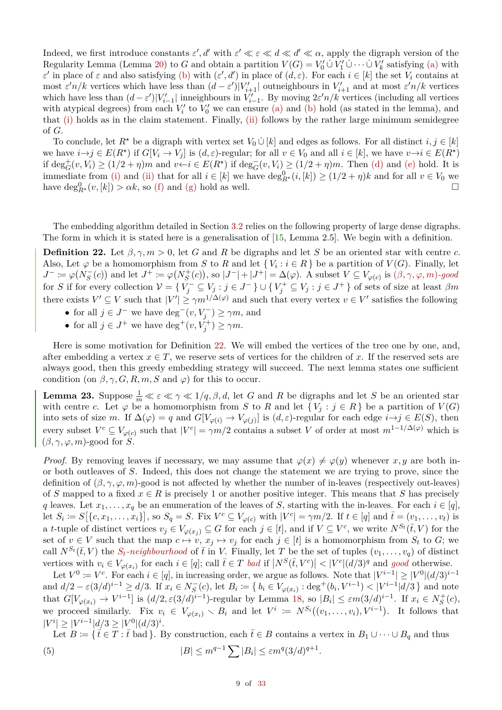Indeed, we first introduce constants  $\varepsilon'$ , *d'* with  $\varepsilon' \ll \varepsilon \ll d \ll d' \ll \alpha$ , apply the digraph version of the Regularity Lemma (Lemma [20\)](#page-7-1) to *G* and obtain a partition  $V(G) = V'_0 \cup V'_1 \cup \cdots \cup V'_k$  satisfying [\(a\)](#page-7-2) with *ε*<sup>*t*</sup> in place of  $\varepsilon$  and also satisfying [\(b\)](#page-7-3) with  $(\varepsilon', d')$  in place of  $(d, \varepsilon)$ . For each  $i \in [k]$  the set  $V_i$  contains at most  $\varepsilon' n/k$  vertices which have less than  $(d - \varepsilon')|V'_{i+1}|$  outneighbours in  $V'_{i+1}$  and at most  $\varepsilon' n/k$  vertices which have less than  $(d - \varepsilon')|V'_{i-1}|$  inneighbours in  $V'_{i-1}$ . By moving  $2\varepsilon' n/k$  vertices (including all vertices with atypical degrees) from each  $V_i'$  to  $V_0'$  we can ensure [\(a\)](#page-7-2) and [\(b\)](#page-7-3) hold (as stated in the lemma), and that [\(i\)](#page-7-4) holds as in the claim statement. Finally, [\(ii\)](#page-7-5) follows by the rather large minimum semidegree of *G*.

To conclude, let  $R^*$  be a digraph with vertex set  $V_0 \cup [k]$  and edges as follows. For all distinct  $i, j \in [k]$ we have  $i \rightarrow j \in E(R^*)$  if  $G[V_i \rightarrow V_j]$  is  $(d, \varepsilon)$ -regular; for all  $v \in V_0$  and all  $i \in [k]$ , we have  $v \rightarrow i \in E(R^*)$ if  $\deg_G^+(v, V_i) \ge (1/2 + \eta)m$  and  $v \leftarrow i \in E(R^*)$  if  $\deg_G^-(v, V_i) \ge (1/2 + \eta)m$ . Then [\(d\)](#page-7-6) and [\(e\)](#page-7-7) hold. It is immediate from [\(i\)](#page-7-4) and [\(ii\)](#page-7-5) that for all  $i \in [k]$  we have  $\deg_{R^*}^0(i,[k]) \geq (1/2 + \eta)k$  and for all  $v \in V_0$  we have  $\deg_{R^*}^0(v,[k]) > \alpha k$ , so [\(f\)](#page-7-8) and [\(g\)](#page-7-9) hold as well.

The embedding algorithm detailed in Section [3.2](#page-15-0) relies on the following property of large dense digraphs. The form in which it is stated here is a generalisation of [\[15,](#page-32-14) Lemma 2.5]. We begin with a definition.

<span id="page-8-0"></span>**Definition 22.** Let  $\beta, \gamma, m > 0$ , let *G* and *R* be digraphs and let *S* be an oriented star with centre *c*. Also, Let  $\varphi$  be a homomorphism from *S* to *R* and let  $\{V_i : i \in R\}$  be a partition of  $V(G)$ . Finally, let  $J^- := \varphi(N_S^-(c))$  and let  $J^+ := \varphi(N_S^+(c))$ , so  $|J^-| + |J^+| = \Delta(\varphi)$ . A subset  $V \subseteq V_{\varphi(c)}$  is  $(\beta, \gamma, \varphi, m)$ -good for *S* if for every collection  $V = \{V_j^- \subseteq V_j : j \in J^- \} \cup \{V_j^+ \subseteq V_j : j \in J^+ \}$  of sets of size at least  $\beta m$ there exists  $V' \subseteq V$  such that  $|V'| \geq \gamma m^{1/\Delta(\varphi)}$  and such that every vertex  $v \in V'$  satisfies the following

- for all  $j \in J^-$  we have  $\deg^-(v, V_j^-) \geq \gamma m$ , and
- for all  $j \in J^+$  we have  $\deg^+(v, V_j^+) \ge \gamma m$ .

Here is some motivation for Definition [22.](#page-8-0) We will embed the vertices of the tree one by one, and, after embedding a vertex  $x \in T$ , we reserve sets of vertices for the children of x. If the reserved sets are always good, then this greedy embedding strategy will succeed. The next lemma states one sufficient condition (on  $\beta$ ,  $\gamma$ ,  $G$ ,  $R$ ,  $m$ ,  $S$  and  $\varphi$ ) for this to occur.

<span id="page-8-2"></span>**Lemma 23.** Suppose  $\frac{1}{m} \ll \varepsilon \ll \gamma \ll 1/q, \beta, d$ , let *G* and *R* be digraphs and let *S* be an oriented star with centre *c*. Let  $\varphi$  be a homomorphism from *S* to *R* and let  $\{V_j : j \in R\}$  be a partition of  $V(G)$ into sets of size *m*. If  $\Delta(\varphi) = q$  and  $G[V_{\varphi(i)} \to V_{\varphi(j)}]$  is  $(d, \varepsilon)$ -regular for each edge  $i \to j \in E(S)$ , then every subset  $V^c \subseteq V_{\varphi(c)}$  such that  $|V^c| = \gamma m/2$  contains a subset *V* of order at most  $m^{1-1/\Delta(\varphi)}$  which is  $(\beta, \gamma, \varphi, m)$ -good for *S*.

*Proof.* By removing leaves if necessary, we may assume that  $\varphi(x) \neq \varphi(y)$  whenever *x, y* are both inor both outleaves of *S*. Indeed, this does not change the statement we are trying to prove, since the definition of  $(\beta, \gamma, \varphi, m)$ -good is not affected by whether the number of in-leaves (respectively out-leaves) of *S* mapped to a fixed  $x \in R$  is precisely 1 or another positive integer. This means that *S* has precisely *q* leaves. Let  $x_1, \ldots, x_q$  be an enumeration of the leaves of *S*, starting with the in-leaves. For each  $i \in [q]$ , let  $S_i := S[\{c, x_1, \ldots, x_i\}],$  so  $S_q = S$ . Fix  $V^c \subseteq V_{\varphi(c)}$  with  $|V^c| = \gamma m/2$ . If  $t \in [q]$  and  $\overline{t} = (v_1, \ldots, v_t)$  is a t-tuple of distinct vertices  $v_j \in V_{\varphi(x_j)} \subseteq G$  for each  $j \in [t]$ , and if  $V \subseteq V^c$ , we write  $N^{S_t}(\overline{t}, V)$  for the set of  $v \in V$  such that the map  $c \mapsto v$ ,  $x_j \mapsto v_j$  for each  $j \in [t]$  is a homomorphism from  $S_t$  to  $G$ ; we call  $N^{S_t}(\bar{t}, V)$  the  $S_t$ -neighbourhood of  $\bar{t}$  in *V*. Finally, let *T* be the set of tuples  $(v_1, \ldots, v_q)$  of distinct vertices with  $v_i \in V_{\varphi(x_i)}$  for each  $i \in [q]$ ; call  $\bar{t} \in T$  *bad* if  $|N^S(\bar{t}, V^c)| < |V^c|(d/3)^q$  and good otherwise.

Let  $V^0 := V^c$ . For each  $i \in [q]$ , in increasing order, we argue as follows. Note that  $|V^{i-1}| \geq |V^0| (d/3)^{i-1}$ and  $d/2 - \varepsilon (3/d)^{i-1} \ge d/3$ . If  $x_i \in N_S^-(c)$ , let  $B_i := \{ b_i \in V_{\varphi(x_i)} : \text{deg}^+(b_i, V^{i-1}) < |V^{i-1}|d/3 \}$  and note that  $G[V_{\varphi(x_i)} \to V^{i-1}]$  is  $(d/2, \varepsilon(3/d)^{i-1})$ -regular by Lemma [18,](#page-7-10) so  $|B_i| \leq \varepsilon m(3/d)^{i-1}$ . If  $x_i \in N_S^+(c)$ , we proceed similarly. Fix  $v_i \in V_{\varphi(x_i)} \setminus B_i$  and let  $V^i := N^{S_i}((v_1, \ldots, v_i), V^{i-1})$ . It follows that  $|V^i| \ge |V^{i-1}|d/3 \ge |V^0|(d/3)^i$ .

<span id="page-8-1"></span>Let  $B \coloneqq \{ \bar{t} \in T : \bar{t} \text{ bad } \}.$  By construction, each  $\bar{t} \in B$  contains a vertex in  $B_1 \cup \cdots \cup B_q$  and thus (5)  $|B| \le m^{q-1} \sum |B_i| \le \varepsilon m^q (3/d)^{q+1}$ .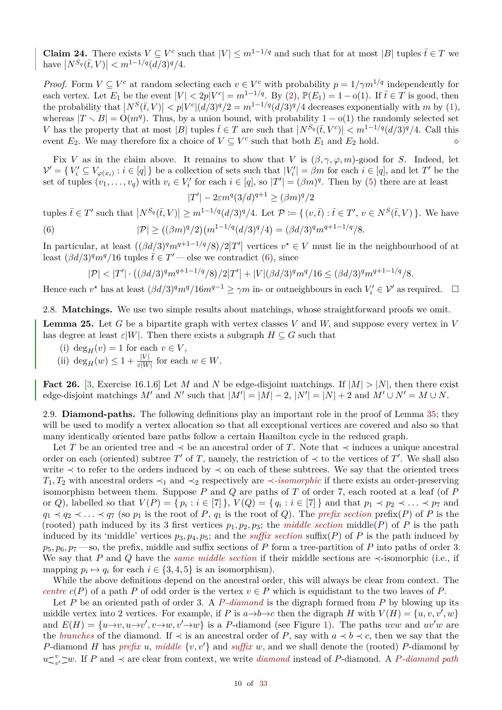**Claim 24.** There exists  $V \subseteq V^c$  such that  $|V| \le m^{1-1/q}$  and such that for at most  $|B|$  tuples  $\bar{t} \in T$  we  $|\textit{N}^{S_q}(\bar{t}, V)| < m^{1-1/q} (d/3)^q/4.$ 

*Proof.* Form  $V \subseteq V^c$  at random selecting each  $v \in V^c$  with probability  $p = 1/\gamma m^{1/q}$  independently for each vertex. Let  $E_1$  be the event  $|V| < 2p|V^c| = m^{1-1/q}$ . By [\(2\)](#page-4-5),  $\mathbb{P}(E_1) = 1 - o(1)$ . If  $\bar{t} \in T$  is good, then the probability that  $|N^S(\bar{t}, V)| < p|V^c|(d/3)^q/2 = m^{1-1/q}(d/3)^q/4$  decreases exponentially with *m* by [\(1\)](#page-4-6), whereas  $|T \setminus B| = O(m^q)$ . Thus, by a union bound, with probability 1 – o(1) the randomly selected set *V* has the property that at most |*B*| tuples  $\bar{t} \in T$  are such that  $|N^{S_q}(\bar{t}, V^c)| \leq m^{1-1/q} (d/3)^q/4$ . Call this event  $E_2$ . We may therefore fix a choice of  $V \subseteq V^c$  such that both  $E_1$  and  $E_2$  hold.

Fix *V* as in the claim above. It remains to show that *V* is  $(\beta, \gamma, \varphi, m)$ -good for *S*. Indeed, let  $\mathcal{V}' = \{ V_i' \subseteq V_{\varphi(x_i)} : i \in [q] \}$  be a collection of sets such that  $|V_i'| = \beta m$  for each  $i \in [q]$ , and let  $T'$  be the set of tuples  $(v_1, \ldots, v_q)$  with  $v_i \in V'_i$  for each  $i \in [q]$ , so  $|T'| = (\beta m)^q$ . Then by [\(5\)](#page-8-1) there are at least

<span id="page-9-0"></span>
$$
|T'| - 2\varepsilon m^q (3/d)^{q+1} \ge (\beta m)^q / 2
$$

tuples  $\bar{t} \in T'$  such that  $|N^{S_q}(\bar{t}, V)| \geq m^{1-1/q} (d/3)^q/4$ . Let  $\mathcal{P} := \{ (v, \bar{t}) : \bar{t} \in T', v \in N^S(\bar{t}, V) \}$ . We have (6)  $|\mathcal{P}| \ge ((\beta m)^q/2)(m^{1-1/q}(d/3)^q/4) = (\beta d/3)^q m^{q+1-1/q}/8.$ 

In particular, at least  $((\beta d/3)$ <sup>q</sup> $m^{q+1-1/q}/8)/2|T'|$  vertices  $v^* \in V$  must lie in the neighbourhood of at least  $(\beta d/3)^q m^q/16$  tuples  $\bar{t} \in T'$  — else we contradict [\(6\)](#page-9-0), since

$$
|\mathcal{P}| < |T'| \cdot ((\beta d/3)^q m^{q+1-1/q}/8)/2|T'| + |V| (\beta d/3)^q m^q/16 \leq (\beta d/3)^q m^{q+1-1/q}/8.
$$

Hence each  $v^*$  has at least  $(\beta d/3)^q m^q/16m^{q-1} \ge \gamma m$  in- or outneighbours in each  $V_i' \in \mathcal{V}'$  as required.  $\Box$ 

2.8. **Matchings.** We use two simple results about matchings, whose straightforward proofs we omit.

<span id="page-9-1"></span>**Lemma 25.** Let *G* be a bipartite graph with vertex classes *V* and *W,* and suppose every vertex in *V* has degree at least  $\varepsilon|W|$ . Then there exists a subgraph  $H \subseteq G$  such that

- (i) deg<sub>*H*</sub>(*v*) = 1 for each  $v \in V$ ,
- (ii)  $\deg_H(w) \leq 1 + \frac{|V|}{\varepsilon |W|}$  for each  $w \in W$ .

<span id="page-9-2"></span>**Fact 26.** [\[3,](#page-32-21) Exercise 16.1.6] Let *M* and *N* be edge-disjoint matchings. If  $|M| > |N|$ , then there exist edge-disjoint matchings  $M'$  and  $N'$  such that  $|M'| = |M| - 2$ ,  $|N'| = |N| + 2$  and  $M' \cup N' = M \cup N$ .

2.9. **Diamond-paths.** The following definitions play an important role in the proof of Lemma [35;](#page-17-1) they will be used to modify a vertex allocation so that all exceptional vertices are covered and also so that many identically oriented bare paths follow a certain Hamilton cycle in the reduced graph.

Let *T* be an oriented tree and  $\prec$  be an ancestral order of *T*. Note that  $\prec$  induces a unique ancestral order on each (oriented) subtree  $T'$  of  $T$ , namely, the restriction of  $\prec$  to the vertices of  $T'$ . We shall also write ≺ to refer to the orders induced by ≺ on each of these subtrees. We say that the oriented trees *T*<sub>1</sub>*, T*<sub>2</sub> with ancestral orders  $\prec$ <sub>1</sub> and  $\prec$ <sub>2</sub> respectively are  $\prec$ *-isomorphic* if there exists an order-preserving isomorphism between them. Suppose *P* and *Q* are paths of *T* of order 7, each rooted at a leaf (of *P* or *Q*), labelled so that  $V(P) = \{ p_i : i \in [7] \}$ ,  $V(Q) = \{ q_i : i \in [7] \}$  and that  $p_1 \prec p_2 \prec \ldots \prec p_7$  and  $q_1 \prec q_2 \prec \ldots \prec q_7$  (so  $p_1$  is the root of *P*,  $q_1$  is the root of *Q*). The *prefix section* prefix(*P*) of *P* is the (rooted) path induced by its 3 first vertices  $p_1, p_2, p_3$ ; the *middle section* middle(*P*) of *P* is the path induced by its 'middle' vertices  $p_3, p_4, p_5$ ; and the *suffix section* suffix(*P*) of *P* is the path induced by  $p_5, p_6, p_7$  — so, the prefix, middle and suffix sections of *P* form a tree-partition of *P* into paths of order 3. We say that *P* and *Q* have the *same middle section* if their middle sections are ≺-isomorphic (i.e., if mapping  $p_i \mapsto q_i$  for each  $i \in \{3, 4, 5\}$  is an isomorphism).

While the above definitions depend on the ancestral order, this will always be clear from context. The *centre*  $c(P)$  of a path *P* of odd order is the vertex  $v \in P$  which is equidistant to the two leaves of *P*.

Let *P* be an oriented path of order 3. A *P-diamond* is the digraph formed from *P* by blowing up its middle vertex into 2 vertices. For example, if *P* is  $a \rightarrow b \rightarrow c$  then the digraph *H* with  $V(H) = \{u, v, v', w\}$ and  $E(H) = \{u \rightarrow v, u \rightarrow v', v \rightarrow w, v' \rightarrow w\}$  is a *P*-diamond (see Figure [1\)](#page-10-0). The paths *uvw* and  $uv'w$  are the *branches* of the diamond. If  $\prec$  is an ancestral order of P, say with  $a \prec b \prec c$ , then we say that the *P*-diamond *H* has *prefix u*, *middle*  $\{v, v'\}$  and *suffix w*, and we shall denote the (rooted) *P*-diamond by  $u \leq v$  $\alpha$ <sup>*v*</sup><sub>*v'*</sub> ⊃*w*. If *P* and  $\prec$  are clear from context, we write *diamond* instead of *P*-diamond. A *P*-diamond path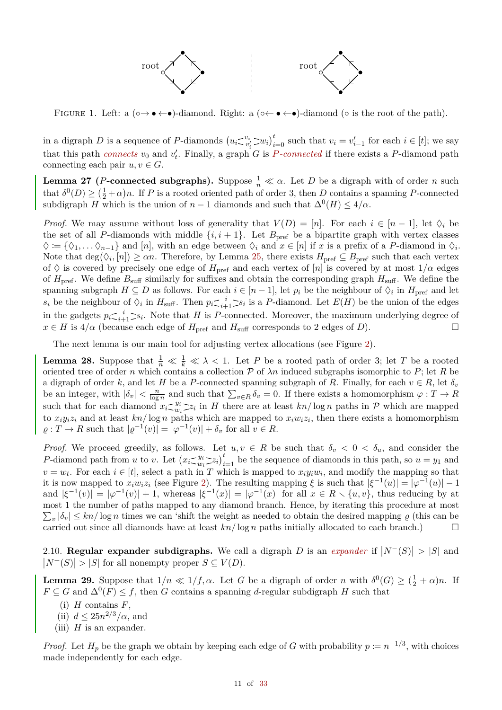

<span id="page-10-0"></span>FIGURE 1. Left: a  $(\circ \rightarrow \bullet \leftarrow \bullet)$ -diamond. Right: a  $(\circ \leftarrow \bullet \leftarrow \bullet)$ -diamond  $(\circ$  is the root of the path).

in a digraph D is a sequence of P-diamonds  $(u_i \leq v_i \leq w_i)_{i=0}^t$  such that  $v_i = v'_{i-1}$  for each  $i \in [t]$ ; we say that this path *connects*  $v_0$  and  $v'_t$ . Finally, a graph *G* is *P-connected* if there exists a *P*-diamond path connecting each pair  $u, v \in G$ .

<span id="page-10-5"></span>**Lemma 27** (*P***-connected subgraphs**). Suppose  $\frac{1}{n} \ll \alpha$ . Let *D* be a digraph with of order *n* such that  $\delta^0(D) \geq (\frac{1}{2} + \alpha)n$ . If *P* is a rooted oriented path of order 3, then *D* contains a spanning *P*-connected subdigraph *H* which is the union of  $n-1$  diamonds and such that  $\Delta^{0}(H) \leq 4/\alpha$ .

*Proof.* We may assume without loss of generality that  $V(D) = [n]$ . For each  $i \in [n-1]$ , let  $\Diamond_i$  be the set of all *P*-diamonds with middle  $\{i, i+1\}$ . Let  $B_{\text{pref}}$  be a bipartite graph with vertex classes  $\diamondsuit := \{ \diamondsuit_1, \ldots \diamondsuit_{n-1} \}$  and  $[n]$ , with an edge between  $\diamondsuit_i$  and  $x \in [n]$  if  $x$  is a prefix of a *P*-diamond in  $\diamondsuit_i$ . Note that  $\deg(\Diamond_i, [n]) \ge \alpha n$ . Therefore, by Lemma [25,](#page-9-1) there exists  $H_{\text{pref}} \subseteq B_{\text{pref}}$  such that each vertex of  $\Diamond$  is covered by precisely one edge of  $H_{\text{pref}}$  and each vertex of [*n*] is covered by at most  $1/\alpha$  edges of  $H_{\text{pref}}$ . We define  $B_{\text{surf}}$  similarly for suffixes and obtain the corresponding graph  $H_{\text{surf}}$ . We define the spanning subgraph  $H \subseteq D$  as follows. For each  $i \in [n-1]$ , let  $p_i$  be the neighbour of  $\Diamond_i$  in  $H_{\text{pref}}$  and let  $s_i$  be the neighbour of  $\Diamond_i$  in  $H_{\text{surf}}$ . Then  $p_i \leq i+1 \geq s_i$  is a *P*-diamond. Let  $E(H)$  be the union of the edges in the gadgets  $p_i \leq i \geq s_i$ . Note that *H* is *P*-connected. Moreover, the maximum underlying degree of  $x \in H$  is  $4/\alpha$  (because each edge of  $H_{\text{pref}}$  and  $H_{\text{surf}}$  corresponds to 2 edges of *D*).

The next lemma is our main tool for adjusting vertex allocations (see Figure [2\)](#page-11-0).

<span id="page-10-4"></span>**Lemma 28.** Suppose that  $\frac{1}{n} \ll \frac{1}{k} \ll \lambda < 1$ . Let *P* be a rooted path of order 3; let *T* be a rooted oriented tree of order *n* which contains a collection  $P$  of  $\lambda n$  induced subgraphs isomorphic to  $P$ ; let  $R$  be a digraph of order *k*, and let *H* be a *P*-connected spanning subgraph of *R*. Finally, for each  $v \in R$ , let  $\delta_v$ be an integer, with  $|\delta_v| < \frac{n}{\log n}$  and such that  $\sum_{v \in R} \delta_v = 0$ . If there exists a homomorphism  $\varphi: T \to R$ such that for each diamond  $x_i \leq w_i$  $w_i \geq z_i$  in *H* there are at least  $kn/\log n$  paths in P which are mapped to  $x_i y_i z_i$  and at least  $k n / \log n$  paths which are mapped to  $x_i w_i z_i$ , then there exists a homomorphism  $\varrho: T \to R$  such that  $|\varrho^{-1}(v)| = |\varphi^{-1}(v)| + \delta_v$  for all  $v \in R$ .

*Proof.* We proceed greedily, as follows. Let  $u, v \in R$  be such that  $\delta_v < 0 < \delta_u$ , and consider the *P*-diamond path from *u* to *v*. Let  $(x_i \leq y_i)$  $w_i \geq z_i \bigg|_{i=1}^t$  be the sequence of diamonds in this path, so  $u = y_1$  and  $v = w_t$ . For each  $i \in [t]$ , select a path in *T* which is mapped to  $x_i y_i w_i$ , and modify the mapping so that it is now mapped to  $x_iw_iz_i$  (see Figure [2\)](#page-11-0). The resulting mapping  $\xi$  is such that  $|\xi^{-1}(u)| = |\varphi^{-1}(u)| - 1$ and  $|\xi^{-1}(v)| = |\varphi^{-1}(v)| + 1$ , whereas  $|\xi^{-1}(x)| = |\varphi^{-1}(x)|$  for all  $x \in R \setminus \{u, v\}$ , thus reducing by at most 1 the number of paths mapped to any diamond branch. Hence, by iterating this procedure at most  $\sum_{v} |\delta_{v}| \leq kn/\log n$  times we can 'shift the weight as needed to obtain the desired mapping  $\varrho$  (this can be carried out since all diamonds have at least  $kn/\log n$  paths initially allocated to each branch.)

2.10. **Regular expander subdigraphs.** We call a digraph *D* is an *expander* if  $|N^{-}(S)| > |S|$  and  $|N^+(S)| > |S|$  for all nonempty proper  $S \subseteq V(D)$ .

<span id="page-10-3"></span>**Lemma 29.** Suppose that  $1/n \ll 1/f$ ,  $\alpha$ . Let *G* be a digraph of order *n* with  $\delta^0(G) \geq (\frac{1}{2} + \alpha)n$ . If  $F \subseteq G$  and  $\Delta^0(F) \leq f$ , then *G* contains a spanning *d*-regular subdigraph *H* such that

- (i) *H* contains *F*,
- <span id="page-10-1"></span>(ii)  $d \leq 25n^{2/3}/\alpha$ , and
- <span id="page-10-2"></span>(iii)  $H$  is an expander.

*Proof.* Let  $H_p$  be the graph we obtain by keeping each edge of *G* with probability  $p \coloneqq n^{-1/3}$ , with choices made independently for each edge.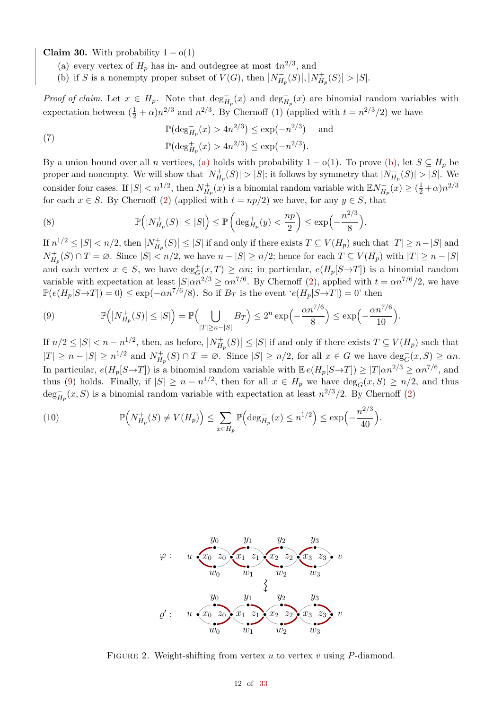<span id="page-11-1"></span>**Claim 30.** With probability  $1 - o(1)$ 

- (a) every vertex of  $H_p$  has in- and outdegree at most  $4n^{2/3}$ , and
- <span id="page-11-2"></span>(b) if *S* is a nonempty proper subset of  $V(G)$ , then  $|N_{H_p}^-(S)|, |N_{H_p}^+(S)| > |S|$ .

*Proof of claim.* Let  $x \in H_p$ . Note that  $\deg_{H_p}^+(x)$  and  $\deg_{H_p}^+(x)$  are binomial random variables with expectation between  $(\frac{1}{2} + \alpha)n^{2/3}$  and  $n^{2/3}$ . By Chernoff [\(1\)](#page-4-6) (applied with  $t = n^{2/3}/2$ ) we have

(7) 
$$
\mathbb{P}(\deg_{H_p}^{-}(x) > 4n^{2/3}) \le \exp(-n^{2/3}) \text{ and}
$$

$$
\mathbb{P}(\deg_{H_p}^{+}(x) > 4n^{2/3}) \le \exp(-n^{2/3}).
$$

By a union bound over all *n* vertices, [\(a\)](#page-11-1) holds with probability  $1 - o(1)$ . To prove [\(b\),](#page-11-2) let  $S \subseteq H_p$  be proper and nonempty. We will show that  $|N_{H_p}^+(S)| > |S|$ ; it follows by symmetry that  $|N_{H_p}^-(S)| > |S|$ . We consider four cases. If  $|S| < n^{1/2}$ , then  $N_{H_p}^+(x)$  is a binomial random variable with  $\mathbb{E} N_{H_p}^+(x) \ge (\frac{1}{2} + \alpha)n^{2/3}$ for each  $x \in S$ . By Chernoff [\(2\)](#page-4-5) (applied with  $t = np/2$ ) we have, for any  $y \in S$ , that

<span id="page-11-4"></span>(8) 
$$
\mathbb{P}\left(|N_{H_p}^+(S)|\leq |S|\right)\leq \mathbb{P}\left(\deg_{H_p}^+(y)<\frac{np}{2}\right)\leq \exp\left(-\frac{n^{2/3}}{8}\right).
$$

If  $n^{1/2} \leq |S| < n/2$ , then  $|N_{H_p}^+(S)| \leq |S|$  if and only if there exists  $T \subseteq V(H_p)$  such that  $|T| \geq n - |S|$  and  $N_{H_p}^+(S) \cap T = \emptyset$ . Since  $|S| < n/2$ , we have  $n - |S| \geq n/2$ ; hence for each  $T \subseteq V(H_p)$  with  $|T| \geq n - |S|$ and each vertex  $x \in S$ , we have  $\deg_G^+(x,T) \ge \alpha n$ ; in particular,  $e(H_p[S\to T])$  is a binomial random variable with expectation at least  $|S| \alpha n^{2/3} \ge \alpha n^{7/6}$ . By Chernoff [\(2\)](#page-4-5), applied with  $t = \alpha n^{7/6}/2$ , we have  $\mathbb{P}(e(H_p[S \to T]) = 0) \le \exp(-\alpha n^{7/6}/8)$ . So if  $B_T$  is the event ' $e(H_p[S \to T]) = 0$ ' then

<span id="page-11-3"></span>(9) 
$$
\mathbb{P}\left(|N_{H_p}^+(S)|\leq |S|\right)=\mathbb{P}\left(\bigcup_{|T|\geq n-|S|}B_T\right)\leq 2^n\exp\left(-\frac{\alpha n^{7/6}}{8}\right)\leq \exp\left(-\frac{\alpha n^{7/6}}{10}\right).
$$

If  $n/2 \leq |S| < n - n^{1/2}$ , then, as before,  $|N_{H_p}^+(S)| \leq |S|$  if and only if there exists  $T \subseteq V(H_p)$  such that  $|T| \ge n - |S| \ge n^{1/2}$  and  $N_{H_p}^+(S) \cap T = \emptyset$ . Since  $|S| \ge n/2$ , for all  $x \in G$  we have  $\deg_G^-(x, S) \ge \alpha n$ . In particular,  $e(H_p[S \to T])$  is a binomial random variable with  $\mathbb{E}e(H_p[S \to T]) \geq |T|\alpha n^{2/3} \geq \alpha n^{7/6}$ , and thus [\(9\)](#page-11-3) holds. Finally, if  $|S| \ge n - n^{1/2}$ , then for all  $x \in H_p$  we have  $\deg_G^-(x, S) \ge n/2$ , and thus  $\deg_{H_p}^-(x, S)$  is a binomial random variable with expectation at least  $n^{2/3}/2$ . By Chernoff [\(2\)](#page-4-5)

<span id="page-11-5"></span>(10) 
$$
\mathbb{P}\Big(N_{H_p}^+(S) \neq V(H_p)\Big) \leq \sum_{x \in H_p} \mathbb{P}\Big(\deg_{H_p}^-(x) \leq n^{1/2}\Big) \leq \exp\Big(-\frac{n^{2/3}}{40}\Big).
$$



<span id="page-11-0"></span>Figure 2. Weight-shifting from vertex *u* to vertex *v* using *P*-diamond.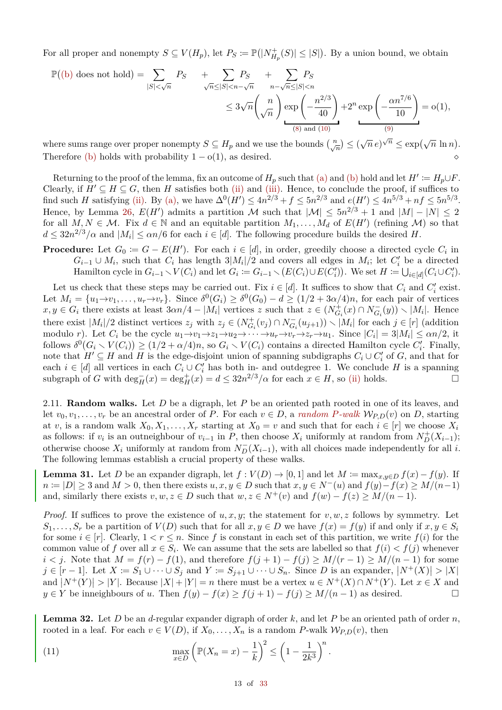For all proper and nonempty  $S \subseteq V(H_p)$ , let  $P_S := \mathbb{P}(|N^+_{H_p}(S)| \leq |S|)$ . By a union bound, we obtain

$$
\mathbb{P}((b) \text{ does not hold}) = \sum_{|S| < \sqrt{n}} P_S + \sum_{\sqrt{n} \le |S| < n - \sqrt{n}} P_S + \sum_{n - \sqrt{n} \le |S| < n} P_S
$$
\n
$$
\le 3\sqrt{n} \left(\frac{n}{\sqrt{n}}\right) \exp\left(-\frac{n^{2/3}}{40}\right) + 2^n \exp\left(-\frac{\alpha n^{7/6}}{10}\right) = o(1),
$$
\n(8) and (10)

where sums range over proper nonempty  $S \subseteq H_p$  and we use the bounds  $\binom{n}{\sqrt{n}} \leq (\sqrt{n} \, e)^{\sqrt{n}} \leq \exp(\sqrt{n} \ln n)$ . Therefore [\(b\)](#page-11-2) holds with probability  $1 - o(1)$ , as desired.

Returning to the proof of the lemma, fix an outcome of  $H_p$  such that [\(a\)](#page-11-1) and [\(b\)](#page-11-2) hold and let  $H' \coloneqq H_p \cup F$ . Clearly, if  $H' \subseteq H \subseteq G$ , then *H* satisfies both [\(ii\)](#page-10-1) and [\(iii\).](#page-10-2) Hence, to conclude the proof, if suffices to find such *H* satisfying [\(ii\).](#page-10-1) By [\(a\),](#page-11-1) we have  $\Delta^{0}(H') \le 4n^{2/3} + f \le 5n^{2/3}$  and  $e(H') \le 4n^{5/3} + nf \le 5n^{5/3}$ . Hence, by Lemma [26,](#page-9-2)  $E(H')$  admits a partition M such that  $|M| \leq 5n^{2/3} + 1$  and  $|M| - |N| \leq 2$ for all  $M, N \in \mathcal{M}$ . Fix  $d \in \mathbb{N}$  and an equitable partition  $M_1, \ldots, M_d$  of  $E(H')$  (refining  $\mathcal{M}$ ) so that  $d \leq 32n^{2/3}/\alpha$  and  $|M_i| \leq \alpha n/6$  for each  $i \in [d]$ . The following procedure builds the desired *H*.

**Procedure:** Let  $G_0 \coloneqq G - E(H')$ . For each  $i \in [d]$ , in order, greedily choose a directed cycle  $C_i$  in  $G_i$ −1 ∪  $M_i$ , such that  $C_i$  has length  $3|M_i|/2$  and covers all edges in  $M_i$ ; let  $C'_i$  be a directed Hamilton cycle in  $G_{i-1} \setminus V(C_i)$  and let  $G_i := G_{i-1} \setminus (E(C_i) \cup E(C'_i))$ . We set  $H := \bigcup_{i \in [d]} (C_i \cup C'_i)$ .

Let us check that these steps may be carried out. Fix  $i \in [d]$ . It suffices to show that  $C_i$  and  $C'_i$  exist. Let  $M_i = \{u_1 \to v_1, \ldots, u_r \to v_r\}$ . Since  $\delta^0(G_i) \geq \delta^0(G_0) - d \geq (1/2 + 3\alpha/4)n$ , for each pair of vertices  $x, y \in G_i$  there exists at least  $3\alpha n/4 - |M_i|$  vertices z such that  $z \in (N_{G_i}^+(x) \cap N_{G_i}^-(y)) \setminus |M_i|$ . Hence there exist  $|M_i|/2$  distinct vertices  $z_j$  with  $z_j \in (N_{G_i}^+(v_j) \cap N_{G_i}^-(u_{j+1})) \setminus |M_i|$  for each  $j \in [r]$  (addition modulo r). Let  $C_i$  be the cycle  $u_1 \rightarrow v_1 \rightarrow z_1 \rightarrow u_2 \rightarrow \cdots \rightarrow u_r \rightarrow v_r \rightarrow z_r \rightarrow u_1$ . Since  $|C_i| = 3|M_i| \le \alpha n/2$ , it follows  $\delta^0(G_i \setminus V(C_i)) \ge (1/2 + \alpha/4)n$ , so  $G_i \setminus V(C_i)$  contains a directed Hamilton cycle  $C_i'$ . Finally, note that  $H' \subseteq H$  and *H* is the edge-disjoint union of spanning subdigraphs  $C_i \cup C'_i$  of  $G$ , and that for each  $i \in [d]$  all vertices in each  $C_i \cup C'_i$  has both in- and outdegree 1. We conclude *H* is a spanning subgraph of *G* with  $\deg_H^-(x) = \deg_H^+(x) = d \leq 32n^{2/3}/\alpha$  for each  $x \in H$ , so [\(ii\)](#page-10-1) holds.

2.11. **Random walks.** Let *D* be a digraph, let *P* be an oriented path rooted in one of its leaves, and let  $v_0, v_1, \ldots, v_r$  be an ancestral order of *P*. For each  $v \in D$ , a *random P-walk*  $W_{P,D}(v)$  on *D*, starting at *v*, is a random walk  $X_0, X_1, \ldots, X_r$  starting at  $X_0 = v$  and such that for each  $i \in [r]$  we choose  $X_i$ as follows: if  $v_i$  is an outneighbour of  $v_{i-1}$  in *P*, then choose  $X_i$  uniformly at random from  $N_D^+(X_{i-1})$ ; otherwise choose  $X_i$  uniformly at random from  $N_D^-(X_{i-1})$ , with all choices made independently for all *i*. The following lemmas establish a crucial property of these walks.

<span id="page-12-0"></span>**Lemma 31.** Let *D* be an expander digraph, let  $f: V(D) \to [0,1]$  and let  $M := \max_{x,y \in D} f(x) - f(y)$ . If *n* := |*D*| ≥ 3 and *M* > 0, then there exists *u, x, y* ∈ *D* such that  $x, y \in N^-(u)$  and  $f(y) - f(x) \ge M/(n-1)$ and, similarly there exists  $v, w, z \in D$  such that  $w, z \in N^+(v)$  and  $f(w) - f(z) \geq M/(n-1)$ .

*Proof.* If suffices to prove the existence of  $u, x, y$ ; the statement for  $v, w, z$  follows by symmetry. Let  $S_1, \ldots, S_r$  be a partition of  $V(D)$  such that for all  $x, y \in D$  we have  $f(x) = f(y)$  if and only if  $x, y \in S_i$ for some  $i \in [r]$ . Clearly,  $1 < r \leq n$ . Since f is constant in each set of this partition, we write  $f(i)$  for the common value of *f* over all  $x \in S_i$ . We can assume that the sets are labelled so that  $f(i) < f(j)$  whenever *i* < *j*. Note that  $M = f(r) - f(1)$ , and therefore  $f(j + 1) - f(j) \geq M/(r - 1) \geq M/(n - 1)$  for some  $j \in [r-1]$ . Let  $X := S_1 \cup \cdots \cup S_j$  and  $Y := S_{j+1} \cup \cdots \cup S_n$ . Since *D* is an expander,  $|N^+(X)| > |X|$ and  $|N^+(Y)| > |Y|$ . Because  $|X| + |Y| = n$  there must be a vertex  $u \in N^+(X) \cap N^+(Y)$ . Let  $x \in X$  and *y* ∈ *Y* be inneighbours of *u*. Then  $f(y) - f(x) \ge f(j+1) - f(j) \ge M/(n-1)$  as desired.  $\Box$ 

<span id="page-12-1"></span>**Lemma 32.** Let *D* be an *d*-regular expander digraph of order *k*, and let *P* be an oriented path of order *n*, rooted in a leaf. For each  $v \in V(D)$ , if  $X_0, \ldots, X_n$  is a random *P*-walk  $W_{P,D}(v)$ , then

(11) 
$$
\max_{x \in D} \left( \mathbb{P}(X_n = x) - \frac{1}{k} \right)^2 \le \left( 1 - \frac{1}{2k^3} \right)^n.
$$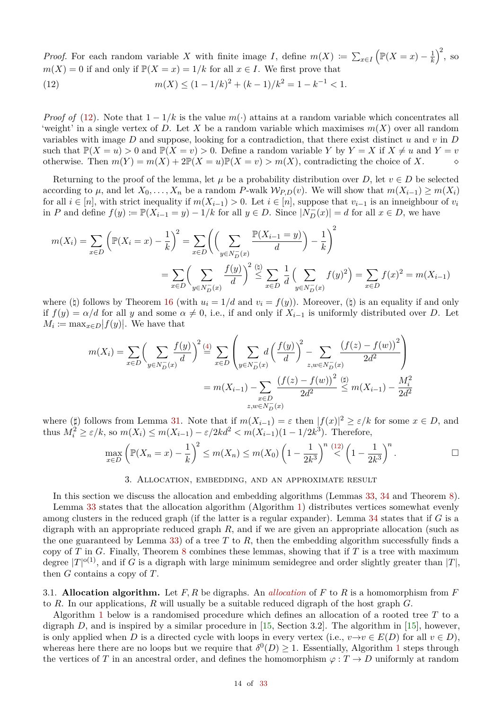*Proof.* For each random variable *X* with finite image *I*, define  $m(X) := \sum_{x \in I}$  $\left(\mathbb{P}(X=x)-\frac{1}{k}\right)$ *k*  $\big)^2$ , so  $m(X) = 0$  if and only if  $\mathbb{P}(X = x) = 1/k$  for all  $x \in I$ . We first prove that

<span id="page-13-1"></span>(12) 
$$
m(X) \le (1 - 1/k)^2 + (k - 1)/k^2 = 1 - k^{-1} < 1.
$$

*Proof of* [\(12\)](#page-13-1). Note that  $1 - 1/k$  is the value  $m(\cdot)$  attains at a random variable which concentrates all 'weight' in a single vertex of *D*. Let *X* be a random variable which maximises  $m(X)$  over all random variables with image *D* and suppose, looking for a contradiction, that there exist distinct *u* and *v* in *D* such that  $\mathbb{P}(X = u) > 0$  and  $\mathbb{P}(X = v) > 0$ . Define a random variable *Y* by  $Y = X$  if  $X \neq u$  and  $Y = v$  otherwise. Then  $m(Y) = m(X) + 2\mathbb{P}(X = u)\mathbb{P}(X = v) > m(X)$ , contradicting the choice of *X*. otherwise. Then  $m(Y) = m(X) + 2\mathbb{P}(X = u)\mathbb{P}(X = v) > m(X)$ , contradicting the choice of X.

Returning to the proof of the lemma, let  $\mu$  be a probability distribution over *D*, let  $v \in D$  be selected according to  $\mu$ , and let  $X_0, \ldots, X_n$  be a random *P*-walk  $W_{P,D}(v)$ . We will show that  $m(X_{i-1}) \geq m(X_i)$ for all *i* ∈ [*n*], with strict inequality if *m*(*Xi*−1) *>* 0. Let *i* ∈ [*n*], suppose that *vi*−<sup>1</sup> is an inneighbour of *v<sup>i</sup>* in *P* and define  $f(y) := \mathbb{P}(X_{i-1} = y) - 1/k$  for all  $y \in D$ . Since  $|N_D^-(x)| = d$  for all  $x \in D$ , we have

$$
m(X_i) = \sum_{x \in D} \left( \mathbb{P}(X_i = x) - \frac{1}{k} \right)^2 = \sum_{x \in D} \left( \left( \sum_{y \in N_D^-(x)} \frac{\mathbb{P}(X_{i-1} = y)}{d} \right) - \frac{1}{k} \right)^2
$$
  
= 
$$
\sum_{x \in D} \left( \sum_{y \in N_D^-(x)} \frac{f(y)}{d} \right)^2 \stackrel{\text{(b)}}{\leq} \sum_{x \in D} \frac{1}{d} \left( \sum_{y \in N_D^-(x)} f(y)^2 \right) = \sum_{x \in D} f(x)^2 = m(X_{i-1})
$$

where ( $\sharp$ ) follows by Theorem [16](#page-5-1) (with  $u_i = 1/d$  and  $v_i = f(y)$ ). Moreover, ( $\sharp$ ) is an equality if and only if  $f(y) = \alpha/d$  for all *y* and some  $\alpha \neq 0$ , i.e., if and only if  $X_{i-1}$  is uniformly distributed over *D*. Let  $M_i := \max_{x \in D} |f(y)|$ . We have that

$$
m(X_i) = \sum_{x \in D} \left( \sum_{y \in N_D^-(x)} \frac{f(y)}{d} \right)^2 \stackrel{(4)}{=} \sum_{x \in D} \left( \sum_{y \in N_D^-(x)} d \left( \frac{f(y)}{d} \right)^2 - \sum_{z, w \in N_D^-(x)} \frac{\left(f(z) - f(w)\right)^2}{2d^2} \right)
$$
  

$$
= m(X_{i-1}) - \sum_{\substack{x \in D \\ z, w \in N_D^-(x)}} \frac{\left(f(z) - f(w)\right)^2}{2d^2} \stackrel{(4)}{\leq} m(X_{i-1}) - \frac{M_i^2}{2d^2}
$$

where  $(\sharp)$  follows from Lemma [31.](#page-12-0) Note that if  $m(X_{i-1}) = \varepsilon$  then  $|f(x)|^2 \ge \varepsilon/k$  for some  $x \in D$ , and thus  $M_i^2 \ge \varepsilon/k$ , so  $m(X_i) \le m(X_{i-1}) - \varepsilon/2kd^2 < m(X_{i-1})(1 - 1/2k^3)$ . Therefore,

$$
\max_{x \in D} \left( \mathbb{P}(X_n = x) - \frac{1}{k} \right)^2 \le m(X_n) \le m(X_0) \left( 1 - \frac{1}{2k^3} \right)^{n-1/2} \left( 1 - \frac{1}{2k^3} \right)^n.
$$

### 3. Allocation, embedding, and an approximate result

<span id="page-13-0"></span>In this section we discuss the allocation and embedding algorithms (Lemmas [33,](#page-14-0) [34](#page-16-0) and Theorem [8\)](#page-1-0).

Lemma [33](#page-14-0) states that the allocation algorithm (Algorithm [1\)](#page-14-1) distributes vertices somewhat evenly among clusters in the reduced graph (if the latter is a regular expander). Lemma [34](#page-16-0) states that if *G* is a digraph with an appropriate reduced graph *R*, and if we are given an appropriate allocation (such as the one guaranteed by Lemma [33\)](#page-14-0) of a tree *T* to *R*, then the embedding algorithm successfully finds a copy of *T* in *G*. Finally, Theorem [8](#page-1-0) combines these lemmas, showing that if *T* is a tree with maximum degree  $|T|^{o(1)}$ , and if *G* is a digraph with large minimum semidegree and order slightly greater than  $|T|$ , then *G* contains a copy of *T*.

3.1. **Allocation algorithm.** Let *F, R* be digraphs. An *allocation* of *F* to *R* is a homomorphism from *F* to *R*. In our applications, *R* will usually be a suitable reduced digraph of the host graph *G*.

Algorithm [1](#page-14-1) below is a randomised procedure which defines an allocation of a rooted tree *T* to a digraph  $D$ , and is inspired by a similar procedure in [\[15,](#page-32-14) Section 3.2]. The algorithm in [\[15\]](#page-32-14), however, is only applied when *D* is a directed cycle with loops in every vertex (i.e.,  $v \rightarrow v \in E(D)$  for all  $v \in D$ ), whereas here there are no loops but we require that  $\delta^0(D) \geq 1$  $\delta^0(D) \geq 1$ . Essentially, Algorithm 1 steps through the vertices of *T* in an ancestral order, and defines the homomorphism  $\varphi : T \to D$  uniformly at random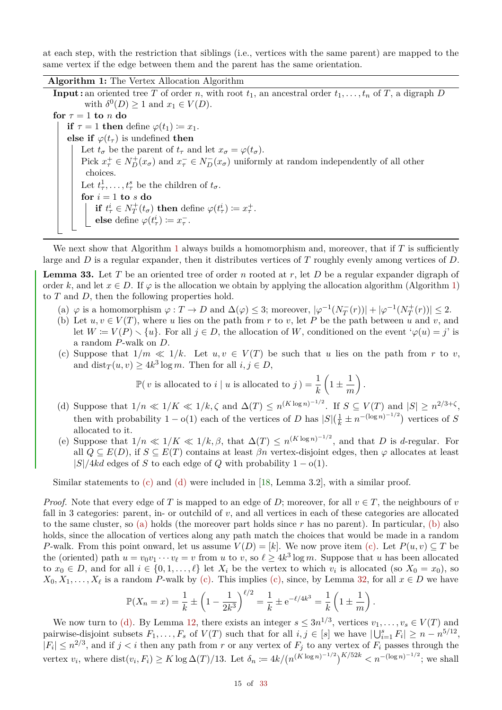at each step, with the restriction that siblings (i.e., vertices with the same parent) are mapped to the same vertex if the edge between them and the parent has the same orientation.

**Algorithm 1:** The Vertex Allocation Algorithm

<span id="page-14-1"></span>**Input :** an oriented tree *T* of order *n*, with root  $t_1$ , an ancestral order  $t_1, \ldots, t_n$  of *T*, a digraph *D* with  $\delta^0(D) \ge 1$  and  $x_1 \in V(D)$ . **for**  $\tau = 1$  **to**  $n$  **do if**  $\tau = 1$  **then** define  $\varphi(t_1) \coloneqq x_1$ . **else if**  $\varphi(t_\tau)$  is undefined **then** Let  $t_{\sigma}$  be the parent of  $t_{\tau}$  and let  $x_{\sigma} = \varphi(t_{\sigma})$ . Pick  $x_{\tau}^+ \in N_D^+(x_{\sigma})$  and  $x_{\tau}^- \in N_D^-(x_{\sigma})$  uniformly at random independently of all other choices. Let  $t^1_\tau, \ldots, t^s_\tau$  be the children of  $t_\sigma$ .  $f$  *or*  $i = 1$  **to**  $s$  **do if**  $t^i_\tau \in N^+_T(t_\sigma)$  then define  $\varphi(t^i_\tau) := x^+_\tau$ . **else** define  $\varphi(t^i_\tau) \coloneqq x^-_\tau$ .

We next show that Algorithm [1](#page-14-1) always builds a homomorphism and, moreover, that if  $T$  is sufficiently large and *D* is a regular expander, then it distributes vertices of *T* roughly evenly among vertices of *D*.

<span id="page-14-0"></span>**Lemma 33.** Let *T* be an oriented tree of order *n* rooted at *r*, let *D* be a regular expander digraph of order *k*, and let  $x \in D$ . If  $\varphi$  is the allocation we obtain by applying the allocation algorithm (Algorithm [1\)](#page-14-1) to *T* and *D*, then the following properties hold.

- <span id="page-14-4"></span> $\left(\alpha\right) \varphi$  is a homomorphism  $\varphi: T \to D$  and  $\Delta(\varphi) \leq 3$ ; moreover,  $|\varphi^{-1}(N_T^-(r))| + |\varphi^{-1}(N_T^+(r))| \leq 2$ .
- <span id="page-14-5"></span>(b) Let  $u, v \in V(T)$ , where *u* lies on the path from *r* to *v*, let *P* be the path between *u* and *v*, and let  $W := V(P) \setminus \{u\}$ . For all  $j \in D$ , the allocation of W, conditioned on the event ' $\varphi(u) = j'$  is a random *P*-walk on *D*.
- <span id="page-14-2"></span>(c) Suppose that  $1/m \ll 1/k$ . Let  $u, v \in V(T)$  be such that *u* lies on the path from *r* to *v*, and  $\text{dist}_T(u, v) \ge 4k^3 \log m$ . Then for all  $i, j \in D$ ,

*.*

$$
\mathbb{P}(\,v \text{ is allocated to } i \mid u \text{ is allocated to } j \,) = \frac{1}{k} \left(1 \pm \frac{1}{m}\right)
$$

- <span id="page-14-3"></span>(d) Suppose that  $1/n \ll 1/K \ll 1/k$ ,  $\zeta$  and  $\Delta(T) \le n^{(K \log n)^{-1/2}}$ . If  $S \subseteq V(T)$  and  $|S| \ge n^{2/3+\zeta}$ , then with probability  $1 - o(1)$  each of the vertices of *D* has  $|S|(\frac{1}{k} \pm n^{-(\log n)^{-1/2}})$  vertices of *S* allocated to it.
- <span id="page-14-6"></span>(e) Suppose that  $1/n \ll 1/K \ll 1/k$ ,  $\beta$ , that  $\Delta(T) \leq n^{(K \log n)^{-1/2}}$ , and that *D* is *d*-regular. For all  $Q \subseteq E(D)$ , if  $S \subseteq E(T)$  contains at least  $\beta n$  vertex-disjoint edges, then  $\varphi$  allocates at least  $|S|/4kd$  edges of *S* to each edge of *Q* with probability  $1 - o(1)$ .

Similar statements to [\(c\)](#page-14-2) and [\(d\)](#page-14-3) were included in [\[18,](#page-32-11) Lemma 3.2], with a similar proof.

*Proof.* Note that every edge of *T* is mapped to an edge of *D*; moreover, for all  $v \in T$ , the neighbours of *v* fall in 3 categories: parent, in- or outchild of *v*, and all vertices in each of these categories are allocated to the same cluster, so [\(a\)](#page-14-4) holds (the moreover part holds since  $r$  has no parent). In particular, [\(b\)](#page-14-5) also holds, since the allocation of vertices along any path match the choices that would be made in a random *P*-walk. From this point onward, let us assume  $V(D) = [k]$ . We now prove item [\(c\).](#page-14-2) Let  $P(u, v) \subset T$  be the (oriented) path  $u = v_0 v_1 \cdots v_\ell = v$  from *u* to *v*, so  $\ell \geq 4k^3 \log m$ . Suppose that *u* has been allocated to  $x_0 \in D$ , and for all  $i \in \{0, 1, \ldots, \ell\}$  let  $X_i$  be the vertex to which  $v_i$  is allocated (so  $X_0 = x_0$ ), so  $X_0, X_1, \ldots, X_\ell$  is a random *P*-walk by [\(c\).](#page-14-2) This implies [\(c\),](#page-14-2) since, by Lemma [32,](#page-12-1) for all  $x \in D$  we have

$$
\mathbb{P}(X_n = x) = \frac{1}{k} \pm \left(1 - \frac{1}{2k^3}\right)^{\ell/2} = \frac{1}{k} \pm e^{-\ell/4k^3} = \frac{1}{k} \left(1 \pm \frac{1}{m}\right).
$$

We now turn to [\(d\).](#page-14-3) By Lemma [12,](#page-4-4) there exists an integer  $s \leq 3n^{1/3}$ , vertices  $v_1, \ldots, v_s \in V(T)$  and pairwise-disjoint subsets  $F_1, \ldots, F_s$  of  $V(T)$  such that for all  $i, j \in [s]$  we have  $|\bigcup_{i=1}^s F_i| \geq n - n^{5/12}$ ,  $|F_i| \leq n^{2/3}$ , and if  $j < i$  then any path from *r* or any vertex of  $F_j$  to any vertex of  $F_i$  passes through the vertex  $v_i$ , where  $dist(v_i, F_i) \ge K \log \Delta(T)/13$ . Let  $\delta_n := 4k/(n^{(K \log n)^{-1/2}})^{K/52k} < n^{-(\log n)^{-1/2}}$ ; we shall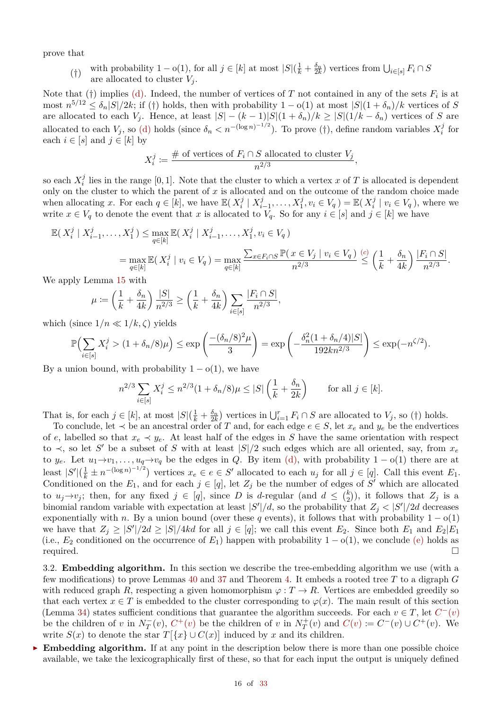prove that

(†) with probability  $1 - o(1)$ , for all  $j \in [k]$  at most  $|S|(\frac{1}{k} + \frac{\delta_n}{2k})$  vertices from  $\bigcup_{i \in [s]} F_i \cap S$ are allocated to cluster  $V_i$ .

Note that (†) implies [\(d\).](#page-14-3) Indeed, the number of vertices of  $T$  not contained in any of the sets  $F_i$  is at  $\text{most } n^{5/12} \leq \delta_n |S|/2k$ ; if (†) holds, then with probability  $1 - o(1)$  at most  $|S|(1 + \delta_n)/k$  vertices of *S* are allocated to each  $V_j$ . Hence, at least  $|S| - (k-1)|S|(1+\delta_n)/k \geq |S|(1/k - \delta_n)$  vertices of *S* are allocated to each *V*<sub>*j*</sub>, so [\(d\)](#page-14-3) holds (since  $\delta_n < n^{-(\log n)^{-1/2}}$ ). To prove (†), define random variables  $X_i^j$  $\int\limits_i^j$  for each  $i \in [s]$  and  $j \in [k]$  by

$$
X_i^j := \frac{\text{\# of vertices of } F_i \cap S \text{ allocated to cluster } V_j}{n^{2/3}},
$$

so each  $X_i^j$  $\frac{J}{i}$  lies in the range [0, 1]. Note that the cluster to which a vertex *x* of *T* is allocated is dependent only on the cluster to which the parent of *x* is allocated and on the outcome of the random choice made when allocating *x*. For each  $q \in [k]$ , we have  $\mathbb{E}(X_i^j)$  $\frac{j}{i}$  |  $X_i^j$  $X_1^j, \ldots, X_1^j, v_i \in V_q$ ) =  $\mathbb{E}(X_i^j)$  $\mathcal{V}_i^{\jmath} \mid v_i \in V_q$ ), where we write  $x \in V_q$  to denote the event that  $x$  is allocated to  $V_q$ . So for any  $i \in [s]$  and  $j \in [k]$  we have

$$
\mathbb{E}(X_i^j | X_{i-1}^j, \dots, X_1^j) \le \max_{q \in [k]} \mathbb{E}(X_i^j | X_{i-1}^j, \dots, X_1^j, v_i \in V_q)
$$
\n
$$
= \max_{q \in [k]} \mathbb{E}(X_i^j | v_i \in V_q) = \max_{q \in [k]} \frac{\sum_{x \in F_i \cap S} \mathbb{P}(x \in V_j | v_i \in V_q)}{n^{2/3}} \le \left(\frac{1}{k} + \frac{\delta_n}{4k}\right) \frac{|F_i \cap S|}{n^{2/3}}.
$$

We apply Lemma [15](#page-5-3) with

$$
\mu := \left(\frac{1}{k} + \frac{\delta_n}{4k}\right) \frac{|S|}{n^{2/3}} \ge \left(\frac{1}{k} + \frac{\delta_n}{4k}\right) \sum_{i \in [s]} \frac{|F_i \cap S|}{n^{2/3}},
$$

which (since  $1/n \ll 1/k, \zeta$ ) yields

$$
\mathbb{P}\Big(\sum_{i\in[s]}X_i^j > (1+\delta_n/8)\mu\Big) \le \exp\left(\frac{-(\delta_n/8)^2\mu}{3}\right) = \exp\left(-\frac{\delta_n^2(1+\delta_n/4)|S|}{192kn^{2/3}}\right) \le \exp(-n^{\zeta/2}).
$$

By a union bound, with probability  $1 - o(1)$ , we have

$$
n^{2/3} \sum_{i \in [s]} X_i^j \le n^{2/3} (1 + \delta_n/8) \mu \le |S| \left( \frac{1}{k} + \frac{\delta_n}{2k} \right) \qquad \text{for all } j \in [k].
$$

That is, for each  $j \in [k]$ , at most  $|S|(\frac{1}{k} + \frac{\delta_n}{2k})$  vertices in  $\bigcup_{i=1}^r F_i \cap S$  are allocated to  $V_j$ , so (†) holds.

To conclude, let ≺ be an ancestral order of *T* and, for each edge *e* ∈ *S*, let *x<sup>e</sup>* and *y<sup>e</sup>* be the endvertices of *e*, labelled so that  $x_e \prec y_e$ . At least half of the edges in *S* have the same orientation with respect to  $\prec$ , so let *S*<sup>'</sup> be a subset of *S* with at least  $|S|/2$  such edges which are all oriented, say, from *x*<sup>*e*</sup> to *y<sub>e</sub>*. Let  $u_1 \rightarrow v_1, \ldots, u_q \rightarrow v_q$  be the edges in *Q*. By item [\(d\),](#page-14-3) with probability  $1 - o(1)$  there are at least  $|S'|(\frac{1}{k} \pm n^{-(\log n)^{-1/2}})$  vertices  $x_e \in e \in S'$  allocated to each  $u_j$  for all  $j \in [q]$ . Call this event  $E_1$ . Conditioned on the  $E_1$ , and for each  $j \in [q]$ , let  $Z_j$  be the number of edges of S' which are allocated to  $u_j \rightarrow v_j$ ; then, for any fixed  $j \in [q]$ , since *D* is *d*-regular (and  $d \leq {k \choose 2}$  $\binom{k}{2}$ , it follows that  $Z_j$  is a binomial random variable with expectation at least  $|S'|/d$ , so the probability that  $Z_j < |S'|/2d$  decreases exponentially with *n*. By a union bound (over these *q* events), it follows that with probability  $1 - o(1)$ we have that  $Z_j \geq |S'|/2d \geq |S|/4kd$  for all  $j \in [q]$ ; we call this event  $E_2$ . Since both  $E_1$  and  $E_2|E_1$ (i.e.,  $E_2$  conditioned on the occurrence of  $E_1$ ) happen with probability 1 – o(1), we conclude [\(e\)](#page-14-6) holds as required. required.  $\Box$ 

<span id="page-15-0"></span>3.2. **Embedding algorithm.** In this section we describe the tree-embedding algorithm we use (with a few modifications) to prove Lemmas [40](#page-25-0) and [37](#page-20-0) and Theorem [4.](#page-0-3) It embeds a rooted tree *T* to a digraph *G* with reduced graph *R*, respecting a given homomorphism  $\varphi : T \to R$ . Vertices are embedded greedily so that each vertex  $x \in T$  is embedded to the cluster corresponding to  $\varphi(x)$ . The main result of this section (Lemma [34\)](#page-16-0) states sufficient conditions that guarantee the algorithm succeeds. For each  $v \in T$ , let  $C^-(v)$ be the children of *v* in  $N_T^-(v)$ ,  $C^+(v)$  be the children of *v* in  $N_T^+(v)$  and  $C(v) := C^-(v) \cup C^+(v)$ . We write  $S(x)$  to denote the star  $T[\lbrace x \rbrace \cup C(x)]$  induced by x and its children.

**Embedding algorithm.** If at any point in the description below there is more than one possible choice available, we take the lexicographically first of these, so that for each input the output is uniquely defined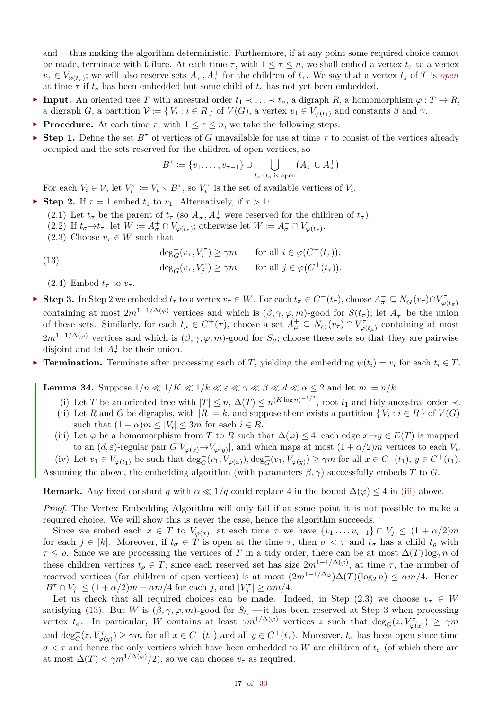and — thus making the algorithm deterministic. Furthermore, if at any point some required choice cannot be made, terminate with failure. At each time  $\tau$ , with  $1 \leq \tau \leq n$ , we shall embed a vertex  $t_{\tau}$  to a vertex  $v_{\tau} \in V_{\varphi(t_{\tau})}$ ; we will also reserve sets  $A_{\tau}$ ,  $A_{\tau}^{+}$  for the children of  $t_{\tau}$ . We say that a vertex  $t_s$  of T is open at time  $\tau$  if  $t_s$  has been embedded but some child of  $t_s$  has not yet been embedded.

- $\blacktriangleright$  **Input.** An oriented tree *T* with ancestral order  $t_1$   $\prec$  ...  $\prec$   $t_n$ , a digraph *R*, a homomorphism  $\varphi$  : *T* → *R*, a digraph *G*, a partition  $V := \{ V_i : i \in R \}$  of  $V(G)$ , a vertex  $v_1 \in V_{\varphi(t_1)}$  and constants  $\beta$  and  $\gamma$ .
- **Procedure.** At each time  $\tau$ , with  $1 \leq \tau \leq n$ , we take the following steps.
- **F** Step 1. Define the set  $B^{\tau}$  of vertices of *G* unavailable for use at time  $\tau$  to consist of the vertices already occupied and the sets reserved for the children of open vertices, so

$$
B^\tau \coloneqq \{v_1, \dots, v_{\tau-1}\} \cup \bigcup_{t_s \colon t_s \text{ is open}} (A_s^- \cup A_s^+)
$$

For each  $V_i \in \mathcal{V}$ , let  $V_i^{\tau} := V_i \setminus B^{\tau}$ , so  $V_i^{\tau}$  is the set of available vertices of  $V_i$ .

- **F** Step 2. If  $\tau = 1$  embed  $t_1$  to  $v_1$ . Alternatively, if  $\tau > 1$ :
	- (2.1) Let  $t_{\sigma}$  be the parent of  $t_{\tau}$  (so  $A_{\sigma}^-$ ,  $A_{\sigma}^+$  were reserved for the children of  $t_{\sigma}$ ).
	- $(2.2)$  If  $t_{\sigma} \to t_{\tau}$ , let  $W := A_{\sigma}^+ \cap V_{\varphi(t_{\tau})}$ ; otherwise let  $W := A_{\sigma}^- \cap V_{\varphi(t_{\tau})}$ .
	- (2.3) Choose  $v_\tau \in W$  such that

<span id="page-16-2"></span>(13) 
$$
\deg_G^-(v_\tau, V_i^\tau) \ge \gamma m \quad \text{for all } i \in \varphi(C^-(t_\tau)),
$$

$$
\deg_G^+(v_\tau, V_j^\tau) \ge \gamma m \quad \text{for all } j \in \varphi(C^+(t_\tau)).
$$

(2.4) Embed  $t_\tau$  to  $v_\tau$ .

- ► Step 3. In Step 2 we embedded  $t_{\tau}$  to a vertex  $v_{\tau} \in W$ . For each  $t_{\pi} \in C^{-}(t_{\tau})$ , choose  $A_{\pi}^{-} \subseteq N_{G}^{-}(v_{\tau}) \cap V_{\varphi(t_{\pi})}^{\tau}$ containing at most  $2m^{1-1/\Delta(\varphi)}$  vertices and which is  $(\beta, \gamma, \varphi, m)$ -good for  $S(t_\pi)$ ; let  $A_\tau^-$  be the union of these sets. Similarly, for each  $t_{\mu} \in C^+(\tau)$ , choose a set  $A^+_{\mu} \subseteq N^+_G(v_{\tau}) \cap V^{\tau}_{\varphi(t_{\mu})}$  containing at most  $2m^{1-1/\Delta(\varphi)}$  vertices and which is  $(\beta, \gamma, \varphi, m)$ -good for  $S_\mu$ ; choose these sets so that they are pairwise disjoint and let  $A^+$  be their union.
- **► Termination.** Terminate after processing each of *T*, yielding the embedding  $\psi(t_i) = v_i$  for each  $t_i \in T$ .

<span id="page-16-0"></span>**Lemma 34.** Suppose  $1/n \ll 1/K \ll 1/k \ll \varepsilon \ll \gamma \ll \beta \ll d \ll \alpha \leq 2$  and let  $m := n/k$ .

- (i) Let *T* be an oriented tree with  $|T| \le n$ ,  $\Delta(T) \le n^{(K \log n)^{-1/2}}$ , root  $t_1$  and tidy ancestral order  $\prec$ .
- (ii) Let *R* and *G* be digraphs, with  $|R| = k$ , and suppose there exists a partition  $\{V_i : i \in R\}$  of  $V(G)$ such that  $(1 + \alpha)m \leq |V_i| \leq 3m$  for each  $i \in R$ .
- <span id="page-16-1"></span>(iii) Let  $\varphi$  be a homomorphism from *T* to *R* such that  $\Delta(\varphi) \leq 4$ , each edge  $x \rightarrow y \in E(T)$  is mapped to an  $(d, \varepsilon)$ -regular pair  $G[V_{\varphi(x)} \to V_{\varphi(y)}]$ , and which maps at most  $(1 + \alpha/2)m$  vertices to each  $V_i$ .
- <span id="page-16-3"></span>(iv) Let  $v_1 \in V_{\varphi(t_1)}$  be such that  $\deg_G^-(v_1, V_{\varphi(x)})$ ,  $\deg_G^+(v_1, V_{\varphi(y)}) \ge \gamma m$  for all  $x \in C^-(t_1)$ ,  $y \in C^+(t_1)$ .

Assuming the above, the embedding algorithm (with parameters  $\beta$ ,  $\gamma$ ) successfully embeds *T* to *G*.

**Remark.** Any fixed constant *q* with  $\alpha \ll 1/q$  could replace 4 in the bound  $\Delta(\varphi) \leq 4$  in [\(iii\)](#page-16-1) above.

*Proof.* The Vertex Embedding Algorithm will only fail if at some point it is not possible to make a required choice. We will show this is never the case, hence the algorithm succeeds.

Since we embed each  $x \in T$  to  $V_{\varphi(x)}$ , at each time  $\tau$  we have  $\{v_1, \ldots, v_{\tau-1}\} \cap V_j \leq (1 + \alpha/2)m$ for each  $j \in [k]$ . Moreover, if  $t_{\sigma} \in T$  is open at the time  $\tau$ , then  $\sigma < \tau$  and  $t_{\sigma}$  has a child  $t_{\rho}$  with  $\tau \leq \rho$ . Since we are processing the vertices of *T* in a tidy order, there can be at most  $\Delta(T) \log_2 n$  of these children vertices  $t_\rho \in T$ ; since each reserved set has size  $2m^{1-1/\Delta(\varphi)}$ , at time  $\tau$ , the number of reserved vertices (for children of open vertices) is at most  $(2m^{1-1/\Delta_{\varphi}})\Delta(T)(\log_2 n) \leq \alpha m/4$ . Hence  $|B^{\tau} \cap V_j| \leq (1 + \alpha/2)m + \alpha m/4$  for each *j*, and  $|V_j^{\tau}| \geq \alpha m/4$ .

Let us check that all required choices can be made. Indeed, in Step (2.3) we choose  $v<sub>\tau</sub> \in W$ satisfying [\(13\)](#page-16-2). But *W* is  $(\beta, \gamma, \varphi, m)$ -good for  $S_{t_{\tau}}$  — it has been reserved at Step 3 when processing vertex  $t_{\sigma}$ . In particular, *W* contains at least  $\gamma m^{1/\Delta(\varphi)}$  vertices *z* such that  $\deg_{G}^{-}(z, V_{\varphi(x)}^{\tau}) \geq \gamma m$ and  $\deg_G^+(z, V_{\varphi(y)}^{\tau}) \ge \gamma m$  for all  $x \in C^-(t_{\tau})$  and all  $y \in C^+(t_{\tau})$ . Moreover,  $t_{\sigma}$  has been open since time  $\sigma < \tau$  and hence the only vertices which have been embedded to *W* are children of  $t_{\sigma}$  (of which there are at most  $\Delta(T) < \gamma m^{1/\Delta(\varphi)} / 2$ , so we can choose  $v_{\tau}$  as required.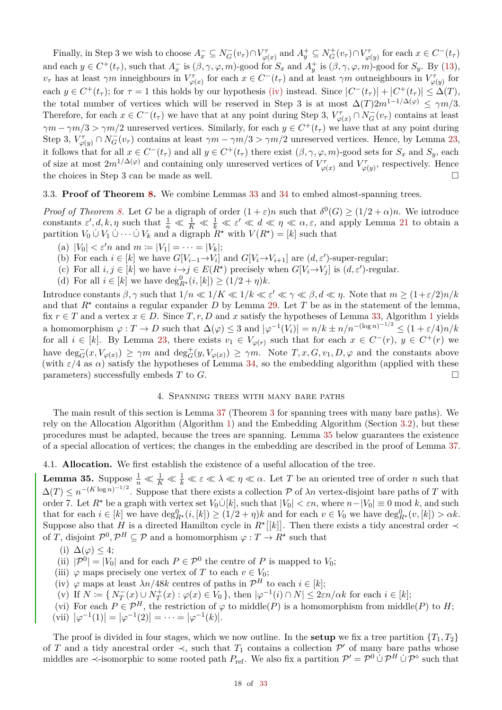Finally, in Step 3 we wish to choose  $A_x^- \subseteq N_G^-(v_\tau) \cap V_{\varphi(x)}^\tau$  and  $A_y^+ \subseteq N_G^+(v_\tau) \cap V_{\varphi(y)}^\tau$  for each  $x \in C^-(t_\tau)$ and each  $y \in C^+(t_\tau)$ , such that  $A_x^-$  is  $(\beta, \gamma, \varphi, m)$ -good for  $S_x$  and  $A_y^+$  is  $(\beta, \gamma, \varphi, m)$ -good for  $S_y$ . By [\(13\)](#page-16-2), *v*<sub>*τ*</sub> has at least  $\gamma m$  inneighbours in  $V^{\tau}_{\varphi(x)}$  for each  $x \in C^{-}(t_{\tau})$  and at least  $\gamma m$  outneighbours in  $V^{\tau}_{\varphi(y)}$  for each  $y \in C^+(t_\tau)$ ; for  $\tau = 1$  this holds by our hypothesis [\(iv\)](#page-16-3) instead. Since  $|C^-(t_\tau)| + |C^+(t_\tau)| \leq \Delta(T)$ , the total number of vertices which will be reserved in Step 3 is at most  $\Delta(T)2m^{1-1/\Delta(\varphi)} \leq \gamma m/3$ . Therefore, for each  $x \in C^{-}(t_{\tau})$  we have that at any point during Step 3,  $V_{\varphi(x)}^{\tau} \cap N_{G}^{-}(v_{\tau})$  contains at least  $\gamma m - \gamma m/3 > \gamma m/2$  unreserved vertices. Similarly, for each  $y \in C^+(t_\tau)$  we have that at any point during Step 3,  $V^{\tau}_{\varphi(y)} \cap N_G^{-}(v_{\tau})$  contains at least  $\gamma m - \gamma m/3 > \gamma m/2$  unreserved vertices. Hence, by Lemma [23,](#page-8-2) it follows that for all  $x \in C^-(t_\tau)$  and all  $y \in C^+(t_\tau)$  there exist  $(\beta, \gamma, \varphi, m)$ -good sets for  $S_x$  and  $S_y$ , each of size at most  $2m^{1/\Delta(\varphi)}$  and containing only unreserved vertices of  $V^{\tau}_{\varphi(x)}$  and  $V^{\tau}_{\varphi(y)}$ , respectively. Hence the choices in Step 3 can be made as well.  $\Box$ 

# 3.3. **Proof of Theorem [8.](#page-1-0)** We combine Lemmas [33](#page-14-0) and [34](#page-16-0) to embed almost-spanning trees.

*Proof of Theorem [8.](#page-1-0)* Let *G* be a digraph of order  $(1+\varepsilon)n$  such that  $\delta^0(G) \geq (1/2+\alpha)n$ . We introduce constants  $\varepsilon', d, k, \eta$  such that  $\frac{1}{n} \ll \frac{1}{K} \ll \frac{1}{k} \ll \varepsilon' \ll d \ll \eta \ll \alpha, \varepsilon$ , and apply Lemma [21](#page-7-11) to obtain a partition  $V_0 \cup V_1 \cup \cdots \cup V_k$  and a digraph  $R^*$  with  $V(R^*) = [k]$  such that

- (a)  $|V_0| < \varepsilon' n$  and  $m := |V_1| = \cdots = |V_k|$ ;
- (b) For each  $i \in [k]$  we have  $G[V_{i-1} \to V_i]$  and  $G[V_i \to V_{i+1}]$  are  $(d, \varepsilon')$ -super-regular;
- (c) For all  $i, j \in [k]$  we have  $i \rightarrow j \in E(R^*)$  precisely when  $G[V_i \rightarrow V_j]$  is  $(d, \varepsilon')$ -regular.
- (d) For all  $i \in [k]$  we have  $\deg_{R^*}^0(i,[k]) \ge (1/2 + \eta)k$ .

Introduce constants  $\beta, \gamma$  such that  $1/n \ll 1/K \ll 1/k \ll \varepsilon' \ll \gamma \ll \beta, d \ll \eta$ . Note that  $m \ge (1+\varepsilon/2)n/k$ and that  $R^*$  contains a regular expander *D* by Lemma [29.](#page-10-3) Let *T* be as in the statement of the lemma, fix  $r \in T$  and a vertex  $x \in D$ . Since  $T, r, D$  and  $x$  satisfy the hypotheses of Lemma [33,](#page-14-0) Algorithm [1](#page-14-1) yields a homomorphism  $\varphi: T \to D$  such that  $\Delta(\varphi) \leq 3$  and  $|\varphi^{-1}(V_i)| = n/k \pm n/n^{-(\log n)^{-1/2}} \leq (1 + \varepsilon/4)n/k$ for all  $i \in [k]$ . By Lemma [23,](#page-8-2) there exists  $v_1 \in V_{\varphi(r)}$  such that for each  $x \in C^-(r)$ ,  $y \in C^+(r)$  we have  $\deg_G^-(x, V_{\varphi(x)}) \ge \gamma m$  and  $\deg_G^+(y, V_{\varphi(x)}) \ge \gamma m$ . Note  $T, x, G, v_1, D, \varphi$  and the constants above (with  $\varepsilon/4$  as  $\alpha$ ) satisfy the hypotheses of Lemma [34,](#page-16-0) so the embedding algorithm (applied with these parameters) successfully embeds  $T$  to  $G$ .

# 4. Spanning trees with many bare paths

<span id="page-17-0"></span>The main result of this section is Lemma [37](#page-20-0) (Theorem [3](#page-0-5) for spanning trees with many bare paths). We rely on the Allocation Algorithm (Algorithm [1\)](#page-14-1) and the Embedding Algorithm (Section [3.2\)](#page-15-0), but these procedures must be adapted, because the trees are spanning. Lemma [35](#page-17-1) below guarantees the existence of a special allocation of vertices; the changes in the embedding are described in the proof of Lemma [37.](#page-20-0)

#### 4.1. **Allocation.** We first establish the existence of a useful allocation of the tree.

<span id="page-17-1"></span>**Lemma 35.** Suppose  $\frac{1}{n} \ll \frac{1}{K} \ll \frac{1}{k} \ll \varepsilon \ll \lambda \ll \eta \ll \alpha$ . Let *T* be an oriented tree of order *n* such that  $\Delta(T) \leq n^{-(K \log n)^{-1/2}}$ . Suppose that there exists a collection P of  $\lambda n$  vertex-disjoint bare paths of T with order 7. Let  $R^*$  be a graph with vertex set  $V_0 \dot{\cup} [k]$ , such that  $|V_0| < \varepsilon n$ , where  $n - |V_0| \equiv 0 \mod k$ , and such that for each  $i \in [k]$  we have  $\deg_{R^*}^0(i,[k]) \ge (1/2 + \eta)k$  and for each  $v \in V_0$  we have  $\deg_{R^*}^0(v,[k]) > \alpha k$ . Suppose also that *H* is a directed Hamilton cycle in  $R^{\star}[[k]]$ . Then there exists a tidy ancestral order  $\prec$ of *T*, disjoint  $\mathcal{P}^0$ ,  $\mathcal{P}^H \subseteq \mathcal{P}$  and a homomorphism  $\varphi : T \to R^*$  such that

- <span id="page-17-7"></span>(i)  $\Delta(\varphi) \leq 4$ ;
- <span id="page-17-8"></span>(ii)  $|\mathcal{P}^0| = |V_0|$  and for each  $P \in \mathcal{P}^0$  the centre of *P* is mapped to *V*<sub>0</sub>;
- <span id="page-17-3"></span>(iii)  $\varphi$  maps precisely one vertex of *T* to each  $v \in V_0$ ;
- <span id="page-17-5"></span>(iv)  $\varphi$  maps at least  $\lambda n/48k$  centres of paths in  $\mathcal{P}^H$  to each  $i \in [k]$ ;
- $V(x)$  If  $N := \{ N_T^-(x) \cup N_T^+(x) : \varphi(x) \in V_0 \}$ , then  $|\varphi^{-1}(i) \cap N| \leq 2\varepsilon n/\alpha k$  for each  $i \in [k];$
- <span id="page-17-6"></span><span id="page-17-4"></span><span id="page-17-2"></span>(vi) For each  $P \in \mathcal{P}^H$ , the restriction of  $\varphi$  to middle(*P*) is a homomorphism from middle(*P*) to *H*;  $(vii)$   $|\varphi^{-1}(1)| = |\varphi^{-1}(2)| = \cdots = |\varphi^{-1}(k)|.$

The proof is divided in four stages, which we now outline. In the **setup** we fix a tree partition  $\{T_1, T_2\}$ of *T* and a tidy ancestral order  $\prec$ , such that *T*<sub>1</sub> contains a collection  $\mathcal{P}'$  of many bare paths whose middles are  $\prec$ -isomorphic to some rooted path  $P_{\text{ref}}$ . We also fix a partition  $\mathcal{P}' = \mathcal{P}^0 \cup \mathcal{P}^H \cup \mathcal{P}^{\diamond}$  such that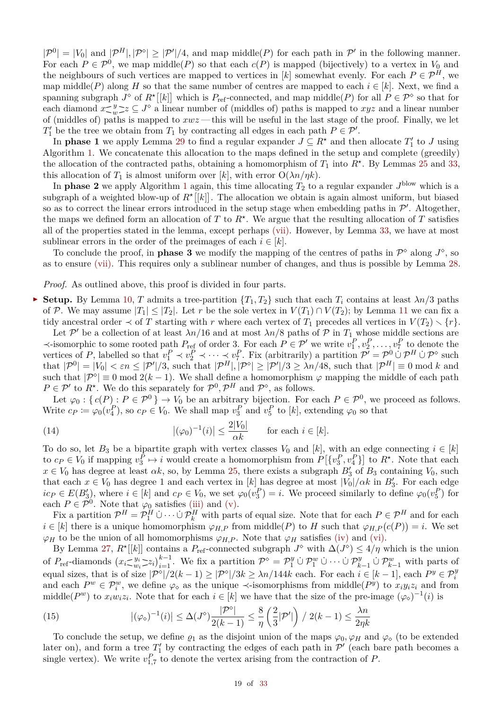$|\mathcal{P}^0| = |V_0|$  and  $|\mathcal{P}^H|, |\mathcal{P}^{\diamond}| \geq |\mathcal{P}'|/4$ , and map middle(*P*) for each path in  $\mathcal{P}'$  in the following manner. For each  $P \in \mathcal{P}^0$ , we map middle(*P*) so that each  $c(P)$  is mapped (bijectively) to a vertex in  $V_0$  and the neighbours of such vertices are mapped to vertices in [k] somewhat evenly. For each  $P \in \mathcal{P}^H$ , we map middle(*P*) along *H* so that the same number of centres are mapped to each  $i \in [k]$ . Next, we find a spanning subgraph  $J^{\circ}$  of  $R^{\star}[[k]]$  which is  $P_{\text{ref}}$ -connected, and map middle(*P*) for all  $P \in \mathcal{P}^{\circ}$  so that for each diamond  $x \leq y$  $\frac{y}{w}$   $z \subseteq J^{\diamond}$  a linear number of (middles of) paths is mapped to *xyz* and a linear number of (middles of) paths is mapped to *xwz* — this will be useful in the last stage of the proof. Finally, we let  $T_1'$  be the tree we obtain from  $T_1$  by contracting all edges in each path  $P \in \mathcal{P}'$ .

In **phase 1** we apply Lemma [29](#page-10-3) to find a regular expander  $J \subseteq R^*$  and then allocate  $T'_1$  to *J* using Algorithm [1.](#page-14-1) We concatenate this allocation to the maps defined in the setup and complete (greedily) the allocation of the contracted paths, obtaining a homomorphism of  $T_1$  into  $R^*$ . By Lemmas [25](#page-9-1) and [33,](#page-14-0) this allocation of  $T_1$  is almost uniform over [k], with error  $O(\lambda n/nk)$ .

In **phase 2** we apply Algorithm [1](#page-14-1) again, this time allocating  $T_2$  to a regular expander  $J^{\text{blow}}$  which is a subgraph of a weighted blow-up of  $R^{\star}[[k]]$ . The allocation we obtain is again almost uniform, but biased so as to correct the linear errors introduced in the setup stage when embedding paths in  $\mathcal{P}'$ . Altogether, the maps we defined form an allocation of  $T$  to  $R^*$ . We argue that the resulting allocation of  $T$  satisfies all of the properties stated in the lemma, except perhaps [\(vii\).](#page-17-2) However, by Lemma [33,](#page-14-0) we have at most sublinear errors in the order of the preimages of each  $i \in [k]$ .

To conclude the proof, in **phase 3** we modify the mapping of the centres of paths in  $\mathcal{P}^{\diamond}$  along  $J^{\diamond}$ , so as to ensure [\(vii\).](#page-17-2) This requires only a sublinear number of changes, and thus is possible by Lemma [28.](#page-10-4)

*Proof.* As outlined above, this proof is divided in four parts.

**Setup.** By Lemma [10,](#page-4-7) *T* admits a tree-partition  $\{T_1, T_2\}$  such that each  $T_i$  contains at least  $\lambda n/3$  paths of P. We may assume  $|T_1| \leq |T_2|$ . Let r be the sole vertex in  $V(T_1) \cap V(T_2)$ ; by Lemma [11](#page-4-8) we can fix a tidy ancestral order  $\prec$  of *T* starting with *r* where each vertex of  $T_1$  precedes all vertices in  $V(T_2) \setminus \{r\}$ .

Let P' be a collection of at least  $\lambda n/16$  and at most  $\lambda n/8$  paths of P in  $T_1$  whose middle sections are  $\prec$ -isomorphic to some rooted path *P*<sub>ref</sub> of order 3. For each *P* ∈ *P'* we write  $v_1^P, v_2^P, \ldots, v_7^P$  to denote the vertices of *P*, labelled so that  $v_1^P \prec v_2^P \prec \cdots \prec v_7^P$ . Fix (arbitrarily) a partition  $\mathcal{P}' = \mathcal{P}^0 \cup \mathcal{P}^H \cup \mathcal{P}^{\diamond}$  such that  $|\mathcal{P}^0| = |V_0| < \varepsilon n \leq |\mathcal{P}'|/3$ , such that  $|\mathcal{P}^H|, |\mathcal{P}^{\diamond}| \geq |\mathcal{P}'|/3 \geq \lambda n/48$ , such that  $|\mathcal{P}^H| \equiv 0 \mod k$  and such that  $|\mathcal{P}^{\circ}| \equiv 0 \mod 2(k-1)$ . We shall define a homomorphism  $\varphi$  mapping the middle of each path  $P \in \mathcal{P}'$  to  $R^*$ . We do this separately for  $\mathcal{P}^0, \mathcal{P}^H$  and  $\mathcal{P}^{\diamond}$ , as follows.

Let  $\varphi_0: \{c(P): P \in \mathcal{P}^0\} \to V_0$  be an arbitrary bijection. For each  $P \in \mathcal{P}^0$ , we proceed as follows. Write  $c_P \coloneqq \varphi_0(v_4^P)$ , so  $c_P \in V_0$ . We shall map  $v_3^P$  and  $v_5^P$  to  $[k]$ , extending  $\varphi_0$  so that

<span id="page-18-0"></span>(14) 
$$
|(\varphi_0)^{-1}(i)| \le \frac{2|V_0|}{\alpha k} \quad \text{for each } i \in [k].
$$

To do so, let  $B_3$  be a bipartite graph with vertex classes  $V_0$  and  $[k]$ , with an edge connecting  $i \in [k]$ to  $c_P \in V_0$  if mapping  $v_3^P \mapsto i$  would create a homomorphism from  $P\left[\{v_3^P, v_4^P\}\right]$  to  $R^*$ . Note that each  $x \in V_0$  has degree at least  $\alpha k$ , so, by Lemma [25,](#page-9-1) there exists a subgraph  $B'_3$  of  $B_3$  containing  $V_0$ , such that each  $x \in V_0$  has degree 1 and each vertex in [*k*] has degree at most  $|V_0|/\alpha k$  in  $B'_3$ . For each edge  $ic_P \in E(B_3')$ , where  $i \in [k]$  and  $c_P \in V_0$ , we set  $\varphi_0(v_3^P) = i$ . We proceed similarly to define  $\varphi_0(v_5^P)$  for each  $P \in \mathcal{P}^0$ . Note that  $\varphi_0$  satisfies [\(iii\)](#page-17-3) and [\(v\).](#page-17-4)

Fix a partition  $\mathcal{P}^H = \mathcal{P}_1^H \cup \cdots \cup \mathcal{P}_k^H$  with parts of equal size. Note that for each  $P \in \mathcal{P}^H$  and for each  $i \in [k]$  there is a unique homomorphism  $\varphi_{H,P}$  from middle(*P*) to *H* such that  $\varphi_{H,P}(c(P)) = i$ . We set  $\varphi_H$  to be the union of all homomorphisms  $\varphi_{H,P}$ . Note that  $\varphi_H$  satisfies [\(iv\)](#page-17-5) and [\(vi\).](#page-17-6)

By Lemma [27,](#page-10-5)  $R^{\star}[[k]]$  contains a  $P_{\text{ref}}$ -connected subgraph  $J^{\diamond}$  with  $\Delta(J^{\diamond}) \leq 4/\eta$  which is the union of  $P_{\text{ref}}$ -diamonds  $(x_i \leq w_i)$  $w_i \geq z_i \bigg|_{i=1}^{k-1}$ . We fix a partition  $\mathcal{P}^{\circ} = \mathcal{P}_1^y \cup \mathcal{P}_1^w \cup \cdots \cup \mathcal{P}_{k-1}^y \cup \mathcal{P}_{k-1}^w$  with parts of equal sizes, that is of size  $|P^{\circ}|/2(k-1) \ge |P^{\circ}|/3k \ge \lambda n/144k$  each. For each  $i \in [k-1]$ , each  $P^y \in \mathcal{P}^y_i$ and each  $P^w \in \mathcal{P}^w_i$ , we define  $\varphi_{\diamond}$  as the unique  $\prec$ -isomorphisms from middle $(P^y)$  to  $x_i y_i z_i$  and from middle( $P^w$ ) to  $x_iw_iz_i$ . Note that for each  $i \in [k]$  we have that the size of the pre-image  $(\varphi_{\diamond})^{-1}(i)$  is

<span id="page-18-1"></span>(15) 
$$
|(\varphi_{\diamond})^{-1}(i)| \leq \Delta(J^{\diamond}) \frac{|\mathcal{P}^{\diamond}|}{2(k-1)} \leq \frac{8}{\eta} \left(\frac{2}{3} |\mathcal{P}'|\right) / 2(k-1) \leq \frac{\lambda n}{2\eta k}
$$

To conclude the setup, we define  $\varrho_1$  as the disjoint union of the maps  $\varphi_0$ ,  $\varphi_H$  and  $\varphi_\diamond$  (to be extended later on), and form a tree  $T_1'$  by contracting the edges of each path in  $\mathcal{P}'$  (each bare path becomes a single vertex). We write  $v_{1,7}^P$  to denote the vertex arising from the contraction of *P*.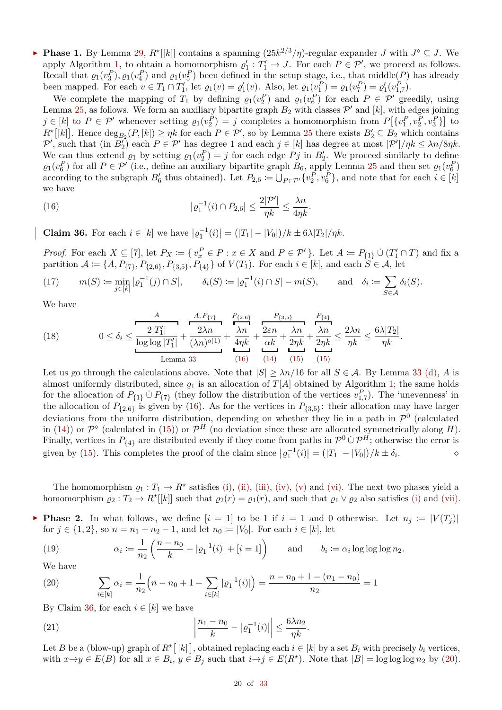**► Phase 1.** By Lemma [29,](#page-10-3)  $R^{\star}[[k]]$  contains a spanning  $(25k^{2/3}/\eta)$ -regular expander *J* with  $J^{\circ} \subseteq J$ . We apply Algorithm [1,](#page-14-1) to obtain a homomorphism  $\varrho'_1: T'_1 \to J$ . For each  $P \in \mathcal{P}'$ , we proceed as follows. Recall that  $\varrho_1(v_3^P), \varrho_1(v_4^P)$  and  $\varrho_1(v_5^P)$  been defined in the setup stage, i.e., that middle(*P*) has already been mapped. For each  $v \in T_1 \cap T'_1$ , let  $\varrho_1(v) = \varrho'_1(v)$ . Also, let  $\varrho_1(v_1^P) = \varrho_1(v_7^P) = \varrho'_1(v_{1,7}^P)$ .

We complete the mapping of  $T_1$  by defining  $\varrho_1(v_2^P)$  and  $\varrho_1(v_6^P)$  for each  $P \in \mathcal{P}'$  greedily, using Lemma [25,](#page-9-1) as follows. We form an auxiliary bipartite graph  $B_2$  with classes  $\mathcal{P}'$  and  $[k]$ , with edges joining  $j \in [k]$  to  $P \in \mathcal{P}'$  whenever setting  $\varrho_1(v_2^P) = j$  completes a homomorphism from  $P\left[\{v_1^P, v_2^P, v_3^P\}\right]$  to  $R^{\star}[[k]]$ . Hence  $\deg_{B_2}(P,[k]) \geq \eta k$  for each  $P \in \mathcal{P}'$ , so by Lemma [25](#page-9-1) there exists  $B_2' \subseteq B_2$  which contains  $\mathcal{P}'$ , such that (in  $B'_2$ ) each  $P \in \mathcal{P}'$  has degree 1 and each  $j \in [k]$  has degree at most  $|\mathcal{P}'|/\eta k \leq \lambda n/8\eta k$ . We can thus extend  $\varrho_1$  by setting  $\varrho_1(v_2^P) = j$  for each edge  $Pj$  in  $B'_2$ . We proceed similarly to define  $\varrho_1(v_6^P)$  for all  $P \in \mathcal{P}'$  (i.e., define an auxiliary bipartite graph  $B_6$ , apply Lemma [25](#page-9-1) and then set  $\varrho_1(v_6^P)$ according to the subgraph  $B'_6$  thus obtained). Let  $P_{2,6} := \bigcup_{P \in \mathcal{P}'} \{v_2^P, v_6^P\}$ , and note that for each  $i \in [k]$ we have

<span id="page-19-0"></span>(16) 
$$
| \varrho_1^{-1}(i) \cap P_{2,6} | \leq \frac{2|\mathcal{P}'|}{\eta k} \leq \frac{\lambda n}{4\eta k}.
$$

<span id="page-19-1"></span>**Claim 36.** For each  $i \in [k]$  we have  $| \varrho_1^{-1}(i) | = (|T_1| - |V_0|)/k \pm 6\lambda |T_2|/nk$ .

*Proof.* For each  $X \subseteq [7]$ , let  $P_X := \{v_x^P \in P : x \in X \text{ and } P \in \mathcal{P}'\}$ . Let  $A := P_{\{1\}} \cup (T'_1 \cap T)$  and fix a partition  $A := \{A, P_{\{7\}}, P_{\{2,6\}}, P_{\{3,5\}}, P_{\{4\}}\}$  of  $V(T_1)$ . For each  $i \in [k]$ , and each  $S \in \mathcal{A}$ , let

(17) 
$$
m(S) \coloneqq \min_{j \in [k]} |o_1^{-1}(j) \cap S|, \qquad \delta_i(S) \coloneqq |o_1^{-1}(i) \cap S| - m(S), \qquad \text{and} \quad \delta_i \coloneqq \sum_{S \in \mathcal{A}} \delta_i(S).
$$

We have

<span id="page-19-4"></span>(18) 
$$
0 \leq \delta_i \leq \frac{\frac{A}{2|T'_1|}}{\log \log |T'_1|} + \frac{2\lambda n}{(\lambda n)^{o(1)}} + \frac{\lambda n}{4\eta k} + \frac{2\varepsilon n}{\alpha k} + \frac{\lambda n}{2\eta k} + \frac{\lambda n}{2\eta k} \leq \frac{2\lambda n}{\eta k} \leq \frac{6\lambda |T_2|}{\eta k}.
$$
\nLemma 33

Let us go through the calculations above. Note that  $|S| \ge \lambda n/16$  for all  $S \in \mathcal{A}$ . By Lemma [33](#page-14-0) [\(d\),](#page-14-3) *A* is almost uniformly distributed, since  $\rho_1$  is an allocation of  $T[A]$  obtained by Algorithm [1;](#page-14-1) the same holds for the allocation of  $P_{\{1\}} \cup P_{\{7\}}$  (they follow the distribution of the vertices  $v_{1,7}^P$ ). The 'unevenness' in the allocation of  $P_{\{2,6\}}$  is given by [\(16\)](#page-19-0). As for the vertices in  $P_{\{3,5\}}$ : their allocation may have larger deviations from the uniform distribution, depending on whether they lie in a path in  $\mathcal{P}^0$  (calculated in [\(14\)](#page-18-0)) or  $\mathcal{P}^{\diamond}$  (calculated in [\(15\)](#page-18-1)) or  $\mathcal{P}^{H}$  (no deviation since these are allocated symmetrically along *H*). Finally, vertices in  $P_{\{4\}}$  are distributed evenly if they come from paths in  $\mathcal{P}^0 \cup \mathcal{P}^H$ ; otherwise the error is given by [\(15\)](#page-18-1). This completes the proof of the claim since  $|q_1^{-1}(i)| = (|T_1| - |V_0|)/k \pm \delta_i$  $\cdot$   $\circ$ 

The homomorphism  $\varrho_1: T_1 \to R^*$  satisfies [\(i\),](#page-17-7) [\(ii\),](#page-17-8) [\(iii\),](#page-17-3) [\(iv\),](#page-17-5) [\(v\)](#page-17-4) and [\(vi\).](#page-17-6) The next two phases yield a homomorphism  $\varrho_2: T_2 \to R^*[[k]]$  such that  $\varrho_2(r) = \varrho_1(r)$ , and such that  $\varrho_1 \vee \varrho_2$  also satisfies [\(i\)](#page-17-7) and [\(vii\).](#page-17-2)

**Phase 2.** In what follows, we define  $[i = 1]$  to be 1 if  $i = 1$  and 0 otherwise. Let  $n_j := |V(T_j)|$ for  $j \in \{1, 2\}$ , so  $n = n_1 + n_2 - 1$ , and let  $n_0 := |V_0|$ . For each  $i \in [k]$ , let

<span id="page-19-5"></span>(19) 
$$
\alpha_i \coloneqq \frac{1}{n_2} \left( \frac{n - n_0}{k} - |\varrho_1^{-1}(i)| + [i = 1] \right) \quad \text{and} \quad b_i \coloneqq \alpha_i \log \log \log n_2.
$$

We have

<span id="page-19-2"></span>(20) 
$$
\sum_{i \in [k]} \alpha_i = \frac{1}{n_2} \Big( n - n_0 + 1 - \sum_{i \in [k]} | \varrho_1^{-1}(i) | \Big) = \frac{n - n_0 + 1 - (n_1 - n_0)}{n_2} = 1
$$

By Claim [36,](#page-19-1) for each  $i \in [k]$  we have

<span id="page-19-3"></span>(21) 
$$
\left| \frac{n_1 - n_0}{k} - |\varrho_1^{-1}(i)| \right| \leq \frac{6\lambda n_2}{\eta k}.
$$

Let *B* be a (blow-up) graph of  $R^{\star}[[k]]$ , obtained replacing each  $i \in [k]$  by a set  $B_i$  with precisely  $b_i$  vertices, with  $x \to y \in E(B)$  for all  $x \in B_i$ ,  $y \in B_j$  such that  $i \to j \in E(R^*)$ . Note that  $|B| = \log \log \log n_2$  by [\(20\)](#page-19-2).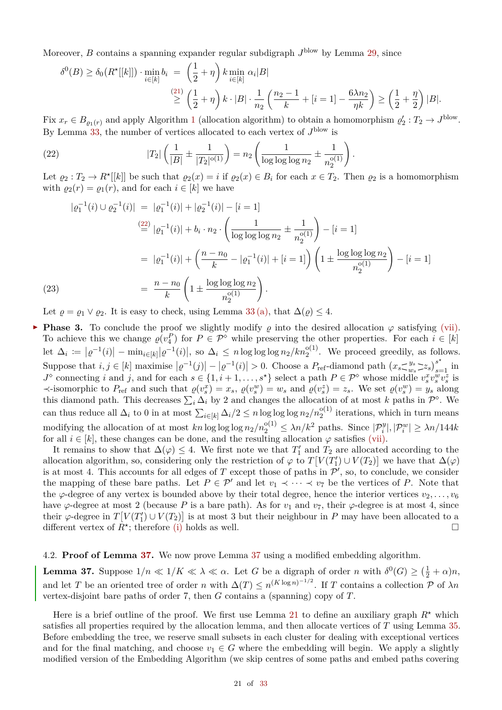Moreover, *B* contains a spanning expander regular subdigraph  $J^{\text{blow}}$  by Lemma [29,](#page-10-3) since

$$
\delta^{0}(B) \geq \delta_{0}(R^{\star}[[k]]) \cdot \min_{i \in [k]} b_{i} = \left(\frac{1}{2} + \eta\right) k \min_{i \in [k]} \alpha_{i}|B|
$$
  

$$
\geq \left(\frac{1}{2} + \eta\right) k \cdot |B| \cdot \frac{1}{n_{2}} \left(\frac{n_{2} - 1}{k} + [i = 1] - \frac{6\lambda n_{2}}{\eta k}\right) \geq \left(\frac{1}{2} + \frac{\eta}{2}\right)|B|.
$$

Fix  $x_r \in B_{\varrho_1(r)}$  $x_r \in B_{\varrho_1(r)}$  $x_r \in B_{\varrho_1(r)}$  and apply Algorithm 1 (allocation algorithm) to obtain a homomorphism  $\varrho'_2: T_2 \to J^{\text{blow}}$ . By Lemma [33,](#page-14-0) the number of vertices allocated to each vertex of  $J^{\text{blow}}$  is

<span id="page-20-1"></span>(22) 
$$
|T_2| \left( \frac{1}{|B|} \pm \frac{1}{|T_2|^{\mathfrak{0}(1)}} \right) = n_2 \left( \frac{1}{\log \log \log n_2} \pm \frac{1}{n_2^{\mathfrak{0}(1)}} \right).
$$

Let  $\varrho_2: T_2 \to R^*[[k]]$  be such that  $\varrho_2(x) = i$  if  $\varrho_2(x) \in B_i$  for each  $x \in T_2$ . Then  $\varrho_2$  is a homomorphism with  $\varrho_2(r) = \varrho_1(r)$ , and for each  $i \in [k]$  we have

$$
|\varrho_1^{-1}(i) \cup \varrho_2^{-1}(i)| = |\varrho_1^{-1}(i)| + |\varrho_2^{-1}(i)| - [i = 1]
$$
  
\n
$$
\stackrel{(22)}{=} |\varrho_1^{-1}(i)| + b_i \cdot n_2 \cdot \left(\frac{1}{\log \log \log n_2} \pm \frac{1}{n_2^{o(1)}}\right) - [i = 1]
$$
  
\n
$$
= |\varrho_1^{-1}(i)| + \left(\frac{n - n_0}{k} - |\varrho_1^{-1}(i)| + [i = 1]\right) \left(1 \pm \frac{\log \log \log n_2}{n_2^{o(1)}}\right) - [i = 1]
$$
  
\n(23) 
$$
= \frac{n - n_0}{k} \left(1 \pm \frac{\log \log \log n_2}{n_2^{o(1)}}\right).
$$

<span id="page-20-2"></span>Let  $\rho = \rho_1 \vee \rho_2$ . It is easy to check, using Lemma [33](#page-14-0)[\(a\),](#page-14-4) that  $\Delta(\rho) \leq 4$ .

**Phase 3.** To conclude the proof we slightly modify  $\rho$  into the desired allocation  $\varphi$  satisfying [\(vii\).](#page-17-2) To achieve this we change  $\varrho(v_4^P)$  for  $P \in \mathcal{P}^{\diamond}$  while preserving the other properties. For each  $i \in [k]$ let  $\Delta_i := |\varrho^{-1}(i)| - \min_{i \in [k]} |\varrho^{-1}(i)|$ , so  $\Delta_i \leq n \log \log \log n_2 / kn_2^{o(1)}$ . We proceed greedily, as follows. Suppose that  $i, j \in [k]$  maximise  $|\varrho^{-1}(j)| - |\varrho^{-1}(i)| > 0$ . Choose a  $P_{\text{ref}}$ -diamond path  $(x_s \leq_{w_s}^{y_s})$  $\int_{w_s}^{y_s}$   $\left[\frac{z_s}{z_s}\right]_{s=1}^{s^*}$  in  $J^{\diamond}$  connecting i and j, and for each  $s \in \{1, i+1, \ldots, s^{\star}\}\$  select a path  $P \in \mathcal{P}^{\diamond}$  whose middle  $v_s^x v_s^w v_s^z$  is  $\prec$ -isomorphic to  $P_{\text{ref}}$  and such that  $\rho(v_s^x) = x_s$ ,  $\rho(v_s^w) = w_s$  and  $\rho(v_s^z) = z_s$ . We set  $\rho(v_s^w) = y_s$  along this diamond path. This decreases  $\sum_i \Delta_i$  by 2 and changes the allocation of at most *k* paths in  $\mathcal{P}^{\diamond}$ . We can thus reduce all  $\Delta_i$  to 0 in at most  $\sum_{i \in [k]} \Delta_i/2 \leq n \log \log \log n_2/n_2^{o(1)}$  iterations, which in turn means  $\text{modifying the allocation of at most } kn \log \log \log n_2/n_2^{\text{o}(1)} \leq \lambda n/k^2 \text{ paths. Since } |\mathcal{P}_i^y|, |\mathcal{P}_i^w| \geq \lambda n/144k$ for all  $i \in [k]$ , these changes can be done, and the resulting allocation  $\varphi$  satisfies [\(vii\).](#page-17-2)

It remains to show that  $\Delta(\varphi) \leq 4$ . We first note we that  $T_1'$  and  $T_2$  are allocated according to the allocation algorithm, so, considering only the restriction of  $\varphi$  to  $T[V(T_1') \cup V(T_2)]$  we have that  $\Delta(\varphi)$ is at most 4. This accounts for all edges of  $T$  except those of paths in  $\mathcal{P}'$ , so, to conclude, we consider the mapping of these bare paths. Let  $P \in \mathcal{P}'$  and let  $v_1 \prec \cdots \prec v_7$  be the vertices of *P*. Note that the  $\varphi$ -degree of any vertex is bounded above by their total degree, hence the interior vertices  $v_2, \ldots, v_6$ have  $\varphi$ -degree at most 2 (because *P* is a bare path). As for  $v_1$  and  $v_7$ , their  $\varphi$ -degree is at most 4, since their  $\varphi$ -degree in  $T[V(T_1') \cup V(T_2)]$  is at most 3 but their neighbour in *P* may have been allocated to a different vertex of  $\overline{R}^*$ ; therefore [\(i\)](#page-17-7) holds as well.

#### 4.2. **Proof of Lemma [37.](#page-20-0)** We now prove Lemma [37](#page-20-0) using a modified embedding algorithm.

<span id="page-20-0"></span>**Lemma 37.** Suppose  $1/n \ll 1/K \ll \lambda \ll \alpha$ . Let *G* be a digraph of order *n* with  $\delta^0(G) \geq (\frac{1}{2} + \alpha)n$ , and let *T* be an oriented tree of order *n* with  $\Delta(T) \le n^{(K \log n)^{-1/2}}$ . If *T* contains a collection *P* of  $\lambda n$ vertex-disjoint bare paths of order 7, then *G* contains a (spanning) copy of *T*.

Here is a brief outline of the proof. We first use Lemma [21](#page-7-11) to define an auxiliary graph  $R^*$  which satisfies all properties required by the allocation lemma, and then allocate vertices of *T* using Lemma [35.](#page-17-1) Before embedding the tree, we reserve small subsets in each cluster for dealing with exceptional vertices and for the final matching, and choose  $v_1 \in G$  where the embedding will begin. We apply a slightly modified version of the Embedding Algorithm (we skip centres of some paths and embed paths covering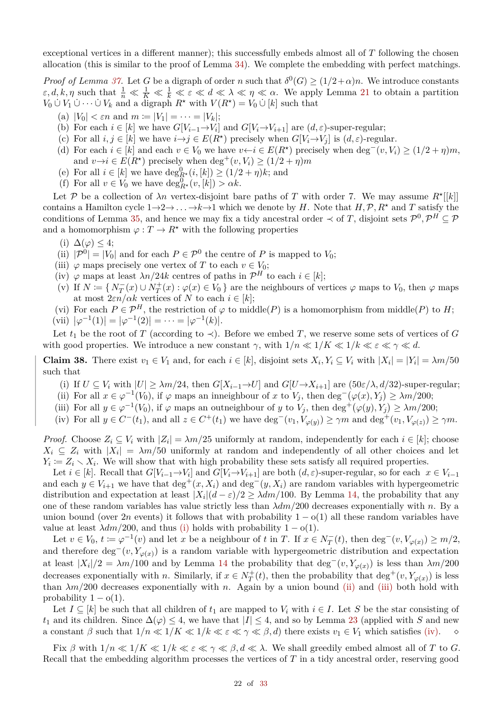exceptional vertices in a different manner); this successfully embeds almost all of *T* following the chosen allocation (this is similar to the proof of Lemma [34\)](#page-16-0). We complete the embedding with perfect matchings.

*Proof of Lemma [37.](#page-20-0)* Let *G* be a digraph of order *n* such that  $\delta^0(G) \geq (1/2+\alpha)n$ . We introduce constants  $\epsilon, d, k, \eta$  such that  $\frac{1}{n} \ll \frac{1}{K} \ll \frac{1}{k} \ll \epsilon \ll d \ll \lambda \ll \eta \ll \alpha$ . We apply Lemma [21](#page-7-11) to obtain a partition *V*<sub>0</sub> ∪ *V*<sub>1</sub> ∪ · · · ∪ *V*<sub>*k*</sub> and a digraph *R*<sup>*\**</sup> with *V*(*R*<sup>*\**</sup>) = *V*<sub>0</sub> ∪ [*k*] such that

- (a)  $|V_0| < \varepsilon n$  and  $m := |V_1| = \cdots = |V_k|$ ;
- (b) For each  $i \in [k]$  we have  $G[V_{i-1} \to V_i]$  and  $G[V_i \to V_{i+1}]$  are  $(d, \varepsilon)$ -super-regular;
- (c) For all  $i, j \in [k]$  we have  $i \rightarrow j \in E(R^*)$  precisely when  $G[V_i \rightarrow V_j]$  is  $(d, \varepsilon)$ -regular.
- (d) For each  $i \in [k]$  and each  $v \in V_0$  we have  $v \leftarrow i \in E(R^*)$  precisely when  $\deg^-(v, V_i) \ge (1/2 + \eta)m$ , and  $v \rightarrow i \in E(R^*)$  precisely when deg<sup>+</sup> $(v, V_i) \geq (1/2 + \eta)m$
- (e) For all  $i \in [k]$  we have  $\deg_{R^*}^0(i,[k]) \geq (1/2 + \eta)k$ ; and
- (f) For all  $v \in V_0$  we have  $\deg_{R^*}^0(v, [k]) > \alpha k$ .

Let P be a collection of  $\lambda n$  vertex-disjoint bare paths of T with order 7. We may assume  $R^*[[k]]$ contains a Hamilton cycle  $1 \rightarrow 2 \rightarrow \ldots \rightarrow k \rightarrow 1$  which we denote by *H*. Note that *H*,  $P$ ,  $R^*$  and *T* satisfy the conditions of Lemma [35,](#page-17-1) and hence we may fix a tidy ancestral order  $\prec$  of *T*, disjoint sets  $\mathcal{P}^0, \mathcal{P}^H \subseteq \mathcal{P}$ and a homomorphism  $\varphi : T \to R^*$  with the following properties

- (i)  $\Delta(\varphi) \leq 4$ ;
- (ii)  $|\mathcal{P}^0| = |V_0|$  and for each  $P \in \mathcal{P}^0$  the centre of *P* is mapped to *V*<sub>0</sub>;
- (iii)  $\varphi$  maps precisely one vertex of *T* to each  $v \in V_0$ ;
- (iv)  $\varphi$  maps at least  $\lambda n/24k$  centres of paths in  $\mathcal{P}^H$  to each  $i \in [k]$ ;
- (v) If  $N := \{ N_T^-(x) \cup N_T^+(x) : \varphi(x) \in V_0 \}$  are the neighbours of vertices  $\varphi$  maps to  $V_0$ , then  $\varphi$  maps at most  $2\varepsilon n/\alpha k$  vertices of *N* to each  $i \in [k]$ ;

(vi) For each  $P \in \mathcal{P}^H$ , the restriction of  $\varphi$  to middle(*P*) is a homomorphism from middle(*P*) to *H*;  $(vii)$   $|\varphi^{-1}(1)| = |\varphi^{-1}(2)| = \cdots = |\varphi^{-1}(k)|.$ 

Let  $t_1$  be the root of *T* (according to  $\prec$ ). Before we embed *T*, we reserve some sets of vertices of *G* with good properties. We introduce a new constant  $\gamma$ , with  $1/n \ll 1/K \ll 1/k \ll \varepsilon \ll \gamma \ll d$ .

<span id="page-21-4"></span>**Claim 38.** There exist  $v_1 \in V_1$  and, for each  $i \in [k]$ , disjoint sets  $X_i, Y_i \subseteq V_i$  with  $|X_i| = |Y_i| = \lambda m/50$ such that

- <span id="page-21-0"></span>(i) If  $U \subseteq V_i$  with  $|U| \geq \lambda m/24$ , then  $G[X_{i-1} \to U]$  and  $G[U \to X_{i+1}]$  are  $(50\varepsilon/\lambda, d/32)$ -super-regular;
- <span id="page-21-1"></span>(ii) For all  $x \in \varphi^{-1}(V_0)$ , if  $\varphi$  maps an inneighbour of  $x$  to  $V_j$ , then  $\deg^{-}(\varphi(x), Y_j) \geq \lambda m/200$ ;
- <span id="page-21-2"></span>(iii) For all  $y \in \varphi^{-1}(V_0)$ , if  $\varphi$  maps an outneighbour of *y* to  $V_j$ , then  $\deg^+(\varphi(y), Y_j) \ge \lambda m/200$ ;
- <span id="page-21-3"></span>(iv) For all  $y \in C^-(t_1)$ , and all  $z \in C^+(t_1)$  we have  $\deg^-(v_1, V_{\varphi(y)}) \ge \gamma m$  and  $\deg^+(v_1, V_{\varphi(z)}) \ge \gamma m$ .

*Proof.* Choose  $Z_i \subseteq V_i$  with  $|Z_i| = \lambda m/25$  uniformly at random, independently for each  $i \in [k]$ ; choose  $X_i \subseteq Z_i$  with  $|X_i| = \lambda m/50$  uniformly at random and independently of all other choices and let  $Y_i := Z_i \setminus X_i$ . We will show that with high probability these sets satisfy all required properties.

Let  $i \in [k]$ . Recall that  $G[V_{i-1} \to V_i]$  and  $G[V_i \to V_{i+1}]$  are both  $(d, \varepsilon)$ -super-regular, so for each  $x \in V_{i-1}$ and each  $y \in V_{i+1}$  we have that  $\deg^+(x, X_i)$  and  $\deg^-(y, X_i)$  are random variables with hypergeometric distribution and expectation at least  $|X_i|(d-\varepsilon)/2 \geq \lambda dm/100$ . By Lemma [14,](#page-5-4) the probability that any one of these random variables has value strictly less than *λdm/*200 decreases exponentially with *n*. By a union bound (over 2*n* events) it follows that with probability  $1 - o(1)$  all these random variables have value at least  $\lambda dm/200$ , and thus [\(i\)](#page-21-0) holds with probability  $1 - o(1)$ .

Let  $v \in V_0$ ,  $t \coloneqq \varphi^{-1}(v)$  and let *x* be a neighbour of *t* in *T*. If  $x \in N_T^-(t)$ , then  $\deg^-(v, V_{\varphi(x)}) \ge m/2$ , and therefore  $\deg^-(v, Y_{\varphi(x)})$  is a random variable with hypergeometric distribution and expectation at least  $|X_i|/2 = \lambda m/100$  and by Lemma [14](#page-5-4) the probability that deg<sup>-</sup>(*v*,  $Y_{\varphi(x)}$ ) is less than  $\lambda m/200$ decreases exponentially with *n*. Similarly, if  $x \in N_T^+(t)$ , then the probability that deg<sup>+</sup>(*v*,  $Y_{\varphi(x)}$ ) is less than  $\lambda m/200$  decreases exponentially with *n*. Again by a union bound [\(ii\)](#page-21-1) and [\(iii\)](#page-21-2) both hold with probability  $1 - o(1)$ .

Let  $I \subseteq [k]$  be such that all children of  $t_1$  are mapped to  $V_i$  with  $i \in I$ . Let *S* be the star consisting of *t*<sub>1</sub> and its children. Since  $\Delta(\varphi) \leq 4$ , we have that  $|I| \leq 4$ , and so by Lemma [23](#page-8-2) (applied with *S* and new a constant  $\beta$  such that  $1/n \ll 1/K \ll 1/k \ll \varepsilon \ll \gamma \ll \beta$ , *d*) there exists  $v_1 \in V_1$  which satisfies (iv) a constant  $\beta$  such that  $1/n \ll 1/K \ll 1/k \ll \varepsilon \ll \gamma \ll \beta, d$ ) there exists  $v_1 \in V_1$  which satisfies [\(iv\).](#page-21-3)

Fix  $\beta$  with  $1/n \ll 1/K \ll 1/k \ll \varepsilon \ll \gamma \ll \beta, d \ll \lambda$ . We shall greedily embed almost all of *T* to *G*. Recall that the embedding algorithm processes the vertices of *T* in a tidy ancestral order, reserving good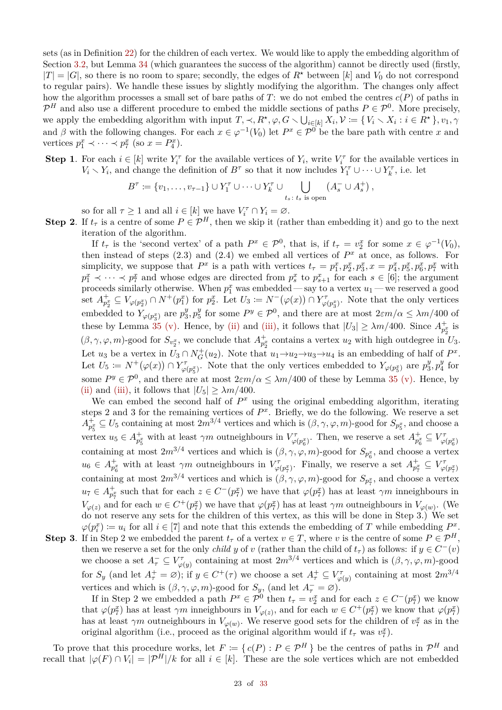sets (as in Definition [22\)](#page-8-0) for the children of each vertex. We would like to apply the embedding algorithm of Section [3.2,](#page-15-0) but Lemma [34](#page-16-0) (which guarantees the success of the algorithm) cannot be directly used (firstly,  $|T| = |G|$ , so there is no room to spare; secondly, the edges of  $R^*$  between [k] and  $V_0$  do not correspond to regular pairs). We handle these issues by slightly modifying the algorithm. The changes only affect how the algorithm processes a small set of bare paths of  $T$ : we do not embed the centres  $c(P)$  of paths in  $\mathcal{P}^H$  and also use a different procedure to embed the middle sections of paths  $P \in \mathcal{P}^0$ . More precisely, we apply the embedding algorithm with input  $T, \prec, R^*, \varphi, G \setminus \bigcup_{i \in [k]} X_i, \mathcal{V} := \{ V_i \setminus X_i : i \in R^* \}, v_1, \gamma$ and  $\beta$  with the following changes. For each  $x \in \varphi^{-1}(V_0)$  let  $P^x \in \mathcal{P}^0$  be the bare path with centre *x* and vertices  $p_1^x \prec \cdots \prec p_7^x$  (so  $x = P_4^x$ ).

**Step 1**. For each  $i \in [k]$  write  $Y_i^{\tau}$  for the available vertices of  $Y_i$ , write  $V_i^{\tau}$  for the available vertices in  $V_i \setminus Y_i$ , and change the definition of  $B^{\tau}$  so that it now includes  $Y_1^{\tau} \cup \cdots \cup Y_k^{\tau}$ , i.e. let

$$
B^{\tau} \coloneqq \{v_1, \ldots, v_{\tau-1}\} \cup Y_1^{\tau} \cup \cdots \cup Y_k^{\tau} \cup \bigcup_{t_s \colon t_s \text{ is open}} (A_s^{-} \cup A_s^{+}),
$$

so for all  $\tau \geq 1$  and all  $i \in [k]$  we have  $V_i^{\tau} \cap Y_i = \emptyset$ .

**Step 2.** If  $t_\tau$  is a centre of some  $P \in \mathcal{P}^H$ , then we skip it (rather than embedding it) and go to the next iteration of the algorithm.

If  $t_{\tau}$  is the 'second vertex' of a path  $P^x \in \mathcal{P}^0$ , that is, if  $t_{\tau} = v_2^x$  for some  $x \in \varphi^{-1}(V_0)$ , then instead of steps  $(2.3)$  and  $(2.4)$  we embed all vertices of  $P<sup>x</sup>$  at once, as follows. For simplicity, we suppose that  $P^x$  is a path with vertices  $t_{\tau} = p_1^x, p_2^x, p_3^x, x = p_4^x, p_5^x, p_6^x, p_7^x$  with  $p_1^x \prec \cdots \prec p_7^x$  and whose edges are directed from  $p_s^x$  to  $p_{s+1}^x$  for each  $s \in [6]$ ; the argument proceeds similarly otherwise. When  $p_1^x$  was embedded — say to a vertex  $u_1$  — we reserved a good set  $A_{p_2^x}^{\dagger} \subseteq V_{\varphi(p_2^x)} \cap N^+(p_1^x)$  for  $p_2^x$ . Let  $U_3 \coloneqq N^-(\varphi(x)) \cap Y_{\varphi(p_3^x)}^{\dagger}$ . Note that the only vertices embedded to  $Y_{\varphi(p_3^x)}$  are  $p_3^y$  $y_{3}^{y}, p_{5}^{y}$ <sup>y</sup><sub>5</sub> for some  $P^y \in \mathcal{P}^0$ , and there are at most  $2\varepsilon m/\alpha \leq \lambda m/400$  of these by Lemma [35](#page-17-1) [\(v\).](#page-17-4) Hence, by [\(ii\)](#page-21-1) and [\(iii\),](#page-21-2) it follows that  $|U_3| \ge \lambda m/400$ . Since  $A_{p_2^x}^+$  is  $(\beta, \gamma, \varphi, m)$ -good for  $S_{v_2^x}$ , we conclude that  $A_{p_2^x}^+$  contains a vertex  $u_2$  with high outdegree in  $U_3$ . Let *u*<sub>3</sub> be a vertex in  $U_3 \cap N_G^+(u_2)$ . Note that  $u_1 \rightarrow u_2 \rightarrow u_3 \rightarrow u_4$  is an embedding of half of  $P^x$ . Let  $U_5 \coloneqq N^+(\varphi(x)) \cap Y^{\tau}_{\varphi(p_5^x)}$ . Note that the only vertices embedded to  $Y_{\varphi(p_5^x)}$  are  $p_3^y$  $x_3^y, p_4^y$  $b_4^y$  for some  $P^y \in \mathcal{P}^0$ , and there are at most  $2\varepsilon m/\alpha \leq \lambda m/400$  of these by Lemma [35](#page-17-1) [\(v\).](#page-17-4) Hence, by [\(ii\)](#page-21-1) and [\(iii\),](#page-21-2) it follows that  $|U_5| \geq \lambda m/400$ .

We can embed the second half of  $P^x$  using the original embedding algorithm, iterating steps 2 and 3 for the remaining vertices of  $P<sup>x</sup>$ . Briefly, we do the following. We reserve a set  $A_{p_5^x}^{\perp} \subseteq U_5$  containing at most  $2m^{3/4}$  vertices and which is  $(\beta, \gamma, \varphi, m)$ -good for  $S_{p_5^x}$ , and choose a vertex  $u_5 \in A_{p_5^x}^+$  with at least  $\gamma m$  outneighbours in  $V_{\varphi(p_6^x)}^{\tau}$ . Then, we reserve a set  $A_{p_6^x}^{\tau} \subseteq V_{\varphi(p_6^x)}^{\tau}$ containing at most  $2m^{3/4}$  vertices and which is  $(\beta, \gamma, \varphi, m)$ -good for  $S_{p_6^x}$ , and choose a vertex  $u_6 \in A_{p_6^x}^+$  with at least  $\gamma m$  outneighbours in  $V_{\varphi(p_7^x)}^{\tau}$ . Finally, we reserve a set  $A_{p_7^x}^+ \subseteq V_{\varphi(p_7^x)}^{\tau}$ containing at most  $2m^{3/4}$  vertices and which is  $(\beta, \gamma, \varphi, m)$ -good for  $S_{p_7^x}$ , and choose a vertex  $u_7 \in A_{p_7^x}^+$  such that for each  $z \in C^-(p_7^x)$  we have that  $\varphi(p_7^x)$  has at least  $\gamma m$  inneighbours in  $V_{\varphi(z)}$  and for each  $w \in C^+(p_7^x)$  we have that  $\varphi(p_7^x)$  has at least  $\gamma m$  outneighbours in  $V_{\varphi(w)}$ . (We do not reserve any sets for the children of this vertex, as this will be done in Step 3.) We set  $\varphi(p_i^x) := u_i$  for all  $i \in [7]$  and note that this extends the embedding of *T* while embedding  $P_i^x$ .

**Step 3**. If in Step 2 we embedded the parent  $t_\tau$  of a vertex  $v \in T$ , where *v* is the centre of some  $P \in \mathcal{P}^H$ , then we reserve a set for the only *child y* of *v* (rather than the child of  $t<sub>\tau</sub>$ ) as follows: if  $y \in C<sup>-</sup>(v)$ we choose a set  $A_{\tau}^{-} \subseteq V_{\varphi(y)}^{\tau}$  containing at most  $2m^{3/4}$  vertices and which is  $(\beta, \gamma, \varphi, m)$ -good for  $S_y$  (and let  $A^+_\tau = \varnothing$ ); if  $y \in C^+(\tau)$  we choose a set  $A^+_\tau \subseteq V^{\tau}_{\varphi(y)}$  containing at most  $2m^{3/4}$ vertices and which is  $(\beta, \gamma, \varphi, m)$ -good for  $S_y$ , (and let  $A_{\tau}^{-} = \varnothing$ ).

If in Step 2 we embedded a path  $P^x \in \mathcal{P}^0$  then  $t_\tau = v^x_2$  and for each  $z \in C^-(p^x_7)$  we know that  $\varphi(p_7^x)$  has at least  $\gamma m$  inneighbours in  $V_{\varphi(z)}$ , and for each  $w \in C^+(p_7^x)$  we know that  $\varphi(p_7^x)$ has at least  $\gamma m$  outneighbours in  $V_{\varphi(w)}$ . We reserve good sets for the children of  $v_7^x$  as in the original algorithm (i.e., proceed as the original algorithm would if  $t<sub>\tau</sub>$  was  $v<sub>\tau</sub><sup>x</sup>$ ).

To prove that this procedure works, let  $F := \{ c(P) : P \in \mathcal{P}^H \}$  be the centres of paths in  $\mathcal{P}^H$  and recall that  $|\varphi(F) \cap V_i| = |\mathcal{P}^H|/k$  for all  $i \in [k]$ . These are the sole vertices which are not embedded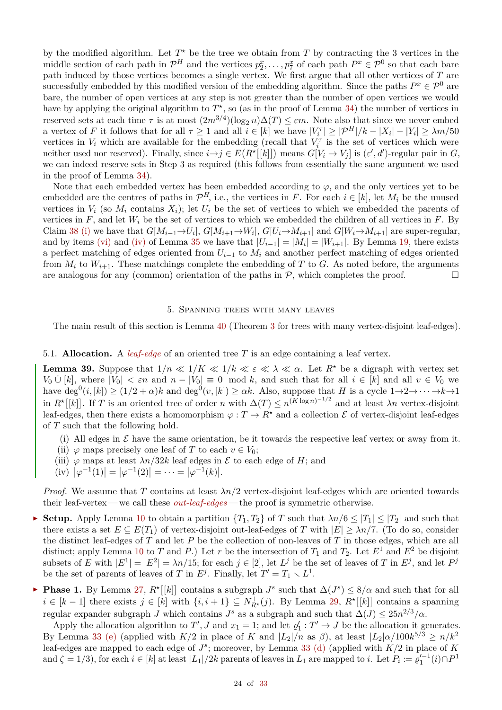by the modified algorithm. Let  $T^*$  be the tree we obtain from  $T$  by contracting the 3 vertices in the middle section of each path in  $\mathcal{P}^H$  and the vertices  $p_2^x, \ldots, p_{\overline{f}}^x$  of each path  $P^x \in \mathcal{P}^0$  so that each bare path induced by those vertices becomes a single vertex. We first argue that all other vertices of *T* are successfully embedded by this modified version of the embedding algorithm. Since the paths  $P^x \in \mathcal{P}^0$  are bare, the number of open vertices at any step is not greater than the number of open vertices we would have by applying the original algorithm to  $T^*$ , so (as in the proof of Lemma [34\)](#page-16-0) the number of vertices in reserved sets at each time  $\tau$  is at most  $(2m^{3/4})(\log_2 n)\Delta(T) \leq \varepsilon m$ . Note also that since we never embed a vertex of *F* it follows that for all  $\tau \geq 1$  and all  $i \in [k]$  we have  $|V_i^{\tau}| \geq |\mathcal{P}^H|/k - |X_i| - |Y_i| \geq \lambda m/50$ vertices in  $V_i$  which are available for the embedding (recall that  $V_i^{\tau}$  is the set of vertices which were neither used nor reserved). Finally, since  $i \rightarrow j \in E(R^{\star}[[k]])$  means  $G[V_i \rightarrow V_j]$  is  $(\varepsilon', d')$ -regular pair in *G*, we can indeed reserve sets in Step 3 as required (this follows from essentially the same argument we used in the proof of Lemma [34\)](#page-16-0).

Note that each embedded vertex has been embedded according to  $\varphi$ , and the only vertices yet to be embedded are the centres of paths in  $\mathcal{P}^H$ , i.e., the vertices in *F*. For each  $i \in [k]$ , let  $M_i$  be the unused vertices in  $V_i$  (so  $M_i$  contains  $X_i$ ); let  $U_i$  be the set of vertices to which we embedded the parents of vertices in  $F$ , and let  $W_i$  be the set of vertices to which we embedded the children of all vertices in  $F$ . By Claim [38](#page-21-4) [\(i\)](#page-21-0) we have that  $G[M_{i-1} \to U_i]$ ,  $G[M_{i+1} \to W_i]$ ,  $G[U_i \to M_{i+1}]$  and  $G[W_i \to M_{i+1}]$  are super-regular, and by items [\(vi\)](#page-17-6) and [\(iv\)](#page-17-5) of Lemma [35](#page-17-1) we have that  $|U_{i-1}| = |M_i| = |W_{i+1}|$ . By Lemma [19,](#page-7-0) there exists a perfect matching of edges oriented from *Ui*−<sup>1</sup> to *M<sup>i</sup>* and another perfect matching of edges oriented from  $M_i$  to  $W_{i+1}$ . These matchings complete the embedding of *T* to *G*. As noted before, the arguments are analogous for any (common) orientation of the paths in  $P$ , which completes the proof.  $\Box$ 

#### 5. Spanning trees with many leaves

<span id="page-23-0"></span>The main result of this section is Lemma [40](#page-25-0) (Theorem [3](#page-0-5) for trees with many vertex-disjoint leaf-edges).

### 5.1. **Allocation.** A *leaf-edge* of an oriented tree *T* is an edge containing a leaf vertex.

<span id="page-23-4"></span>**Lemma 39.** Suppose that  $1/n \ll 1/K \ll 1/k \ll \varepsilon \ll \lambda \ll \alpha$ . Let  $R^*$  be a digraph with vertex set *V*<sub>0</sub>  $\cup$  [*k*], where  $|V_0| < \varepsilon n$  and  $n - |V_0| \equiv 0 \mod k$ , and such that for all  $i \in [k]$  and all  $v \in V_0$  we have  $\deg^{0}(i,[k]) \geq (1/2 + \alpha)k$  and  $\deg^{0}(v,[k]) \geq \alpha k$ . Also, suppose that *H* is a cycle  $1 \rightarrow 2 \rightarrow \cdots \rightarrow k \rightarrow 1$ in  $R^{\star}[[k]]$ . If *T* is an oriented tree of order *n* with  $\Delta(T) \leq n^{(K \log n)^{-1/2}}$  and at least *λn* vertex-disjoint leaf-edges, then there exists a homomorphism  $\varphi: T \to R^*$  and a collection  $\mathcal E$  of vertex-disjoint leaf-edges of *T* such that the following hold.

- <span id="page-23-1"></span>(i) All edges in  $\mathcal E$  have the same orientation, be it towards the respective leaf vertex or away from it.
- (ii)  $\varphi$  maps precisely one leaf of *T* to each  $v \in V_0$ ;
- <span id="page-23-2"></span>(iii)  $\varphi$  maps at least  $\lambda n/32k$  leaf edges in  $\mathcal E$  to each edge of *H*; and
- <span id="page-23-3"></span> $(iv)$   $|\varphi^{-1}(1)| = |\varphi^{-1}(2)| = \cdots = |\varphi^{-1}(k)|.$

*Proof.* We assume that *T* contains at least  $\lambda n/2$  vertex-disjoint leaf-edges which are oriented towards their leaf-vertex — we call these *out-leaf-edges* — the proof is symmetric otherwise.

- $\triangleright$  **Setup.** Apply Lemma [10](#page-4-7) to obtain a partition  ${T_1, T_2}$  of *T* such that  $\lambda n/6 ≤ |T_1| ≤ |T_2|$  and such that there exists a set  $E \subseteq E(T_1)$  of vertex-disjoint out-leaf-edges of *T* with  $|E| \ge \lambda n/7$ . (To do so, consider the distinct leaf-edges of *T* and let *P* be the collection of non-leaves of *T* in those edges, which are all distinct; apply Lemma [10](#page-4-7) to *T* and *P*.) Let *r* be the intersection of  $T_1$  and  $T_2$ . Let  $E^1$  and  $E^2$  be disjoint subsets of *E* with  $|E^1| = |E^2| = \lambda n/15$ ; for each  $j \in [2]$ , let  $L^j$  be the set of leaves of *T* in  $E^j$ , and let  $P^j$ be the set of parents of leaves of *T* in  $E^j$ . Finally, let  $T' = T_1 \setminus L^1$ .
- $\blacktriangleright$  **Phase 1.** By Lemma [27,](#page-10-5)  $R^{\star}[[k]]$  contains a subgraph *J*<sup>s</sup> such that  $\Delta(J^s) \leq 8/\alpha$  and such that for all  $i \in [k-1]$  there exists  $j \in [k]$  with  $\{i, i+1\} \subseteq N_{R^*}^+(j)$ . By Lemma [29,](#page-10-3)  $R^*[[k]]$  contains a spanning regular expander subgraph *J* which contains  $J^s$  as a subgraph and such that  $\Delta(J) \leq 25n^{2/3}/\alpha$ .

Apply the allocation algorithm to  $T'$ , *J* and  $x_1 = 1$ ; and let  $\varrho'_1 : T' \to J$  be the allocation it generates. By Lemma [33](#page-14-0) [\(e\)](#page-14-6) (applied with  $K/2$  in place of *K* and  $|L_2|/n$  as  $\beta$ ), at least  $|L_2| \alpha / 100k^{5/3} \ge n/k^2$ leaf-edges are mapped to each edge of *J s* ; moreover, by Lemma [33](#page-14-0) [\(d\)](#page-14-3) (applied with *K/*2 in place of *K* and  $\zeta = 1/3$ , for each  $i \in [k]$  at least  $|L_1|/2k$  parents of leaves in  $L_1$  are mapped to *i*. Let  $P_i \coloneqq \varrho_1'^{-1}(i) \cap P^1$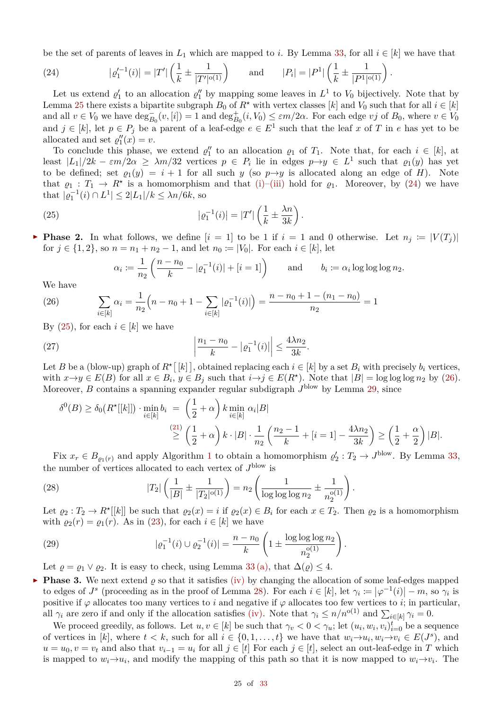be the set of parents of leaves in  $L_1$  which are mapped to *i*. By Lemma [33,](#page-14-0) for all  $i \in [k]$  we have that

<span id="page-24-0"></span>(24) 
$$
|\varrho_1'^{-1}(i)| = |T'| \left( \frac{1}{k} \pm \frac{1}{|T'|^{\mathsf{o}(1)}} \right) \quad \text{and} \quad |P_i| = |P^1| \left( \frac{1}{k} \pm \frac{1}{|P^1|^{\mathsf{o}(1)}} \right).
$$

Let us extend  $\varrho'_1$  to an allocation  $\varrho''_1$  by mapping some leaves in  $L^1$  to  $V_0$  bijectively. Note that by Lemma [25](#page-9-1) there exists a bipartite subgraph  $B_0$  of  $R^*$  with vertex classes [ $k$ ] and  $V_0$  such that for all  $i \in [k]$ and all  $v \in V_0$  we have  $\deg_{B_0}^-(v, [i]) = 1$  and  $\deg_{B_0}^+(i, V_0) \le \varepsilon m/2\alpha$ . For each edge *vj* of  $B_0$ , where  $v \in V_0$ and  $j \in [k]$ , let  $p \in P_j$  be a parent of a leaf-edge  $e \in E^1$  such that the leaf *x* of *T* in *e* has yet to be allocated and set  $\varrho_1''(x) = v$ .

To conclude this phase, we extend  $\varrho_1''$  to an allocation  $\varrho_1$  of  $T_1$ . Note that, for each  $i \in [k]$ , at least  $|L_1|/2k - \varepsilon m/2\alpha \geq \lambda m/32$  vertices  $p \in P_i$  lie in edges  $p \to y \in L^1$  such that  $\varrho_1(y)$  has yet to be defined; set  $\varrho_1(y) = i + 1$  for all such y (so  $p \rightarrow y$  is allocated along an edge of *H*). Note that  $\varrho_1: T_1 \to R^*$  is a homomorphism and that [\(i\)](#page-23-1)[–\(iii\)](#page-23-2) hold for  $\varrho_1$ . Moreover, by [\(24\)](#page-24-0) we have that  $| \varrho_1^{-1}(i) \cap L^1 | \leq 2|L_1|/k \leq \lambda n/6k$ , so

(25) 
$$
|\varrho_1^{-1}(i)| = |T'| \left( \frac{1}{k} \pm \frac{\lambda n}{3k} \right).
$$

**Phase 2.** In what follows, we define  $[i = 1]$  to be 1 if  $i = 1$  and 0 otherwise. Let  $n_j := |V(T_j)|$ for  $j \in \{1, 2\}$ , so  $n = n_1 + n_2 - 1$ , and let  $n_0 := |V_0|$ . For each  $i \in [k]$ , let

<span id="page-24-1"></span>
$$
\alpha_i \coloneqq \frac{1}{n_2} \left( \frac{n - n_0}{k} - |\varrho_1^{-1}(i)| + [i = 1] \right) \quad \text{and} \quad b_i \coloneqq \alpha_i \log \log \log n_2.
$$

We have

<span id="page-24-2"></span>(26) 
$$
\sum_{i \in [k]} \alpha_i = \frac{1}{n_2} \Big( n - n_0 + 1 - \sum_{i \in [k]} |\varrho_1^{-1}(i)| \Big) = \frac{n - n_0 + 1 - (n_1 - n_0)}{n_2} = 1
$$

By  $(25)$ , for each  $i \in [k]$  we have

(27) 
$$
\left| \frac{n_1 - n_0}{k} - |\varrho_1^{-1}(i)| \right| \le \frac{4\lambda n_2}{3k}.
$$

Let *B* be a (blow-up) graph of  $R^{\star}[[k]]$ , obtained replacing each  $i \in [k]$  by a set  $B_i$  with precisely  $b_i$  vertices, with  $x \to y \in E(B)$  for all  $x \in B_i$ ,  $y \in B_j$  such that  $i \to j \in E(R^{\star})$ . Note that  $|B| = \log \log \log n_2$  by [\(26\)](#page-24-2). Moreover, *B* contains a spanning expander regular subdigraph  $J^{\text{blow}}$  by Lemma [29,](#page-10-3) since

$$
\delta^{0}(B) \geq \delta_{0}(R^{\star}[[k]]) \cdot \min_{i \in [k]} b_{i} = \left(\frac{1}{2} + \alpha\right) k \min_{i \in [k]} \alpha_{i}|B|
$$
  

$$
\geq \left(\frac{1}{2} + \alpha\right) k \cdot |B| \cdot \frac{1}{n_{2}} \left(\frac{n_{2} - 1}{k} + [i = 1] - \frac{4\lambda n_{2}}{3k}\right) \geq \left(\frac{1}{2} + \frac{\alpha}{2}\right)|B|.
$$

Fix  $x_r \in B_{\varrho_1(r)}$  $x_r \in B_{\varrho_1(r)}$  $x_r \in B_{\varrho_1(r)}$  and apply Algorithm 1 to obtain a homomorphism  $\varrho'_2: T_2 \to J^{\text{blow}}$ . By Lemma [33,](#page-14-0) the number of vertices allocated to each vertex of  $J^{\text{blow}}$  is

(28) 
$$
|T_2| \left( \frac{1}{|B|} \pm \frac{1}{|T_2|^{\mathfrak{0}(1)}} \right) = n_2 \left( \frac{1}{\log \log \log n_2} \pm \frac{1}{n_2^{\mathfrak{0}(1)}} \right).
$$

Let  $\varrho_2: T_2 \to R^*[[k]]$  be such that  $\varrho_2(x) = i$  if  $\varrho_2(x) \in B_i$  for each  $x \in T_2$ . Then  $\varrho_2$  is a homomorphism with  $\rho_2(r) = \rho_1(r)$ . As in [\(23\)](#page-20-2), for each  $i \in [k]$  we have

*.*

(29) 
$$
|\varrho_1^{-1}(i) \cup \varrho_2^{-1}(i)| = \frac{n - n_0}{k} \left( 1 \pm \frac{\log \log \log n_2}{n_2^{o(1)}} \right)
$$

Let  $\rho = \rho_1 \vee \rho_2$ . It is easy to check, using Lemma [33](#page-14-0)[\(a\),](#page-14-4) that  $\Delta(\rho) \leq 4$ .

**Phase 3.** We next extend  $\rho$  so that it satisfies [\(iv\)](#page-23-3) by changing the allocation of some leaf-edges mapped to edges of  $J^s$  (proceeding as in the proof of Lemma [28\)](#page-10-4). For each  $i \in [k]$ , let  $\gamma_i := |\varphi^{-1}(i)| - m$ , so  $\gamma_i$  is positive if  $\varphi$  allocates too many vertices to *i* and negative if  $\varphi$  allocates too few vertices to *i*; in particular, all  $\gamma_i$  are zero if and only if the allocation satisfies [\(iv\).](#page-23-3) Note that  $\gamma_i \leq n/n^{o(1)}$  and  $\sum_{i \in [k]} \gamma_i = 0$ .

We proceed greedily, as follows. Let  $u, v \in [k]$  be such that  $\gamma_v < 0 < \gamma_u$ ; let  $(u_i, w_i, v_i)_{i=0}^t$  be a sequence of vertices in [k], where  $t < k$ , such for all  $i \in \{0, 1, \ldots, t\}$  we have that  $w_i \rightarrow u_i, w_i \rightarrow v_i \in E(J^s)$ , and  $u = u_0, v = v_t$  and also that  $v_{i-1} = u_i$  for all  $j \in [t]$  For each  $j \in [t]$ , select an out-leaf-edge in *T* which is mapped to  $w_i \rightarrow u_i$ , and modify the mapping of this path so that it is now mapped to  $w_i \rightarrow v_i$ . The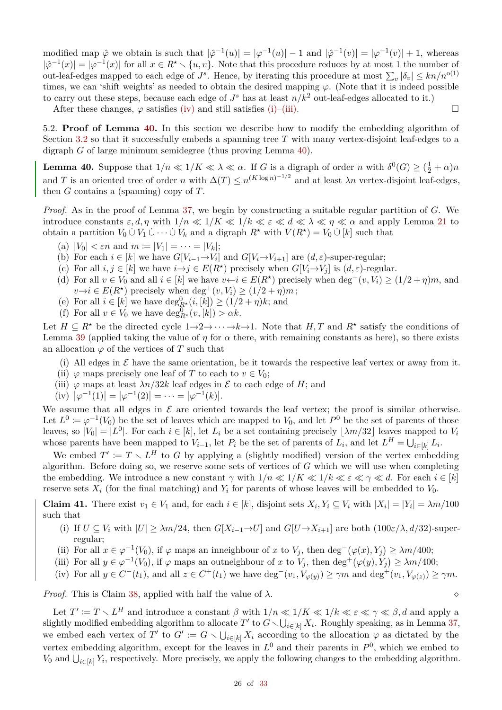modified map  $\hat{\varphi}$  we obtain is such that  $|\hat{\varphi}^{-1}(u)| = |\varphi^{-1}(u)| - 1$  and  $|\hat{\varphi}^{-1}(v)| = |\varphi^{-1}(v)| + 1$ , whereas  $|\hat{\varphi}^{-1}(x)| = |\varphi^{-1}(x)|$  for all  $x \in R^* \setminus \{u, v\}$ . Note that this procedure reduces by at most 1 the number of out-leaf-edges mapped to each edge of  $J^s$ . Hence, by iterating this procedure at most  $\sum_v |\delta_v| \le kn/n^{o(1)}$ times, we can 'shift weights' as needed to obtain the desired mapping *ϕ*. (Note that it is indeed possible to carry out these steps, because each edge of  $J^s$  has at least  $n/k^2$  out-leaf-edges allocated to it.)

After these changes,  $\varphi$  satisfies [\(iv\)](#page-23-3) and still satisfies [\(i\)–](#page-23-1)[\(iii\).](#page-23-2)

5.2. **Proof of Lemma [40.](#page-25-0)** In this section we describe how to modify the embedding algorithm of Section [3.2](#page-15-0) so that it successfully embeds a spanning tree *T* with many vertex-disjoint leaf-edges to a digraph *G* of large minimum semidegree (thus proving Lemma [40\)](#page-25-0).

<span id="page-25-0"></span>**Lemma 40.** Suppose that  $1/n \ll 1/K \ll \lambda \ll \alpha$ . If *G* is a digraph of order *n* with  $\delta^0(G) \geq (\frac{1}{2} + \alpha)n$ and *T* is an oriented tree of order *n* with  $\Delta(T) \le n^{(K \log n)^{-1/2}}$  and at least  $\lambda n$  vertex-disjoint leaf-edges, then *G* contains a (spanning) copy of *T*.

*Proof.* As in the proof of Lemma [37,](#page-20-0) we begin by constructing a suitable regular partition of *G*. We introduce constants  $\varepsilon$ , d,  $\eta$  with  $1/n \ll 1/K \ll 1/k \ll \varepsilon \ll d \ll \lambda \ll \eta \ll \alpha$  and apply Lemma [21](#page-7-11) to obtain a partition  $V_0 \cup V_1 \cup \cdots \cup V_k$  and a digraph  $R^*$  with  $V(R^*) = V_0 \cup [k]$  such that

- (a)  $|V_0| < \varepsilon n$  and  $m := |V_1| = \cdots = |V_k|$ ;
- (b) For each  $i \in [k]$  we have  $G[V_{i-1} \to V_i]$  and  $G[V_i \to V_{i+1}]$  are  $(d, \varepsilon)$ -super-regular;
- (c) For all  $i, j \in [k]$  we have  $i \rightarrow j \in E(R^*)$  precisely when  $G[V_i \rightarrow V_j]$  is  $(d, \varepsilon)$ -regular.
- (d) For all  $v \in V_0$  and all  $i \in [k]$  we have  $v \leftarrow i \in E(R^*)$  precisely when deg<sup>-</sup>(*v, V<sub>i</sub>*) ≥ (1/2 + *η*)*m*, and  $v \rightarrow i \in E(R^*)$  precisely when deg<sup>+</sup>(*v*, *V<sub>i</sub>*)  $\geq (1/2 + \eta)m$ ;
- (e) For all  $i \in [k]$  we have  $\deg_{R^*}^0(i,[k]) \geq (1/2 + \eta)k$ ; and
- (f) For all  $v \in V_0$  we have  $\deg_{R^*}^0(v, [k]) > \alpha k$ .

Let  $H \subseteq R^*$  be the directed cycle  $1 \rightarrow 2 \rightarrow \cdots \rightarrow k \rightarrow 1$ . Note that  $H, T$  and  $R^*$  satisfy the conditions of Lemma [39](#page-23-4) (applied taking the value of  $\eta$  for  $\alpha$  there, with remaining constants as here), so there exists an allocation  $\varphi$  of the vertices of *T* such that

- (i) All edges in  $\mathcal E$  have the same orientation, be it towards the respective leaf vertex or away from it.
- (ii)  $\varphi$  maps precisely one leaf of *T* to each to  $v \in V_0$ ;
- (iii)  $\varphi$  maps at least  $\lambda n/32k$  leaf edges in  $\mathcal E$  to each edge of *H*; and
- $(iv)$   $|\varphi^{-1}(1)| = |\varphi^{-1}(2)| = \cdots = |\varphi^{-1}(k)|.$

We assume that all edges in  $\mathcal E$  are oriented towards the leaf vertex; the proof is similar otherwise. Let  $L^0 := \varphi^{-1}(V_0)$  be the set of leaves which are mapped to  $V_0$ , and let  $P^0$  be the set of parents of those leaves, so  $|V_0| = |L^0|$ . For each  $i \in [k]$ , let  $L_i$  be a set containing precisely  $\lfloor \lambda m/32 \rfloor$  leaves mapped to  $V_i$ whose parents have been mapped to  $V_{i-1}$ , let  $P_i$  be the set of parents of  $L_i$ , and let  $L^H = \bigcup_{i \in [k]} L_i$ .

We embed  $T' := T \setminus L^H$  to G by applying a (slightly modified) version of the vertex embedding algorithm. Before doing so, we reserve some sets of vertices of *G* which we will use when completing the embedding. We introduce a new constant  $\gamma$  with  $1/n \ll 1/k \ll 1/k \ll \varepsilon \ll \gamma \ll d$ . For each  $i \in [k]$ reserve sets  $X_i$  (for the final matching) and  $Y_i$  for parents of whose leaves will be embedded to  $V_0$ .

<span id="page-25-2"></span>**Claim 41.** There exist  $v_1 \in V_1$  and, for each  $i \in [k]$ , disjoint sets  $X_i, Y_i \subseteq V_i$  with  $|X_i| = |Y_i| = \lambda m/100$ such that

- <span id="page-25-3"></span>(i) If  $U \subseteq V_i$  with  $|U| \geq \lambda m/24$ , then  $G[X_{i-1} \to U]$  and  $G[U \to X_{i+1}]$  are both  $(100\varepsilon/\lambda, d/32)$ -superregular;
- <span id="page-25-1"></span>(ii) For all  $x \in \varphi^{-1}(V_0)$ , if  $\varphi$  maps an inneighbour of  $x$  to  $V_j$ , then deg<sup>-</sup> $(\varphi(x), Y_j) \ge \lambda m/400$ ;
- (iii) For all  $y \in \varphi^{-1}(V_0)$ , if  $\varphi$  maps an outneighbour of *x* to  $V_j$ , then deg<sup>+</sup>( $\varphi(y), Y_j$ )  $\geq \lambda m/400$ ;
- (iv) For all  $y \in C^-(t_1)$ , and all  $z \in C^+(t_1)$  we have  $\deg^-(v_1, V_{\varphi(y)}) \ge \gamma m$  and  $\deg^+(v_1, V_{\varphi(z)}) \ge \gamma m$ .

*Proof.* This is Claim [38,](#page-21-4) applied with half the value of  $\lambda$ .

Let  $T' := T \setminus L^H$  and introduce a constant  $\beta$  with  $1/n \ll 1/K \ll 1/k \ll \varepsilon \ll \gamma \ll \beta$ , d and apply a slightly modified embedding algorithm to allocate  $T'$  to  $G \setminus \bigcup_{i \in [k]} X_i$ . Roughly speaking, as in Lemma [37,](#page-20-0) we embed each vertex of *T*' to  $G' := G \setminus \bigcup_{i \in [k]} X_i$  according to the allocation  $\varphi$  as dictated by the vertex embedding algorithm, except for the leaves in  $L^0$  and their parents in  $P^0$ , which we embed to *V*<sub>0</sub> and  $\bigcup_{i\in[k]} Y_i$ , respectively. More precisely, we apply the following changes to the embedding algorithm.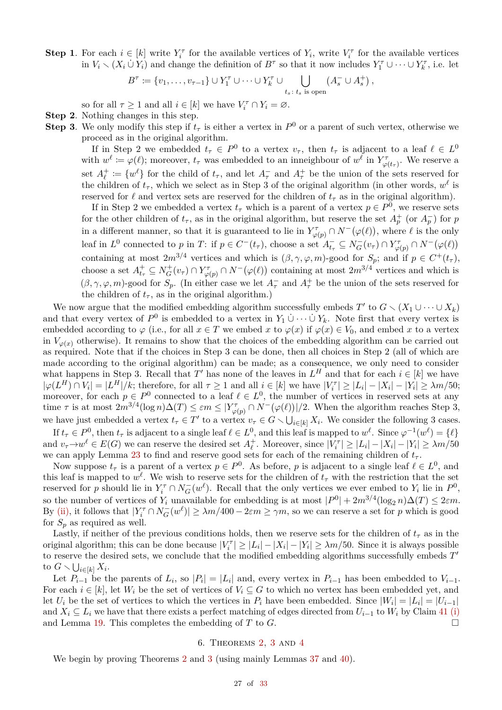**Step 1**. For each  $i \in [k]$  write  $Y_i^{\tau}$  for the available vertices of  $Y_i$ , write  $V_i^{\tau}$  for the available vertices in  $V_i \setminus (X_i \cup Y_i)$  and change the definition of  $B^{\tau}$  so that it now includes  $Y_1^{\tau} \cup \cdots \cup Y_k^{\tau}$ , i.e. let

$$
B^{\tau} \coloneqq \{v_1, \ldots, v_{\tau-1}\} \cup Y_1^{\tau} \cup \cdots \cup Y_k^{\tau} \cup \bigcup_{t_s \colon t_s \text{ is open}} (A_s^{-} \cup A_s^{+}),
$$

so for all  $\tau \geq 1$  and all  $i \in [k]$  we have  $V_i^{\tau} \cap Y_i = \emptyset$ .

**Step 2**. Nothing changes in this step.

**Step 3**. We only modify this step if  $t_7$  is either a vertex in  $P^0$  or a parent of such vertex, otherwise we proceed as in the original algorithm.

If in Step 2 we embedded  $t_{\tau} \in P^0$  to a vertex  $v_{\tau}$ , then  $t_{\tau}$  is adjacent to a leaf  $\ell \in L^0$ with  $w^{\ell} := \varphi(\ell)$ ; moreover,  $t_{\tau}$  was embedded to an inneighbour of  $w^{\ell}$  in  $Y^{\tau}_{\varphi(t_{\tau})}$ . We reserve a set  $A_{\ell}^+$  $\ell^+ := \{w^{\ell}\}\$ for the child of  $t_{\tau}$ , and let  $A_{\tau}^-$  and  $A_{\tau}^+$  be the union of the sets reserved for the children of  $t_{\tau}$ , which we select as in Step 3 of the original algorithm (in other words,  $w^{\ell}$  is reserved for  $\ell$  and vertex sets are reserved for the children of  $t<sub>\tau</sub>$  as in the original algorithm).

If in Step 2 we embedded a vertex  $t_{\tau}$  which is a parent of a vertex  $p \in P^0$ , we reserve sets for the other children of  $t_{\tau}$ , as in the original algorithm, but reserve the set  $A_p^+$  (or  $A_p^-$ ) for *p* in a different manner, so that it is guaranteed to lie in  $Y^{\tau}_{\varphi(p)} \cap N^{-}(\varphi(\ell))$ , where  $\ell$  is the only leaf in  $L^0$  connected to p in T: if  $p \in C^-(t_\tau)$ , choose a set  $A_{t_\tau}^- \subseteq N_G^-(v_\tau) \cap Y_{\varphi(p)}^- \cap N^-(\varphi(\ell))$ containing at most  $2m^{3/4}$  vertices and which is  $(\beta, \gamma, \varphi, m)$ -good for  $S_p$ ; and if  $p \in C^+(t_\tau)$ , choose a set  $A_{t_{\tau}}^+ \subseteq N_G^+(v_{\tau}) \cap Y_{\varphi(p)}^{\tau} \cap N^-(\varphi(\ell))$  containing at most  $2m^{3/4}$  vertices and which is  $(\beta, \gamma, \varphi, m)$ -good for  $S_p$ . (In either case we let  $A_{\tau}^-$  and  $A_{\tau}^+$  be the union of the sets reserved for the children of  $t_{\tau}$ , as in the original algorithm.)

We now argue that the modified embedding algorithm successfully embeds  $T'$  to  $G \setminus (X_1 \cup \cdots \cup X_k)$ and that every vertex of  $P^0$  is embedded to a vertex in  $Y_1 \cup \cdots \cup Y_k$ . Note first that every vertex is embedded according to  $\varphi$  (i.e., for all  $x \in T$  we embed  $x$  to  $\varphi(x)$  if  $\varphi(x) \in V_0$ , and embed  $x$  to a vertex in  $V_{\varphi(x)}$  otherwise). It remains to show that the choices of the embedding algorithm can be carried out as required. Note that if the choices in Step 3 can be done, then all choices in Step 2 (all of which are made according to the original algorithm) can be made; as a consequence, we only need to consider what happens in Step 3. Recall that *T*' has none of the leaves in  $L^H$  and that for each  $i \in [k]$  we have  $|\varphi(L^H) \cap V_i| = |L^H|/k$ ; therefore, for all  $\tau \ge 1$  and all  $i \in [k]$  we have  $|V_i^{\tau}| \ge |L_i| - |X_i| - |Y_i| \ge \lambda m/50$ ; moreover, for each  $p \in P^0$  connected to a leaf  $\ell \in L^0$ , the number of vertices in reserved sets at any time  $\tau$  is at most  $2m^{3/4}(\log n)\Delta(T) \leq \varepsilon m \leq |Y^{\tau}_{\varphi(p)} \cap N^{-}(\varphi(\ell))|/2$ . When the algorithm reaches Step 3, we have just embedded a vertex  $t_{\tau} \in T'$  to a vertex  $v_{\tau} \in G \setminus \bigcup_{i \in [k]} X_i$ . We consider the following 3 cases.

If  $t_{\tau} \in P^0$ , then  $t_{\tau}$  is adjacent to a single leaf  $\ell \in L^0$ , and this leaf is mapped to  $w^{\ell}$ . Since  $\varphi^{-1}(w^{\ell}) = {\ell}$ and  $v_\tau \to w^\ell \in E(G)$  we can reserve the desired set  $A_\ell^+$ *†*. Moreover, since  $|V_i^{\tau}| \ge |L_i| - |X_i| - |Y_i| \ge \lambda m/50$ we can apply Lemma [23](#page-8-2) to find and reserve good sets for each of the remaining children of  $t<sub>\tau</sub>$ .

Now suppose  $t_{\tau}$  is a parent of a vertex  $p \in P^0$ . As before, *p* is adjacent to a single leaf  $\ell \in L^0$ , and this leaf is mapped to  $w^{\ell}$ . We wish to reserve sets for the children of  $t_{\tau}$  with the restriction that the set reserved for *p* should lie in  $Y_i^{\tau} \cap N_G^-(w^{\ell})$ . Recall that the only vertices we ever embed to  $Y_i$  lie in  $P^0$ , so the number of vertices of  $Y_i$  unavailable for embedding is at most  $|P^0| + 2m^{3/4}(\log_2 n)\Delta(T) \leq 2\varepsilon m$ . By [\(ii\),](#page-25-1) it follows that  $|Y_i^{\tau} \cap N_G^{-}(w^{\ell})| \geq \lambda m/400 - 2\varepsilon m \geq \gamma m$ , so we can reserve a set for *p* which is good for  $S_p$  as required as well.

Lastly, if neither of the previous conditions holds, then we reserve sets for the children of  $t<sub>\tau</sub>$  as in the original algorithm; this can be done because  $|V_i^{\tau}| \ge |L_i| - |X_i| - |Y_i| \ge \lambda m/50$ . Since it is always possible to reserve the desired sets, we conclude that the modified embedding algorithms successfully embeds T' to  $G \setminus \bigcup_{i \in [k]} X_i$ .

Let  $P_{i-1}$  be the parents of  $L_i$ , so  $|P_i| = |L_i|$  and, every vertex in  $P_{i-1}$  has been embedded to  $V_{i-1}$ . For each  $i \in [k]$ , let  $W_i$  be the set of vertices of  $V_i \subseteq G$  to which no vertex has been embedded yet, and let  $U_i$  be the set of vertices to which the vertices in  $P_i$  have been embedded. Since  $|W_i| = |L_i| = |U_{i-1}|$ and  $X_i \subseteq L_i$  we have that there exists a perfect matching of edges directed from  $U_{i-1}$  to  $W_i$  by Claim [41](#page-25-2) [\(i\)](#page-25-3) and Lemma 19. This completes the embedding of *T* to *G*. □ and Lemma [19.](#page-7-0) This completes the embedding of *T* to *G*.

# 6. Theorems [2,](#page-0-7) [3](#page-0-5) and [4](#page-0-3)

<span id="page-26-0"></span>We begin by proving Theorems [2](#page-0-7) and [3](#page-0-5) (using mainly Lemmas [37](#page-20-0) and [40\)](#page-25-0).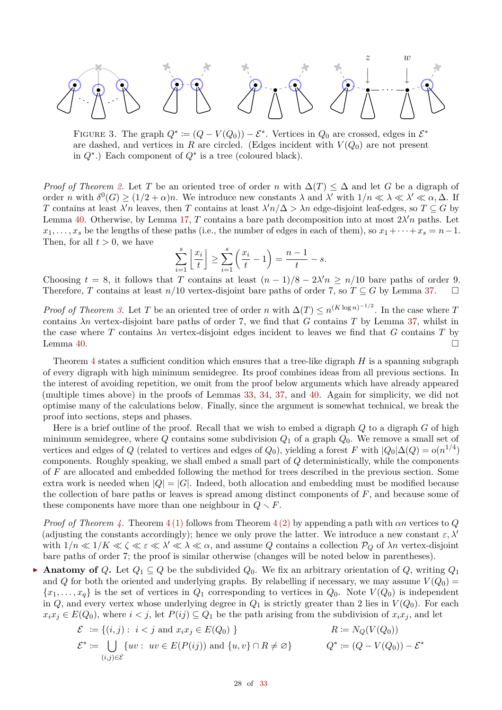

<span id="page-27-0"></span>FIGURE 3. The graph  $Q^* := (Q - V(Q_0)) - \mathcal{E}^*$ . Vertices in  $Q_0$  are crossed, edges in  $\mathcal{E}^*$ are dashed, and vertices in *R* are circled. (Edges incident with  $V(Q_0)$  are not present in *Q*∗ .) Each component of *Q*∗ is a tree (coloured black).

*Proof of Theorem* [2.](#page-0-7) Let *T* be an oriented tree of order *n* with  $\Delta(T) \leq \Delta$  and let *G* be a digraph of order *n* with  $\delta^0(G) \ge (1/2 + \alpha)n$ . We introduce new constants  $\lambda$  and  $\lambda'$  with  $1/n \ll \lambda \ll \lambda' \ll \alpha, \Delta$ . If *T* contains at least *λ*<sup>*'n*</sup> leaves, then *T* contains at least  $\lambda' n/\Delta > \lambda n$  edge-disjoint leaf-edges, so  $T \subseteq G$  by Lemma [40.](#page-25-0) Otherwise, by Lemma [17,](#page-6-0) *T* contains a bare path decomposition into at most  $2\lambda' n$  paths. Let  $x_1, \ldots, x_s$  be the lengths of these paths (i.e., the number of edges in each of them), so  $x_1 + \cdots + x_s = n-1$ . Then, for all  $t > 0$ , we have

$$
\sum_{i=1}^{s} \left\lfloor \frac{x_i}{t} \right\rfloor \ge \sum_{i=1}^{s} \left( \frac{x_i}{t} - 1 \right) = \frac{n-1}{t} - s.
$$

Choosing  $t = 8$ , it follows that *T* contains at least  $(n - 1)/8 - 2\lambda' n \ge n/10$  bare paths of order 9. Therefore, *T* contains at least  $n/10$  vertex-disjoint bare paths of order 7, so  $T \subseteq G$  by Lemma [37.](#page-20-0)

*Proof of Theorem [3.](#page-0-5)* Let *T* be an oriented tree of order *n* with  $\Delta(T) \le n^{(K \log n)^{-1/2}}$ . In the case where *T* contains  $\lambda n$  vertex-disjoint bare paths of order 7, we find that *G* contains *T* by Lemma [37,](#page-20-0) whilst in the case where *T* contains *λn* vertex-disjoint edges incident to leaves we find that *G* contains *T* by Lemma [40.](#page-25-0)

Theorem [4](#page-0-3) states a sufficient condition which ensures that a tree-like digraph *H* is a spanning subgraph of every digraph with high minimum semidegree. Its proof combines ideas from all previous sections. In the interest of avoiding repetition, we omit from the proof below arguments which have already appeared (multiple times above) in the proofs of Lemmas [33,](#page-14-0) [34,](#page-16-0) [37,](#page-20-0) and [40.](#page-25-0) Again for simplicity, we did not optimise many of the calculations below. Finally, since the argument is somewhat technical, we break the proof into sections, steps and phases.

Here is a brief outline of the proof. Recall that we wish to embed a digraph *Q* to a digraph *G* of high minimum semidegree, where *Q* contains some subdivision *Q*<sup>1</sup> of a graph *Q*0. We remove a small set of vertices and edges of *Q* (related to vertices and edges of *Q*<sub>0</sub>), yielding a forest *F* with  $|Q_0|\Delta(Q) = o(n^{1/4})$ components. Roughly speaking, we shall embed a small part of *Q* deterministically, while the components of *F* are allocated and embedded following the method for trees described in the previous section. Some extra work is needed when  $|Q| = |G|$ . Indeed, both allocation and embedding must be modified because the collection of bare paths or leaves is spread among distinct components of *F*, and because some of these components have more than one neighbour in  $Q \setminus F$ .

*Proof of Theorem [4.](#page-0-3)* Theorem [4](#page-0-3) [\(1\)](#page-0-8) follows from Theorem [4](#page-0-3) [\(2\)](#page-0-4) by appending a path with *αn* vertices to *Q* (adjusting the constants accordingly); hence we only prove the latter. We introduce a new constant  $\varepsilon, \lambda'$ with  $1/n \ll 1/K \ll \zeta \ll \varepsilon \ll \lambda' \ll \lambda \ll \alpha$ , and assume *Q* contains a collection  $P_Q$  of  $\lambda n$  vertex-disjoint bare paths of order 7; the proof is similar otherwise (changes will be noted below in parentheses).

**Anatomy of**  $Q$ **.** Let  $Q_1 \subseteq Q$  be the subdivided  $Q_0$ . We fix an arbitrary orientation of  $Q$ , writing  $Q_1$ and *Q* for both the oriented and underlying graphs. By relabelling if necessary, we may assume  $V(Q_0)$  ${x_1, \ldots, x_q}$  is the set of vertices in  $Q_1$  corresponding to vertices in  $Q_0$ . Note  $V(Q_0)$  is independent in *Q*, and every vertex whose underlying degree in  $Q_1$  is strictly greater than 2 lies in  $V(Q_0)$ . For each  $x_i x_j \in E(Q_0)$ , where  $i < j$ , let  $P(ij) \subseteq Q_1$  be the path arising from the subdivision of  $x_i x_j$ , and let

$$
\mathcal{E} := \{(i, j) : i < j \text{ and } x_i x_j \in E(Q_0) \}
$$
\n
$$
\mathcal{E}^* := \bigcup_{(i, j) \in \mathcal{E}} \{ uv : uv \in E(P(ij)) \text{ and } \{ u, v \} \cap R \neq \emptyset \}
$$
\n
$$
R := N_Q(V(Q_0))
$$
\n
$$
Q^* := (Q - V(Q_0)) - \mathcal{E}^*
$$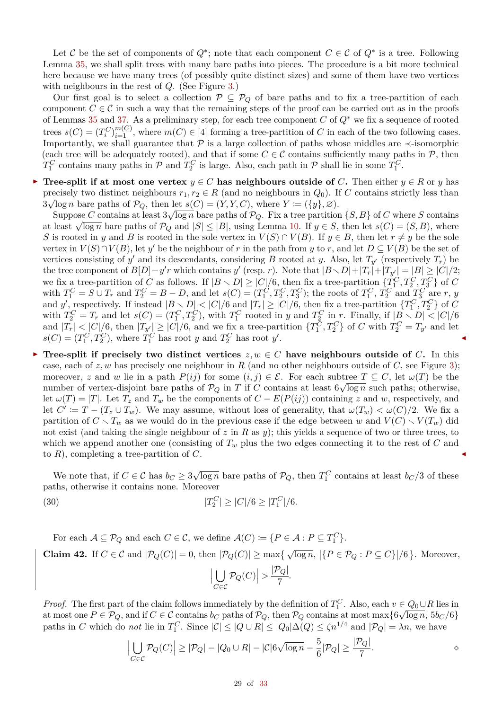Let C be the set of components of  $Q^*$ ; note that each component  $C \in \mathcal{C}$  of  $Q^*$  is a tree. Following Lemma [35,](#page-17-1) we shall split trees with many bare paths into pieces. The procedure is a bit more technical here because we have many trees (of possibly quite distinct sizes) and some of them have two vertices with neighbours in the rest of *Q*. (See Figure [3.](#page-27-0))

Our first goal is to select a collection  $P \subseteq P_Q$  of bare paths and to fix a tree-partition of each component  $C \in \mathcal{C}$  in such a way that the remaining steps of the proof can be carried out as in the proofs of Lemmas [35](#page-17-1) and [37.](#page-20-0) As a preliminary step, for each tree component *C* of *Q*∗ we fix a sequence of rooted trees  $s(C) = (T_i^C)_{i=1}^{m(C)}$ , where  $m(C) \in [4]$  forming a tree-partition of *C* in each of the two following cases. Importantly, we shall guarantee that  $\overline{P}$  is a large collection of paths whose middles are  $\prec$ -isomorphic (each tree will be adequately rooted), and that if some  $C \in \mathcal{C}$  contains sufficiently many paths in  $\mathcal{P}$ , then  $T_1^C$  contains many paths in  $P$  and  $T_2^C$  is large. Also, each path in  $P$  shall lie in some  $T_1^C$ .

**Tree-split if at most one vertex**  $y \in C$  has neighbours outside of *C***.** Then either  $y \in R$  or *y* has precisely two distinct neighbours  $r_1, r_2 \in R$  (and no neighbours in  $Q_0$ ). If *C* contains strictly less than  $\frac{3\sqrt{\log n}}{\log n}$  bare paths of  $\mathcal{P}_Q$ , then let  $s(C) = (Y, Y, C)$ , where  $Y := (\{y\}, \varnothing)$ .

Suppose *C* contains at least  $3\sqrt{\log n}$  bare paths of  $\mathcal{P}_Q$ . Fix a tree partition  $\{S, B\}$  of *C* where *S* contains at least  $\sqrt{\log n}$  bare paths of  $\mathcal{P}_Q$  and  $|S| \leq |B|$ , using Lemma [10.](#page-4-7) If  $y \in S$ , then let  $s(C) = (S, B)$ , where *S* is rooted in *y* and *B* is rooted in the sole vertex in  $V(S) \cap V(B)$ . If  $y \in B$ , then let  $r \neq y$  be the sole vertex in  $V(S) \cap V(B)$ , let *y*' be the neighbour of *r* in the path from *y* to *r*, and let  $D \subseteq V(B)$  be the set of vertices consisting of  $y'$  and its descendants, considering *B* rooted at *y*. Also, let  $T_{y'}$  (respectively  $T_r$ ) be the tree component of  $B[D]-y'r$  which contains  $y'$  (resp. *r*). Note that  $|B\setminus D|+|T_r|+|T_{y'}|=|B|\geq |C|/2;$ we fix a tree-partition of *C* as follows. If  $|B \setminus D| \geq |C|/6$ , then fix a tree-partition  $\{T_1^C, T_2^C, T_3^C\}$  of *C* with  $T_1^C = S \cup T_r$  and  $T_2^C = B - D$ , and let  $s(C) = (T_1^C, T_2^C, T_3^C)$ ; the roots of  $T_1^C, T_2^C$  and  $T_3^C$  are r, y and *y*, respectively. If instead  $|B \setminus D| < |C|/6$  and  $|T_r| \geq |C|/6$ , then fix a tree-partition  $\{T_1^C, T_2^C\}$  of *C* with  $T_2^C = T_r$  and let  $s(C) = (T_1^C, T_2^C)$ , with  $T_1^C$  rooted in y and  $T_2^C$  in r. Finally, if  $|B \setminus D| < |C|/6$ and  $|T_r| < |C|/6$ , then  $|T_{y'}| \ge |C|/6$ , and we fix a tree-partition  $\{T_1^C, T_2^C\}$  of C with  $T_2^C = T_{y'}$  and let  $s(C) = (T_1^C, T_2^C)$ , where  $T_1^C$  has root *y* and  $T_2^C$  has root *y'*.

**Tree-split if precisely two distinct vertices**  $z, w \in C$  have neighbours outside of *C***.** In this case, each of  $z, w$  has precisely one neighbour in R (and no other neighbours outside of C, see Figure [3\)](#page-27-0); moreover, *z* and *w* lie in a path  $P(ij)$  for some  $(i, j) \in \mathcal{E}$ . For each subtree  $T \subseteq C$ , let  $\omega(T)$  be the number of vertex-disjoint bare paths of  $P_Q$  in *T* if *C* contains at least  $6\sqrt{\log n}$  such paths; otherwise, let  $\omega(T) = |T|$ . Let  $T_z$  and  $T_w$  be the components of  $C - E(P(ij))$  containing *z* and *w*, respectively, and let  $C' := T - (T_z \cup T_w)$ . We may assume, without loss of generality, that  $\omega(T_w) < \omega(C)/2$ . We fix a partition of  $C \setminus T_w$  as we would do in the previous case if the edge between *w* and  $V(C) \setminus V(T_w)$  did not exist (and taking the single neighbour of *z* in *R* as *y*); this yields a sequence of two or three trees, to which we append another one (consisting of  $T_w$  plus the two edges connecting it to the rest of  $C$  and to  $R$ ), completing a tree-partition of  $C$ .

We note that, if  $C \in \mathcal{C}$  has  $b_C \geq 3\sqrt{\log n}$  bare paths of  $\mathcal{P}_Q$ , then  $T_1^C$  contains at least  $b_C/3$  of these paths, otherwise it contains none. Moreover

<span id="page-28-1"></span>(30) 
$$
|T_2^C| \ge |C|/6 \ge |T_1^C|/6.
$$

<span id="page-28-0"></span>For each  $A \subseteq \mathcal{P}_Q$  and each  $C \in \mathcal{C}$ , we define  $\mathcal{A}(C) := \{P \in \mathcal{A} : P \subseteq T_1^C\}.$ **Claim 42.** If  $C \in \mathcal{C}$  and  $|\mathcal{P}_Q(C)| = 0$ , then  $|\mathcal{P}_Q(C)| \ge \max\{\sqrt{\log n}, |\{P \in \mathcal{P}_Q : P \subseteq C\}|/6\}$ . Moreover,  $\overline{1}$ *C*∈C  $\left|\mathcal{P}_Q(C)\right| > \frac{\left|\mathcal{P}_Q\right|}{7}$  $rac{Q_1}{7}$ .

*Proof.* The first part of the claim follows immediately by the definition of  $T_1^C$ . Also, each  $v \in Q_0 \cup R$  lies in at most one  $P \in \mathcal{P}_Q$ , and if  $C \in \mathcal{C}$  contains  $b_C$  paths of  $\mathcal{P}_Q$ , then  $\mathcal{P}_Q$  contains at most max $\{6\sqrt{\log n}, 5b_C/6\}$ paths in *C* which do *not* lie in  $T_1^C$ . Since  $|\mathcal{C}| \leq |Q \cup R| \leq |Q_0|\Delta(Q) \leq \zeta n^{1/4}$  and  $|\mathcal{P}_Q| = \lambda n$ , we have

$$
\left|\bigcup_{C \in \mathcal{C}} \mathcal{P}_Q(C)\right| \ge |\mathcal{P}_Q| - |Q_0 \cup R| - |\mathcal{C}|6\sqrt{\log n} - \frac{5}{6}|\mathcal{P}_Q| \ge \frac{|\mathcal{P}_Q|}{7}.
$$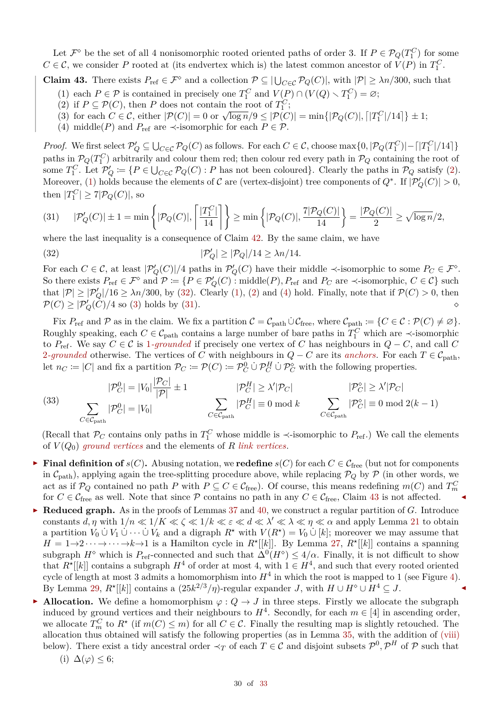Let  $\mathcal{F}^{\diamond}$  be the set of all 4 nonisomorphic rooted oriented paths of order 3. If  $P \in \mathcal{P}_Q(T_1^C)$  for some  $C \in \mathcal{C}$ , we consider *P* rooted at (its endvertex which is) the latest common ancestor of  $V(P)$  in  $T_1^C$ .

<span id="page-29-6"></span><span id="page-29-1"></span>**Claim 43.** There exists  $P_{\text{ref}} \in \mathcal{F}^{\diamond}$  and a collection  $\mathcal{P} \subseteq |\bigcup_{C \in \mathcal{C}} \mathcal{P}_Q(C)|$ , with  $|\mathcal{P}| \geq \lambda n/300$ , such that (1) each  $P \in \mathcal{P}$  is contained in precisely one  $T_1^C$  and  $V(P) \cap (V(Q) \setminus T_1^C) = \varnothing;$ 

- <span id="page-29-0"></span>(2) if  $P \subseteq \mathcal{P}(C)$ , then *P* does not contain the root of  $T_1^C$ ;
- <span id="page-29-4"></span>(3) for each  $C \in \mathcal{C}$ , either  $|\mathcal{P}(C)| = 0$  or  $\sqrt{\log n}/9 \leq |\mathcal{P}(C)| = \min\{|\mathcal{P}_Q(C)|, |T_1^C|/14|\} \pm 1$ ;
- <span id="page-29-3"></span>(4) middle(*P*) and  $P_{ref}$  are  $\prec$ -isomorphic for each  $P \in \mathcal{P}$ .

*Proof.* We first select  $\mathcal{P}'_Q \subseteq \bigcup_{C \in \mathcal{C}} \mathcal{P}_Q(C)$  as follows. For each  $C \in \mathcal{C}$ , choose max $\{0, |\mathcal{P}_Q(T_1^C)| - |T_1^C|/14|\}$ paths in  $\mathcal{P}_Q(T_1^C)$  arbitrarily and colour them red; then colour red every path in  $\mathcal{P}_Q$  containing the root of some  $T_1^C$ . Let  $\mathcal{P}'_Q := \{P \in \bigcup_{C \in \mathcal{C}} \mathcal{P}_Q(C) : P \text{ has not been coloured}\}.$  Clearly the paths in  $\mathcal{P}_Q$  satisfy [\(2\)](#page-29-0). Moreover, [\(1\)](#page-29-1) holds because the elements of  $C$  are (vertex-disjoint) tree components of  $Q^*$ . If  $|\mathcal{P}'_Q(C)| > 0$ , then  $|T_1^C| \ge 7|\mathcal{P}_Q(C)|$ , so

<span id="page-29-5"></span>(31) 
$$
|\mathcal{P}'_Q(C)| \pm 1 = \min \left\{ |\mathcal{P}_Q(C)|, \left[ \frac{|T_1^C|}{14} \right] \right\} \ge \min \left\{ |\mathcal{P}_Q(C)|, \frac{7|\mathcal{P}_Q(C)|}{14} \right\} = \frac{|\mathcal{P}_Q(C)|}{2} \ge \sqrt{\log n}/2,
$$

where the last inequality is a consequence of Claim [42.](#page-28-0) By the same claim, we have

<span id="page-29-2"></span>(32) 
$$
|\mathcal{P}'_Q| \ge |\mathcal{P}_Q|/14 \ge \lambda n/14.
$$

For each  $C \in \mathcal{C}$ , at least  $|\mathcal{P}'_Q(C)|/4$  paths in  $\mathcal{P}'_Q(C)$  have their middle  $\prec$ -isomorphic to some  $P_C \in \mathcal{F}^{\diamond}$ . So there exists  $P_{ref} \in \mathcal{F}^{\diamond}$  and  $\mathcal{P} \coloneqq \{P \in \mathcal{P}'_Q(C) : \text{middle}(P), P_{ref} \text{ and } P_C \text{ are } \prec \text{-isomorphic}, C \in \mathcal{C}\}$  such that  $|\mathcal{P}| \geq |\mathcal{P}_Q'|/16 \geq \lambda n/300$ , by [\(32\)](#page-29-2). Clearly [\(1\)](#page-29-1), [\(2\)](#page-29-0) and [\(4\)](#page-29-3) hold. Finally, note that if  $\mathcal{P}(C) > 0$ , then  $\mathcal{P}(C) \geq |\mathcal{P}'_Q(C)/4$  so [\(3\)](#page-29-4) holds by [\(31\)](#page-29-5).

Fix  $P_{\text{ref}}$  and P as in the claim. We fix a partition  $\mathcal{C} = \mathcal{C}_{\text{path}} \cup \mathcal{C}_{\text{free}}$ , where  $\mathcal{C}_{\text{path}} := \{ C \in \mathcal{C} : \mathcal{P}(C) \neq \emptyset \}.$ Roughly speaking, each  $C \in \mathcal{C}_{\text{path}}$  contains a large number of bare paths in  $T_1^C$  which are  $\prec$ -isomorphic to  $P_{\text{ref}}$ . We say  $C \in \mathcal{C}$  is 1*-grounded* if precisely one vertex of  $C$  has neighbours in  $Q - C$ , and call  $C$ 2*-grounded* otherwise. The vertices of *C* with neighbours in  $Q - C$  are its *anchors*. For each  $T \in \mathcal{C}_{\text{path}}$ , let  $n_C := |C|$  and fix a partition  $\mathcal{P}_C := \mathcal{P}(C) := \mathcal{P}_C^0 \cup \mathcal{P}_C^H \cup \mathcal{P}_C^{\diamond}$  with the following properties.

<span id="page-29-7"></span>(33) 
$$
|\mathcal{P}_C^0| = |V_0| \frac{|\mathcal{P}_C|}{|\mathcal{P}|} \pm 1 \qquad |\mathcal{P}_C^H| \ge \lambda' |\mathcal{P}_C| \qquad |\mathcal{P}_C^s| \ge \lambda' |\mathcal{P}_C|
$$
  

$$
\sum_{C \in \mathcal{C}_{\text{path}}} |\mathcal{P}_C^H| = 0 \mod k \qquad \sum_{C \in \mathcal{C}_{\text{path}}} |\mathcal{P}_C^S| = 0 \mod 2(k-1)
$$

(Recall that  $\mathcal{P}_C$  contains only paths in  $T_1^C$  whose middle is  $\prec$ -isomorphic to  $P_{\text{ref}}$ .) We call the elements of  $V(Q_0)$  *ground vertices* and the elements of R link vertices.

- **Final definition of**  $s(C)$ . Abusing notation, we **redefine**  $s(C)$  for each  $C \in \mathcal{C}_{\text{free}}$  (but not for components in  $C_{\text{path}}$ ), applying again the tree-splitting procedure above, while replacing  $P_Q$  by  $P$  (in other words, we act as if  $\mathcal{P}_Q$  contained no path *P* with  $P \subseteq C \in \mathcal{C}_{\text{free}}$ . Of course, this means redefining  $m(C)$  and  $T_m^C$ for  $C \in \mathcal{C}_{\text{free}}$  as well. Note that since P contains no path in any  $C \in \mathcal{C}_{\text{free}}$ , Claim [43](#page-29-6) is not affected.
- I **Reduced graph.** As in the proofs of Lemmas [37](#page-20-0) and [40,](#page-25-0) we construct a regular partition of *G*. Introduce constants  $d, \eta$  with  $1/n \ll 1/K \ll \zeta \ll 1/k \ll \varepsilon \ll d \ll \lambda' \ll \lambda \ll \eta \ll \alpha$  and apply Lemma [21](#page-7-11) to obtain a partition  $V_0 \cup V_1 \cup \cdots \cup V_k$  and a digraph  $R^*$  with  $V(R^*) = V_0 \cup [k]$ ; moreover we may assume that  $H = 1 \rightarrow 2 \cdots \rightarrow \cdots \rightarrow k \rightarrow 1$  is a Hamilton cycle in  $R^{\star}[[k]]$ . By Lemma [27,](#page-10-5)  $R^{\star}[[k]]$  contains a spanning subgraph  $H^{\circ}$  which is  $P_{\text{ref}}$ -connected and such that  $\Delta^{0}(H^{\circ}) \leq 4/\alpha$ . Finally, it is not difficult to show that  $R^{\star}[[k]]$  contains a subgraph  $H^4$  of order at most 4, with  $1 \in H^4$ , and such that every rooted oriented cycle of length at most 3 admits a homomorphism into  $H<sup>4</sup>$  in which the root is mapped to 1 (see Figure [4\)](#page-30-0). By Lemma [29,](#page-10-3)  $R^{\star}[[k]]$  contains a  $(25k^{2/3}/\eta)$ -regular expander *J*, with  $H \cup H^{\diamond} \cup H^4 \subseteq J$ .
- **Allocation.** We define a homomorphism  $\varphi: Q \to J$  in three steps. Firstly we allocate the subgraph induced by ground vertices and their neighbours to  $H^4$ . Secondly, for each  $m \in [4]$  in ascending order, we allocate  $T_m^C$  to  $R^*$  (if  $m(C) \leq m$ ) for all  $C \in \mathcal{C}$ . Finally the resulting map is slightly retouched. The allocation thus obtained will satisfy the following properties (as in Lemma [35,](#page-17-1) with the addition of [\(viii\)](#page-30-1) below). There exist a tidy ancestral order  $\prec_T$  of each  $T \in \mathcal{C}$  and disjoint subsets  $\mathcal{P}^0, \mathcal{P}^H$  of  $\mathcal P$  such that

<span id="page-29-8"></span>(i) 
$$
\Delta(\varphi) \leq 6;
$$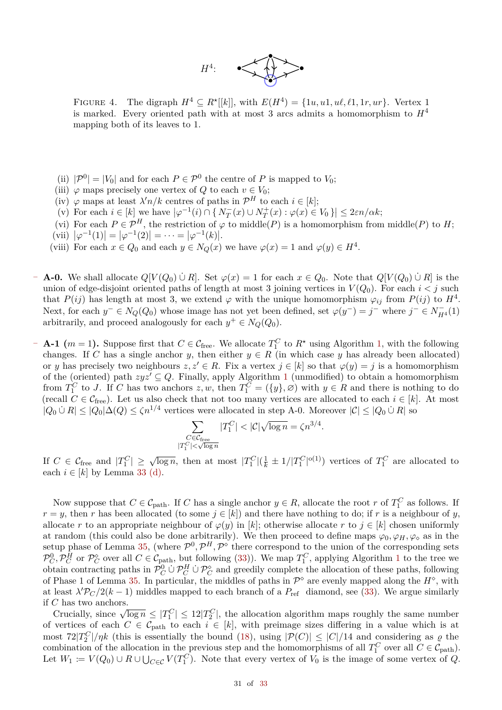

<span id="page-30-0"></span>FIGURE 4. The digraph  $H^4 \subseteq R^*[[k]]$ , with  $E(H^4) = \{1u, u1, u\ell, \ell1, 1r, ur\}$ . Vertex 1 is marked. Every oriented path with at most 3 arcs admits a homomorphism to  $H<sup>4</sup>$ mapping both of its leaves to 1.

- (ii)  $|\mathcal{P}^0| = |V_0|$  and for each  $P \in \mathcal{P}^0$  the centre of *P* is mapped to *V*<sub>0</sub>;
- (iii)  $\varphi$  maps precisely one vertex of *Q* to each  $v \in V_0$ ;
- (iv)  $\varphi$  maps at least  $\lambda' n/k$  centres of paths in  $\mathcal{P}^H$  to each  $i \in [k]$ ;
- $\left\{ \left( v \right) \right.$  For each  $i \in [k]$  we have  $\left| \varphi^{-1}(i) \cap \{ N_T^-(x) \cup N_T^+(x) : \varphi(x) \in V_0 \} \right| \leq 2\varepsilon n/\alpha k;$
- (vi) For each  $P \in \mathcal{P}^H$ , the restriction of  $\varphi$  to middle(*P*) is a homomorphism from middle(*P*) to *H*;
- <span id="page-30-2"></span>(vii)  $|\varphi^{-1}(1)| = |\varphi^{-1}(2)| = \cdots = |\varphi^{-1}(k)|$ .
- <span id="page-30-1"></span>(viii) For each  $x \in Q_0$  and each  $y \in N_Q(x)$  we have  $\varphi(x) = 1$  and  $\varphi(y) \in H^4$ .
- **– A-0.** We shall allocate *<sup>Q</sup>*[*<sup>V</sup>* (*Q*0) <sup>∪</sup>˙ *<sup>R</sup>*]. Set *<sup>ϕ</sup>*(*x*) = 1 for each *<sup>x</sup>* <sup>∈</sup> *<sup>Q</sup>*0. Note that *<sup>Q</sup>*[*<sup>V</sup>* (*Q*0) <sup>∪</sup>˙ *<sup>R</sup>*] is the union of edge-disjoint oriented paths of length at most 3 joining vertices in  $V(Q_0)$ . For each  $i < j$  such that  $P(ij)$  has length at most 3, we extend  $\varphi$  with the unique homomorphism  $\varphi_{ij}$  from  $P(ij)$  to  $H^4$ . Next, for each  $y^- \in N_Q(Q_0)$  whose image has not yet been defined, set  $\varphi(y^-) = j^-$  where  $j^- \in N_{H^4}^-(1)$ arbitrarily, and proceed analogously for each  $y^+ \in N_Q(Q_0)$ .
- **− A-1** ( $m = 1$ ). Suppose first that  $C \in \mathcal{C}_{\text{free}}$ . We allocate  $T_1^C$  to  $R^*$  using Algorithm [1,](#page-14-1) with the following changes. If *C* has a single anchor *y*, then either  $y \in R$  (in which case *y* has already been allocated) or *y* has precisely two neighbours  $z, z' \in R$ . Fix a vertex  $j \in [k]$  so that  $\varphi(y) = j$  is a homomorphism of the (oriented) path  $zyz' \subseteq Q$ . Finally, apply Algorithm [1](#page-14-1) (unmodified) to obtain a homomorphism from  $T_1^C$  to *J*. If *C* has two anchors *z, w,* then  $T_1^C = (\{y\}, \varnothing)$  with  $y \in R$  and there is nothing to do (recall  $C \in \mathcal{C}_{\text{free}}$ ). Let us also check that not too many vertices are allocated to each  $i \in [k]$ . At most  $|Q_0 \cup R|$  ≤  $|Q_0|$ ∆ $(Q)$  ≤  $\zeta n^{1/4}$  vertices were allocated in step A-0. Moreover  $|C|$  ≤  $|Q_0 \cup R|$  so

$$
\sum_{\substack{C \in \mathcal{C}_{\text{free}} \\ |T_1^C| < \sqrt{\log n}}} |T_1^C| < |\mathcal{C}| \sqrt{\log n} = \zeta n^{3/4}.
$$

If  $C \in \mathcal{C}_{\text{free}}$  and  $|T_1^C| \geq \sqrt{\log n}$ , then at most  $|T_1^C|(\frac{1}{k} \pm 1/|T_1^C|^{o(1)})$  vertices of  $T_1^C$  are allocated to each  $i \in [k]$  by Lemma [33](#page-14-0) [\(d\).](#page-14-3)

Now suppose that  $C \in \mathcal{C}_{path}$ . If *C* has a single anchor  $y \in R$ , allocate the root *r* of  $T_1^C$  as follows. If  $r = y$ , then *r* has been allocated (to some  $j \in [k]$ ) and there have nothing to do; if *r* is a neighbour of *y*, allocate *r* to an appropriate neighbour of  $\varphi(y)$  in [*k*]; otherwise allocate *r* to  $j \in [k]$  chosen uniformly at random (this could also be done arbitrarily). We then proceed to define maps  $\varphi_0, \varphi_H, \varphi_\diamond$  as in the setup phase of Lemma [35,](#page-17-1) (where  $\mathcal{P}^0$ ,  $\mathcal{P}^H$ ,  $\mathcal{P}^{\diamond}$  there correspond to the union of the corresponding sets  $\mathcal{P}_C^0$ ,  $\mathcal{P}_C^H$  or  $\mathcal{P}_C^{\diamond}$  over all  $C \in \mathcal{C}_{\text{path}}$ , but following [\(33\)](#page-29-7)). We map  $T_1^C$  $T_1^C$  $T_1^C$ , applying Algorithm 1 to the tree we obtain contracting paths in  $\mathcal{P}_C^0 \cup \mathcal{P}_C^H \cup \mathcal{P}_C^{\diamond}$  and greedily complete the allocation of these paths, following of Phase 1 of Lemma [35.](#page-17-1) In particular, the middles of paths in  $\mathcal{P}^{\diamond}$  are evenly mapped along the  $H^{\diamond}$ , with at least  $\lambda' \mathcal{P}_C/2(k-1)$  middles mapped to each branch of a  $P_{\text{ref}}$  diamond, see [\(33\)](#page-29-7). We argue similarly if *C* has two anchors.

Crucially, since  $\sqrt{\log n} \leq |T_1^C| \leq 12|T_2^C|$ , the allocation algorithm maps roughly the same number of vertices of each  $C \in \mathcal{C}_{path}$  to each  $i \in [k]$ , with preimage sizes differing in a value which is at most  $72|T_2^C|/\eta k$  (this is essentially the bound [\(18\)](#page-19-4), using  $|\mathcal{P}(C)| \leq |C|/14$  and considering as  $\varrho$  the combination of the allocation in the previous step and the homomorphisms of all  $T_1^C$  over all  $C \in C_{\text{path}}$ . Let  $W_1 := V(Q_0) \cup R \cup \bigcup_{C \in \mathcal{C}} V(T_1^C)$ . Note that every vertex of  $V_0$  is the image of some vertex of  $Q$ .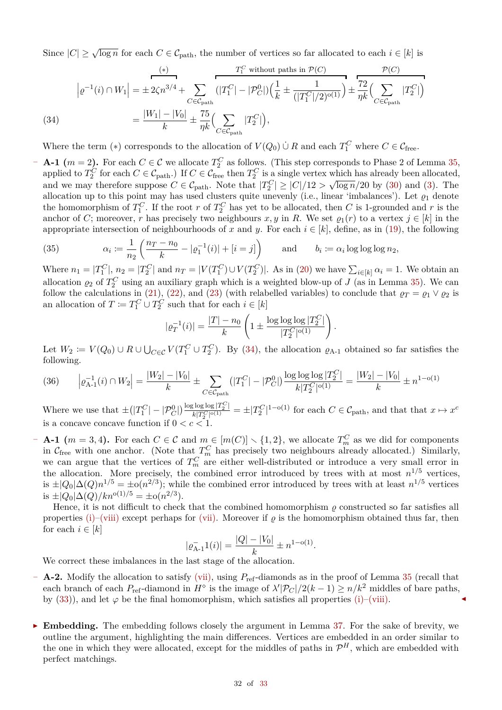Since  $|C| \ge \sqrt{\log n}$  for each  $C \in C_{\text{path}}$ , the number of vertices so far allocated to each  $i \in [k]$  is

(34)  
\n
$$
\left| \varrho^{-1}(i) \cap W_1 \right| = \pm 2\zeta n^{3/4} + \sum_{C \in \mathcal{C}_{\text{path}}} \left( |T_1^C| - |\mathcal{P}_C^0| \right) \left( \frac{1}{k} \pm \frac{1}{(|T_1^C|/2)^{o(1)}} \right) \pm \frac{72}{\eta k} \left( \sum_{C \in \mathcal{C}_{\text{path}}} |T_2^C| \right)
$$
\n
$$
= \frac{|W_1| - |V_0|}{k} \pm \frac{75}{\eta k} \left( \sum_{C \in \mathcal{C}_{\text{path}}} |T_2^C| \right),
$$

<span id="page-31-0"></span>Where the term (\*) corresponds to the allocation of  $V(Q_0) \cup R$  and each  $T_1^C$  where  $C \in \mathcal{C}_{\text{free}}$ .

**− A-1**  $(m = 2)$ . For each  $C \in \mathcal{C}$  we allocate  $T_2^C$  as follows. (This step corresponds to Phase 2 of Lemma [35,](#page-17-1) applied to  $T_2^C$  for each  $C \in \mathcal{C}_{\text{path}}$ .) If  $C \in \mathcal{C}_{\text{free}}$  then  $T_2^C$  is a single vertex which has already been allocated, and we may therefore suppose  $C \in \mathcal{C}_{\text{path}}$ . Note that  $|T_2^C| \ge |C|/12 > \sqrt{\log n}/20$  by [\(30\)](#page-28-1) and [\(3\)](#page-29-4). The allocation up to this point may has used clusters quite unevenly (i.e., linear 'imbalances'). Let  $\varrho_1$  denote the homomorphism of  $T_1^C$ . If the root *r* of  $T_2^C$  has yet to be allocated, then *C* is 1-grounded and *r* is the anchor of *C*; moreover, *r* has precisely two neighbours *x*, *y* in *R*. We set  $\varrho_1(r)$  to a vertex  $j \in [k]$  in the appropriate intersection of neighbourhoods of x and y. For each  $i \in [k]$ , define, as in [\(19\)](#page-19-5), the following

(35) 
$$
\alpha_i := \frac{1}{n_2} \left( \frac{n_T - n_0}{k} - |\varrho_1^{-1}(i)| + [i = j] \right) \quad \text{and} \quad b_i := \alpha_i \log \log \log n_2,
$$

Where  $n_1 = |T_1^C|$ ,  $n_2 = |T_2^C|$  and  $n_T = |V(T_1^C) \cup V(T_2^C)|$ . As in [\(20\)](#page-19-2) we have  $\sum_{i \in [k]} \alpha_i = 1$ . We obtain an allocation  $\rho_2$  of  $T_2^C$  using an auxiliary graph which is a weighted blow-up of *J* (as in Lemma [35\)](#page-17-1). We can follow the calculations in [\(21\)](#page-19-3), [\(22\)](#page-20-1), and [\(23\)](#page-20-2) (with relabelled variables) to conclude that  $\rho_T = \rho_1 \vee \rho_2$  is an allocation of  $T := T_1^C \cup T_2^C$  such that for each  $i \in [k]$ 

$$
|\varrho_T^{-1}(i)| = \frac{|T| - n_0}{k} \left( 1 \pm \frac{\log \log \log |T_2^C|}{|T_2^C|^{\mathrm{o}(1)}} \right).
$$

Let  $W_2 := V(Q_0) \cup R \cup \bigcup_{C \in \mathcal{C}} V(T_1^C \cup T_2^C)$ . By [\(34\)](#page-31-0), the allocation  $\varrho_{A-1}$  obtained so far satisfies the following.

$$
(36) \qquad \left| \varrho_{A-1}^{-1}(i) \cap W_2 \right| = \frac{|W_2| - |V_0|}{k} \pm \sum_{C \in \mathcal{C}_{\text{path}}} \left( |T_1^C| - |P_C^0| \right) \frac{\log \log \log |T_2^C|}{k|T_2^C|^{\mathfrak{0}(1)}} = \frac{|W_2| - |V_0|}{k} \pm n^{1-\mathfrak{0}(1)}
$$

Where we use that  $\pm (|T_1^C| - |\mathcal{P}_C^0|) \frac{\log \log |\mathcal{P}_2^C|}{k|T_2^C|^{o(1)}}$  $\frac{d^2 \log \log |T_2^{\infty}|}{k|T_2^C|^{o(1)}} = \pm |T_2^C|^{1-o(1)}$  for each  $C \in C_{\text{path}}$ , and that that  $x \mapsto x^c$ is a concave concave function if  $0 < c < 1$ .

**− A-1**  $(m = 3, 4)$ . For each  $C \in \mathcal{C}$  and  $m \in [m(C)] \setminus \{1, 2\}$ , we allocate  $T_m^C$  as we did for components in  $\mathcal{C}_{\text{free}}$  with one anchor. (Note that  $T_m^C$  has precisely two neighbours already allocated.) Similarly, we can argue that the vertices of  $T_m^C$  are either well-distributed or introduce a very small error in the allocation. More precisely, the combined error introduced by trees with at most  $n^{1/5}$  vertices, is  $\pm |Q_0|\Delta(Q)n^{1/5} = \pm o(n^{2/3})$ ; while the combined error introduced by trees with at least  $n^{1/5}$  vertices is  $\pm |Q_0|$ Δ(*Q*)/*kn*<sup>o(1)/5</sup> = ±o(*n*<sup>2/3</sup>).

Hence, it is not difficult to check that the combined homomorphism  $\rho$  constructed so far satisfies all properties [\(i\)](#page-29-8)[–\(viii\)](#page-30-1) except perhaps for [\(vii\).](#page-30-2) Moreover if  $\rho$  is the homomorphism obtained thus far, then for each  $i \in [k]$ 

$$
|\varrho_{\text{A-1}}^{-1}(i)| = \frac{|Q| - |V_0|}{k} \pm n^{1 - o(1)}.
$$

We correct these imbalances in the last stage of the allocation.

- **– A-2.** Modify the allocation to satisfy [\(vii\),](#page-30-2) using *P*ref-diamonds as in the proof of Lemma [35](#page-17-1) (recall that each branch of each  $P_{\text{ref}}$ -diamond in  $H^{\circ}$  is the image of  $\lambda' |P_C| / 2(k - 1) \ge n/k^2$  middles of bare paths, by  $(33)$ ), and let  $\varphi$  be the final homomorphism, which satisfies all properties [\(i\)–](#page-29-8)[\(viii\).](#page-30-1)
- **Embedding.** The embedding follows closely the argument in Lemma [37.](#page-20-0) For the sake of brevity, we outline the argument, highlighting the main differences. Vertices are embedded in an order similar to the one in which they were allocated, except for the middles of paths in  $\mathcal{P}^H$ , which are embedded with perfect matchings.